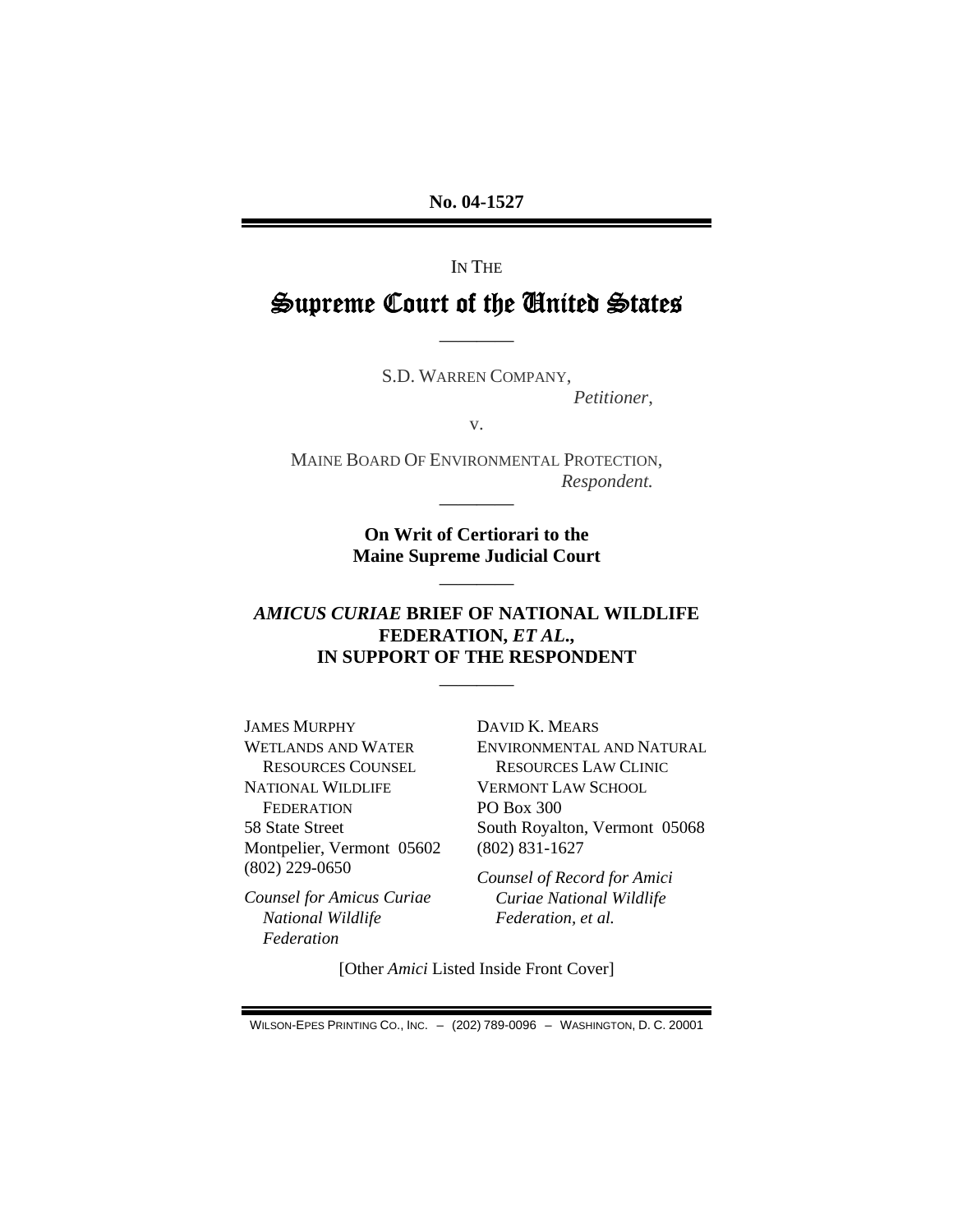**No. 04-1527** 

IN THE

# Supreme Court of the United States

S.D. WARREN COMPANY,

————

*Petitioner*,

v.

MAINE BOARD OF ENVIRONMENTAL PROTECTION, *Respondent.* ————

> **On Writ of Certiorari to the Maine Supreme Judicial Court**

> > ————

### *AMICUS CURIAE* **BRIEF OF NATIONAL WILDLIFE FEDERATION,** *ET AL***., IN SUPPORT OF THE RESPONDENT**

————

JAMES MURPHY WETLANDS AND WATER RESOURCES COUNSEL NATIONAL WILDLIFE **FEDERATION** 58 State Street Montpelier, Vermont 05602 (802) 229-0650

*Counsel for Amicus Curiae National Wildlife Federation*

DAVID K. MEARS ENVIRONMENTAL AND NATURAL RESOURCES LAW CLINIC VERMONT LAW SCHOOL PO Box 300 South Royalton, Vermont 05068 (802) 831-1627

*Counsel of Record for Amici Curiae National Wildlife Federation, et al.*

[Other *Amici* Listed Inside Front Cover]

WILSON-EPES PRINTING CO., INC. – (202) 789-0096 – WASHINGTON, D. C. 20001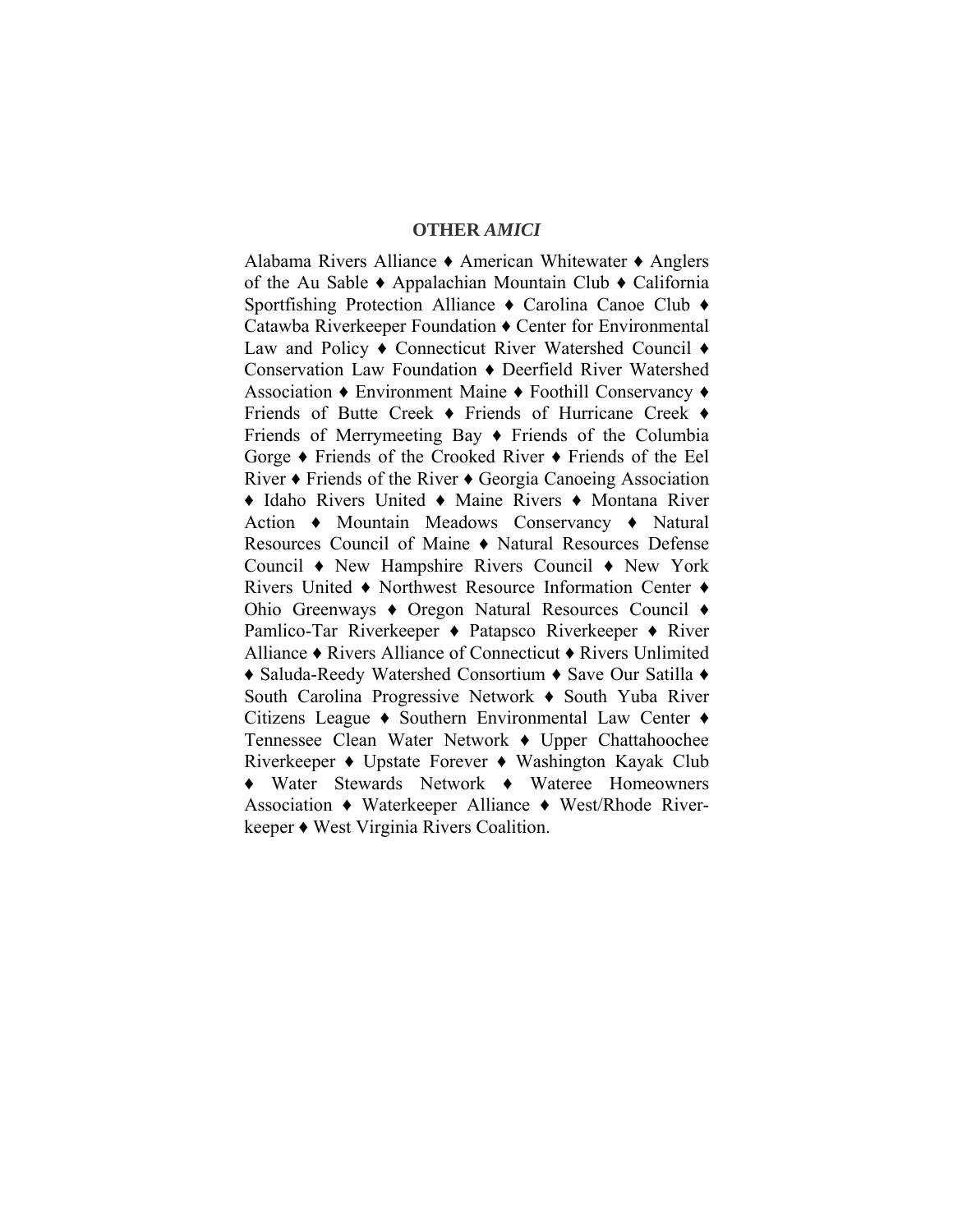#### **OTHER** *AMICI*

Alabama Rivers Alliance ♦ American Whitewater ♦ Anglers of the Au Sable ♦ Appalachian Mountain Club ♦ California Sportfishing Protection Alliance ♦ Carolina Canoe Club ♦ Catawba Riverkeeper Foundation ♦ Center for Environmental Law and Policy ♦ Connecticut River Watershed Council ♦ Conservation Law Foundation ♦ Deerfield River Watershed Association ♦ Environment Maine ♦ Foothill Conservancy ♦ Friends of Butte Creek ♦ Friends of Hurricane Creek ♦ Friends of Merrymeeting Bay ♦ Friends of the Columbia Gorge ♦ Friends of the Crooked River ♦ Friends of the Eel River ♦ Friends of the River ♦ Georgia Canoeing Association ♦ Idaho Rivers United ♦ Maine Rivers ♦ Montana River Action ♦ Mountain Meadows Conservancy ♦ Natural Resources Council of Maine ♦ Natural Resources Defense Council ♦ New Hampshire Rivers Council ♦ New York Rivers United ♦ Northwest Resource Information Center ♦ Ohio Greenways ♦ Oregon Natural Resources Council ♦ Pamlico-Tar Riverkeeper ♦ Patapsco Riverkeeper ♦ River Alliance ♦ Rivers Alliance of Connecticut ♦ Rivers Unlimited ♦ Saluda-Reedy Watershed Consortium ♦ Save Our Satilla ♦ South Carolina Progressive Network ♦ South Yuba River Citizens League ♦ Southern Environmental Law Center ♦ Tennessee Clean Water Network ♦ Upper Chattahoochee Riverkeeper ♦ Upstate Forever ♦ Washington Kayak Club ♦ Water Stewards Network ♦ Wateree Homeowners Association ♦ Waterkeeper Alliance ♦ West/Rhode Riverkeeper ♦ West Virginia Rivers Coalition.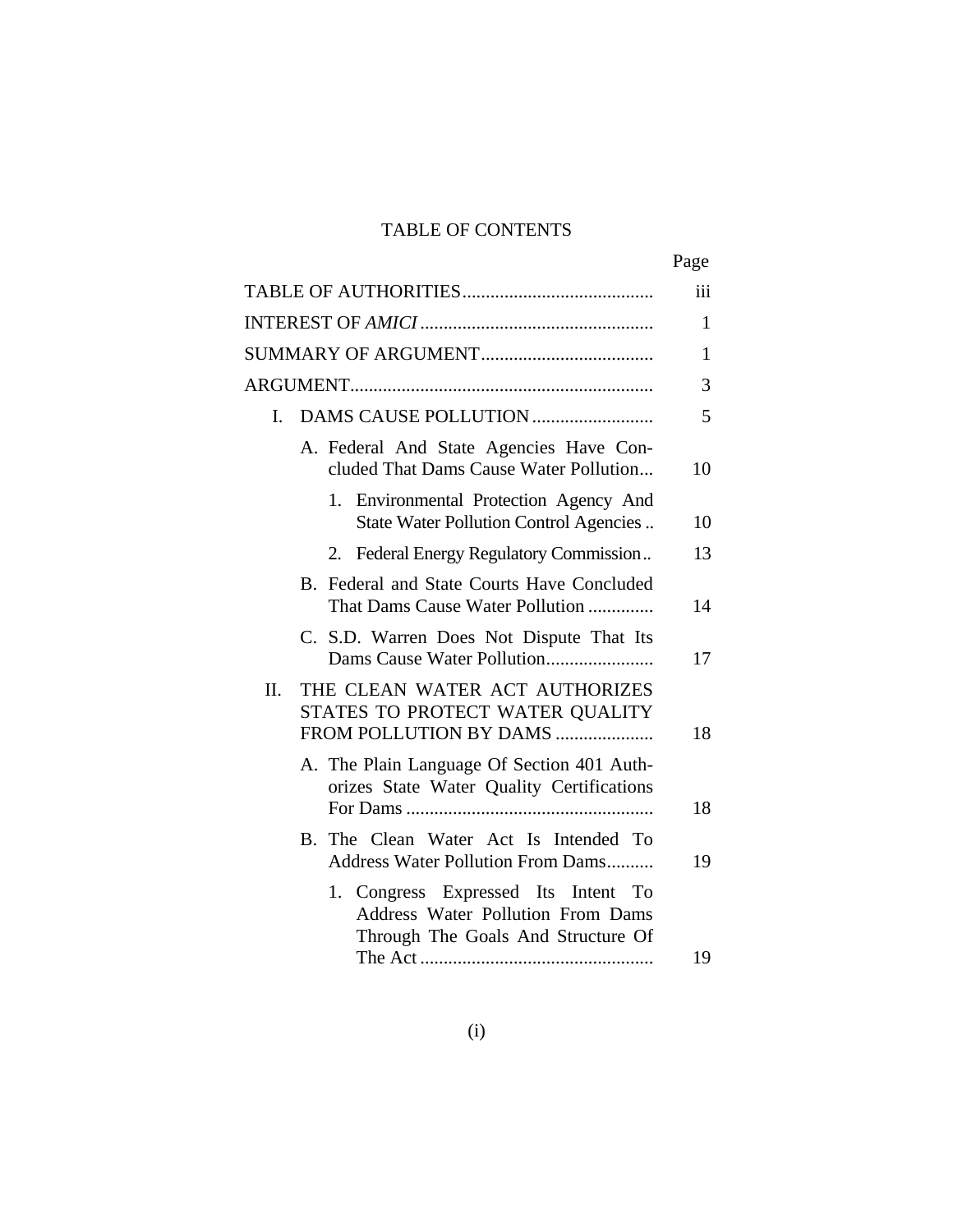# TABLE OF CONTENTS

|                                                                                                                | Page |
|----------------------------------------------------------------------------------------------------------------|------|
|                                                                                                                | iii  |
|                                                                                                                | 1    |
|                                                                                                                | 1    |
|                                                                                                                | 3    |
| L                                                                                                              | 5    |
| A. Federal And State Agencies Have Con-<br>cluded That Dams Cause Water Pollution                              | 10   |
| 1. Environmental Protection Agency And<br>State Water Pollution Control Agencies                               | 10   |
| Federal Energy Regulatory Commission<br>2.                                                                     | 13   |
| B. Federal and State Courts Have Concluded<br>That Dams Cause Water Pollution                                  | 14   |
| C. S.D. Warren Does Not Dispute That Its                                                                       | 17   |
| THE CLEAN WATER ACT AUTHORIZES<br>II.<br>STATES TO PROTECT WATER QUALITY<br>FROM POLLUTION BY DAMS             | 18   |
| A. The Plain Language Of Section 401 Auth-<br>orizes State Water Quality Certifications                        | 18   |
| B. The Clean Water Act Is Intended To<br>Address Water Pollution From Dams                                     | 19   |
| 1. Congress Expressed Its Intent To<br>Address Water Pollution From Dams<br>Through The Goals And Structure Of |      |
|                                                                                                                | 19   |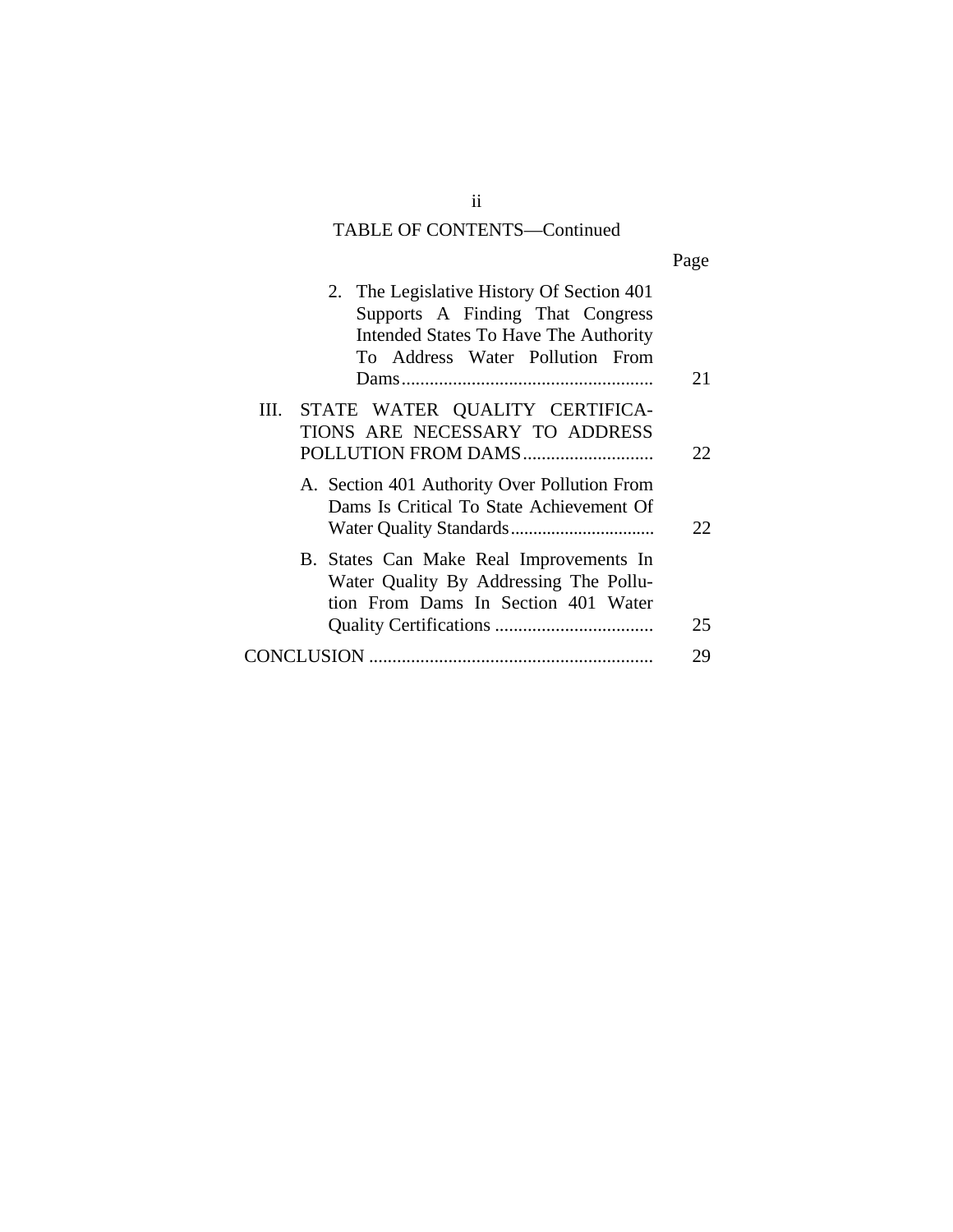# TABLE OF CONTENTS—Continued

| ٠ |  |
|---|--|
|   |  |

| 2. The Legislative History Of Section 401<br>Supports A Finding That Congress<br>Intended States To Have The Authority<br>To Address Water Pollution From | 21  |
|-----------------------------------------------------------------------------------------------------------------------------------------------------------|-----|
| STATE WATER QUALITY CERTIFICA-<br>Ш.                                                                                                                      |     |
| TIONS ARE NECESSARY TO ADDRESS                                                                                                                            |     |
|                                                                                                                                                           | 22. |
| A. Section 401 Authority Over Pollution From<br>Dams Is Critical To State Achievement Of                                                                  | 22  |
| B. States Can Make Real Improvements In<br>Water Quality By Addressing The Pollu-<br>tion From Dams In Section 401 Water                                  | 25  |
|                                                                                                                                                           |     |
|                                                                                                                                                           | 29  |
|                                                                                                                                                           |     |

ii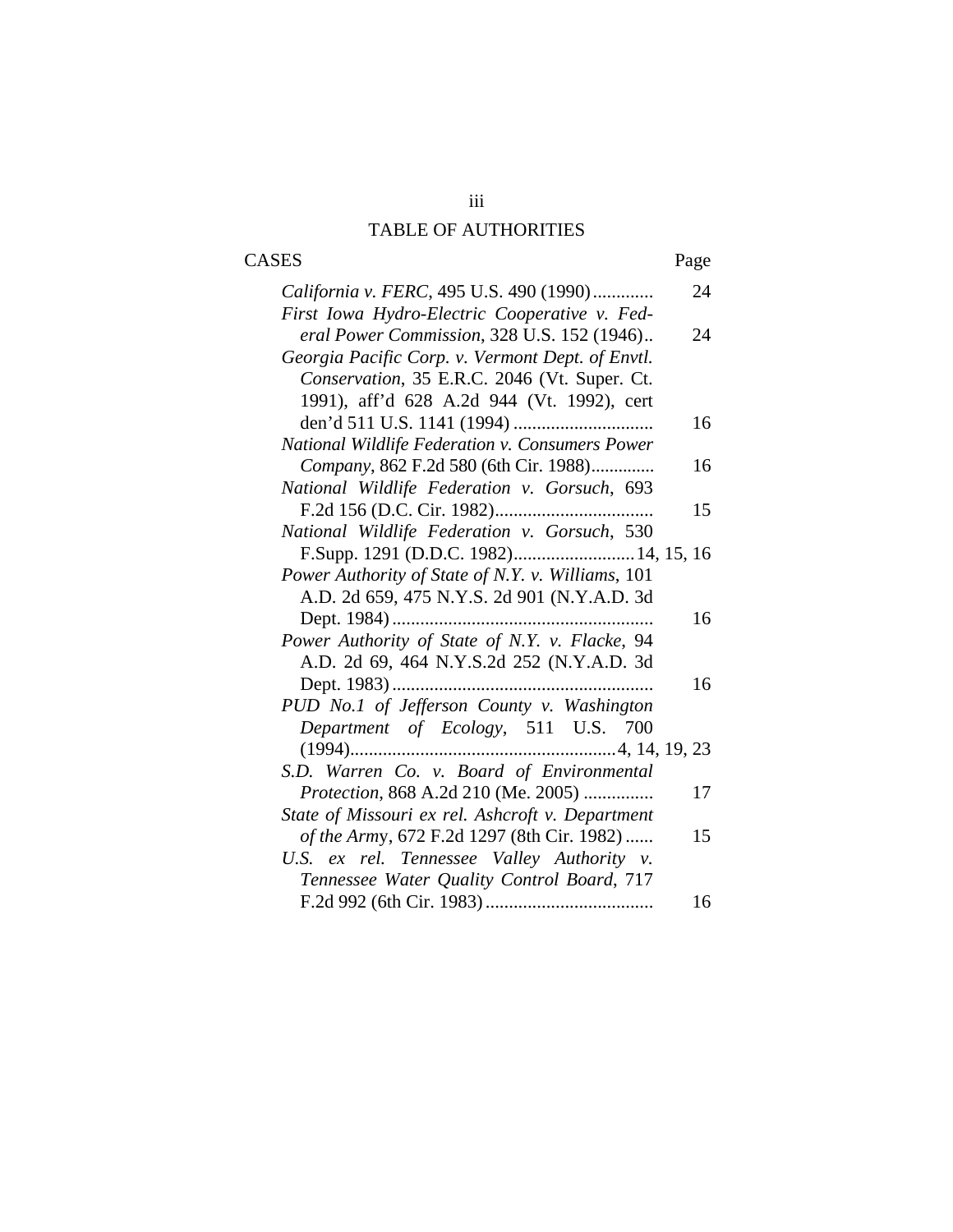# iii TABLE OF AUTHORITIES

# CASES Page

| California v. FERC, 495 U.S. 490 (1990)           | 24 |
|---------------------------------------------------|----|
| First Iowa Hydro-Electric Cooperative v. Fed-     |    |
| eral Power Commission, 328 U.S. 152 (1946)        | 24 |
| Georgia Pacific Corp. v. Vermont Dept. of Envtl.  |    |
| Conservation, 35 E.R.C. 2046 (Vt. Super. Ct.      |    |
| 1991), aff'd 628 A.2d 944 (Vt. 1992), cert        |    |
|                                                   | 16 |
| National Wildlife Federation v. Consumers Power   |    |
| Company, 862 F.2d 580 (6th Cir. 1988)             | 16 |
| National Wildlife Federation v. Gorsuch, 693      |    |
|                                                   | 15 |
| National Wildlife Federation v. Gorsuch, 530      |    |
| F.Supp. 1291 (D.D.C. 1982) 14, 15, 16             |    |
| Power Authority of State of N.Y. v. Williams, 101 |    |
| A.D. 2d 659, 475 N.Y.S. 2d 901 (N.Y.A.D. 3d       |    |
|                                                   | 16 |
| Power Authority of State of N.Y. v. Flacke, 94    |    |
| A.D. 2d 69, 464 N.Y.S.2d 252 (N.Y.A.D. 3d         |    |
|                                                   | 16 |
| PUD No.1 of Jefferson County v. Washington        |    |
| Department of Ecology, 511 U.S. 700               |    |
|                                                   |    |
| S.D. Warren Co. v. Board of Environmental         |    |
| Protection, 868 A.2d 210 (Me. 2005)               | 17 |
| State of Missouri ex rel. Ashcroft v. Department  |    |
| of the Army, 672 F.2d 1297 (8th Cir. 1982)        | 15 |
| U.S. ex rel. Tennessee Valley Authority v.        |    |
| Tennessee Water Quality Control Board, 717        |    |
|                                                   | 16 |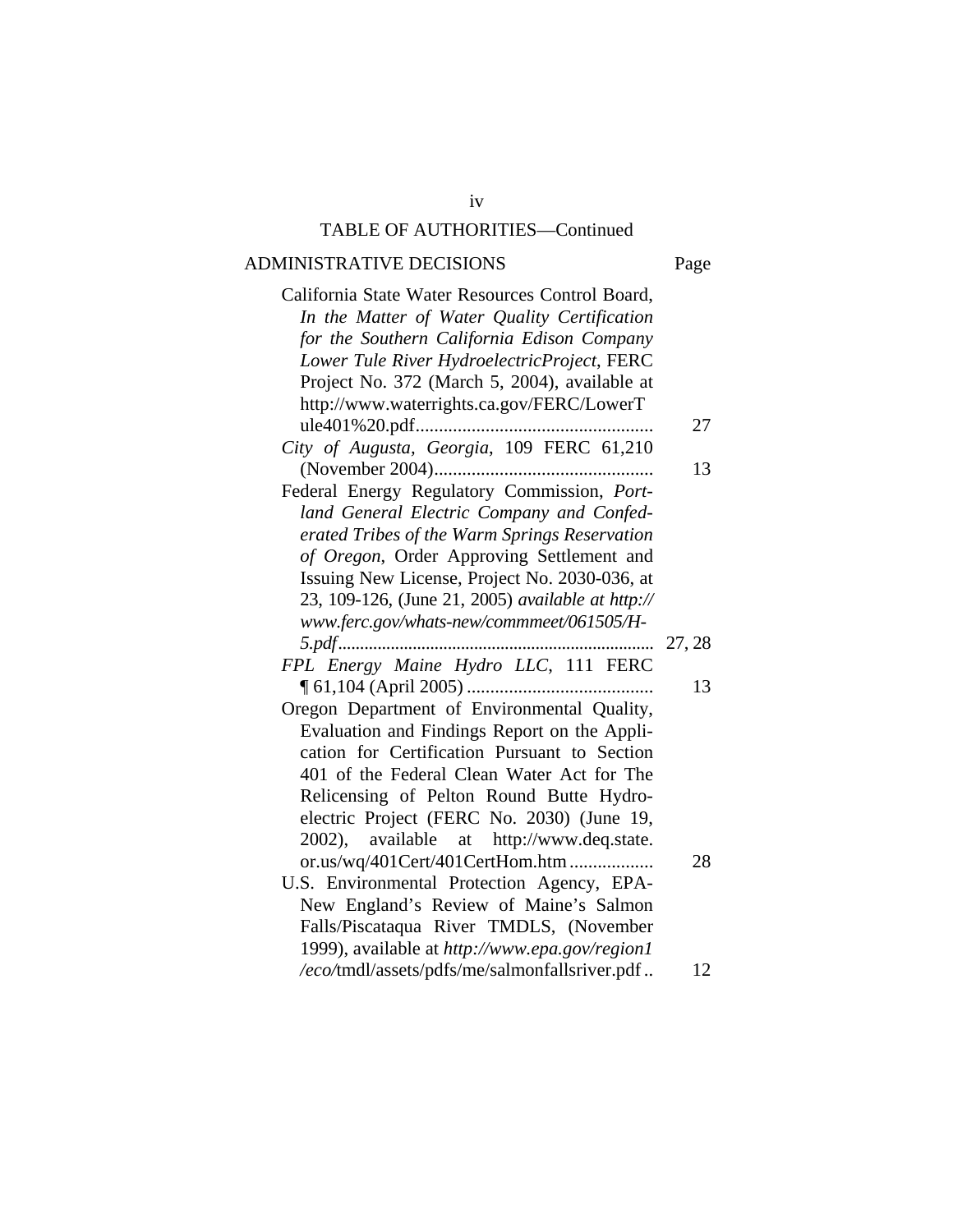# ADMINISTRATIVE DECISIONS Page

| ×<br>×<br>۰. | ۹<br>× |
|--------------|--------|

| California State Water Resources Control Board,   |        |
|---------------------------------------------------|--------|
| In the Matter of Water Quality Certification      |        |
| for the Southern California Edison Company        |        |
| Lower Tule River HydroelectricProject, FERC       |        |
| Project No. 372 (March 5, 2004), available at     |        |
| http://www.waterrights.ca.gov/FERC/LowerT         |        |
| ule401%20.pdf                                     | 27     |
| City of Augusta, Georgia, 109 FERC 61,210         |        |
|                                                   | 13     |
| Federal Energy Regulatory Commission, Port-       |        |
| land General Electric Company and Confed-         |        |
| erated Tribes of the Warm Springs Reservation     |        |
| of Oregon, Order Approving Settlement and         |        |
| Issuing New License, Project No. 2030-036, at     |        |
| 23, 109-126, (June 21, 2005) available at http:// |        |
| www.ferc.gov/whats-new/commmeet/061505/H-         |        |
| $5.pdf$                                           | 27, 28 |
| FPL Energy Maine Hydro LLC, 111 FERC              |        |
| $\P$ 61,104 (April 2005)                          | 13     |
| Oregon Department of Environmental Quality,       |        |
| Evaluation and Findings Report on the Appli-      |        |
| cation for Certification Pursuant to Section      |        |
| 401 of the Federal Clean Water Act for The        |        |
| Relicensing of Pelton Round Butte Hydro-          |        |
| electric Project (FERC No. 2030) (June 19,        |        |
| 2002), available at http://www.deq.state.         |        |
| or.us/wq/401Cert/401CertHom.htm                   | 28     |
| U.S. Environmental Protection Agency, EPA-        |        |
| New England's Review of Maine's Salmon            |        |
|                                                   |        |
| Falls/Piscataqua River TMDLS, (November           |        |
| 1999), available at http://www.epa.gov/region1    |        |
| /eco/tmdl/assets/pdfs/me/salmonfallsriver.pdf     | 12     |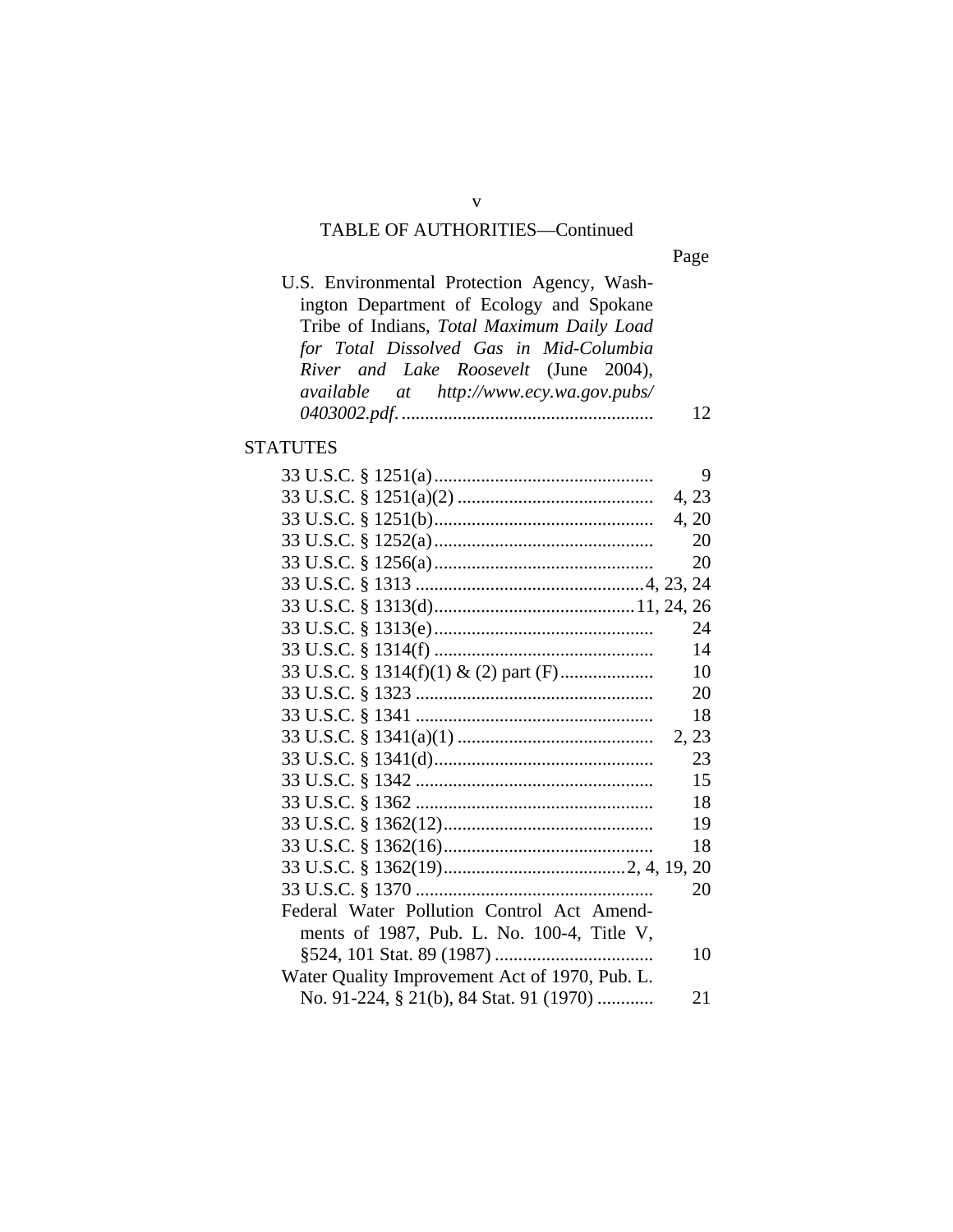Page

| U.S. Environmental Protection Agency, Wash-   |  |
|-----------------------------------------------|--|
| ington Department of Ecology and Spokane      |  |
| Tribe of Indians, Total Maximum Daily Load    |  |
| for Total Dissolved Gas in Mid-Columbia       |  |
| River and Lake Roosevelt (June 2004),         |  |
| $available$ at $http://www.ecy.wa.gov.pushs/$ |  |
|                                               |  |

# **STATUTES**

|                                                | 9     |
|------------------------------------------------|-------|
|                                                | 4, 23 |
|                                                | 4, 20 |
|                                                | 20    |
|                                                | 20    |
|                                                |       |
|                                                |       |
|                                                | 24    |
|                                                | 14    |
|                                                | 10    |
|                                                | 20    |
|                                                | 18    |
|                                                | 2, 23 |
|                                                | 23    |
|                                                | 15    |
|                                                | 18    |
|                                                | 19    |
|                                                | 18    |
|                                                |       |
|                                                | 20    |
| Federal Water Pollution Control Act Amend-     |       |
| ments of 1987, Pub. L. No. 100-4, Title V,     |       |
|                                                | 10    |
| Water Quality Improvement Act of 1970, Pub. L. |       |
| No. 91-224, § 21(b), 84 Stat. 91 (1970)        | 21    |
|                                                |       |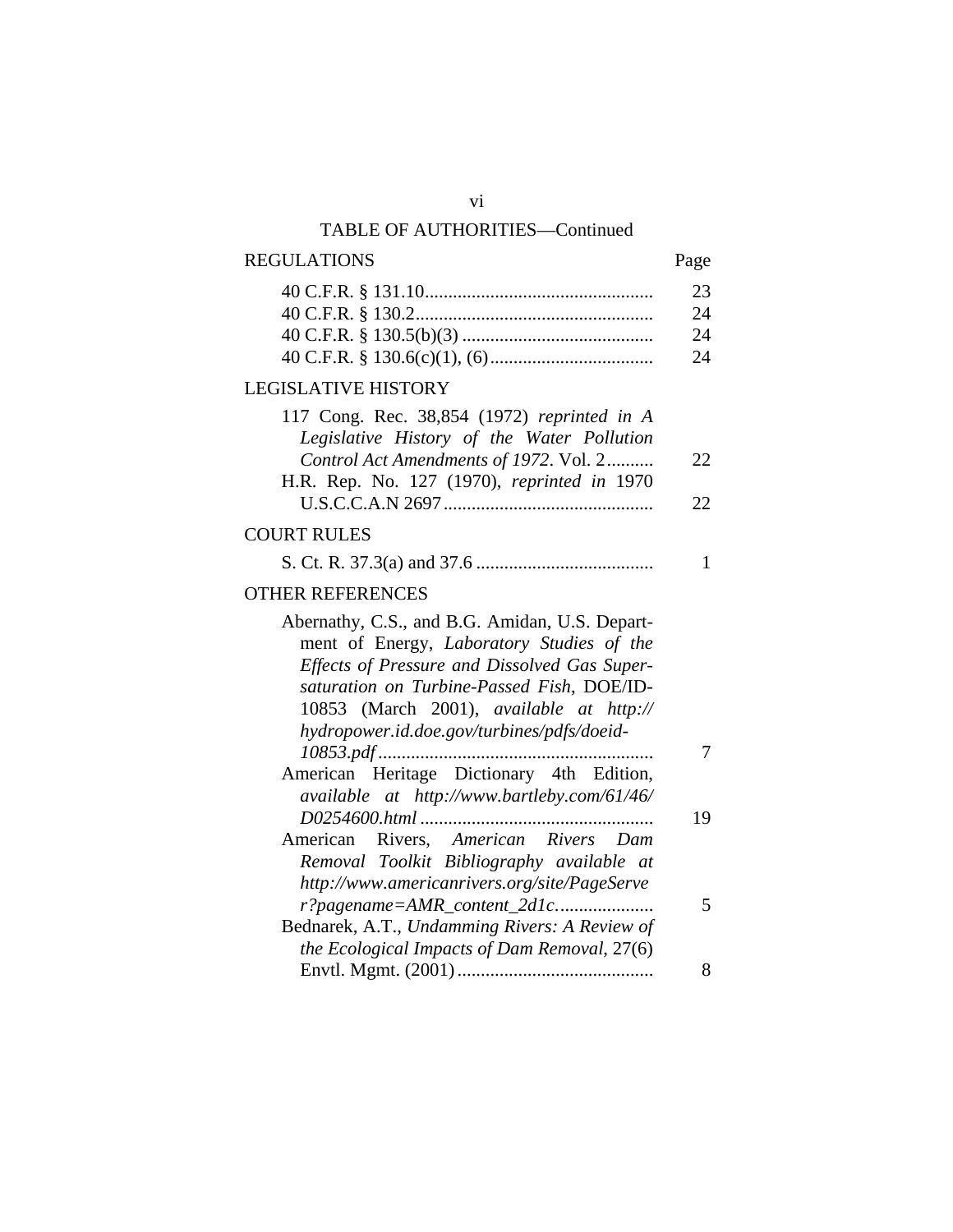| <b>REGULATIONS</b>                                                                                                                                                                                                                                                                  | Page |
|-------------------------------------------------------------------------------------------------------------------------------------------------------------------------------------------------------------------------------------------------------------------------------------|------|
|                                                                                                                                                                                                                                                                                     | 23   |
|                                                                                                                                                                                                                                                                                     | 24   |
|                                                                                                                                                                                                                                                                                     | 24   |
|                                                                                                                                                                                                                                                                                     | 24   |
| <b>LEGISLATIVE HISTORY</b>                                                                                                                                                                                                                                                          |      |
| 117 Cong. Rec. 38,854 (1972) reprinted in A<br>Legislative History of the Water Pollution                                                                                                                                                                                           |      |
| Control Act Amendments of 1972. Vol. 2                                                                                                                                                                                                                                              | 22   |
| H.R. Rep. No. 127 (1970), reprinted in 1970                                                                                                                                                                                                                                         |      |
|                                                                                                                                                                                                                                                                                     | 22   |
| <b>COURT RULES</b>                                                                                                                                                                                                                                                                  |      |
|                                                                                                                                                                                                                                                                                     | 1    |
| <b>OTHER REFERENCES</b>                                                                                                                                                                                                                                                             |      |
| Abernathy, C.S., and B.G. Amidan, U.S. Depart-<br>ment of Energy, Laboratory Studies of the<br>Effects of Pressure and Dissolved Gas Super-<br>saturation on Turbine-Passed Fish, DOE/ID-<br>10853 (March 2001), available at http://<br>hydropower.id.doe.gov/turbines/pdfs/doeid- |      |
|                                                                                                                                                                                                                                                                                     | 7    |
| American Heritage Dictionary 4th Edition,<br>available at http://www.bartleby.com/61/46/                                                                                                                                                                                            |      |
|                                                                                                                                                                                                                                                                                     | 19   |
| American Rivers, American Rivers Dam                                                                                                                                                                                                                                                |      |
| Removal Toolkit Bibliography available at                                                                                                                                                                                                                                           |      |
| http://www.americanrivers.org/site/PageServe                                                                                                                                                                                                                                        |      |
| r?pagename=AMR_content_2d1c                                                                                                                                                                                                                                                         | 5    |
| Bednarek, A.T., Undamming Rivers: A Review of                                                                                                                                                                                                                                       |      |
| the Ecological Impacts of Dam Removal, 27(6)                                                                                                                                                                                                                                        |      |
|                                                                                                                                                                                                                                                                                     | 8    |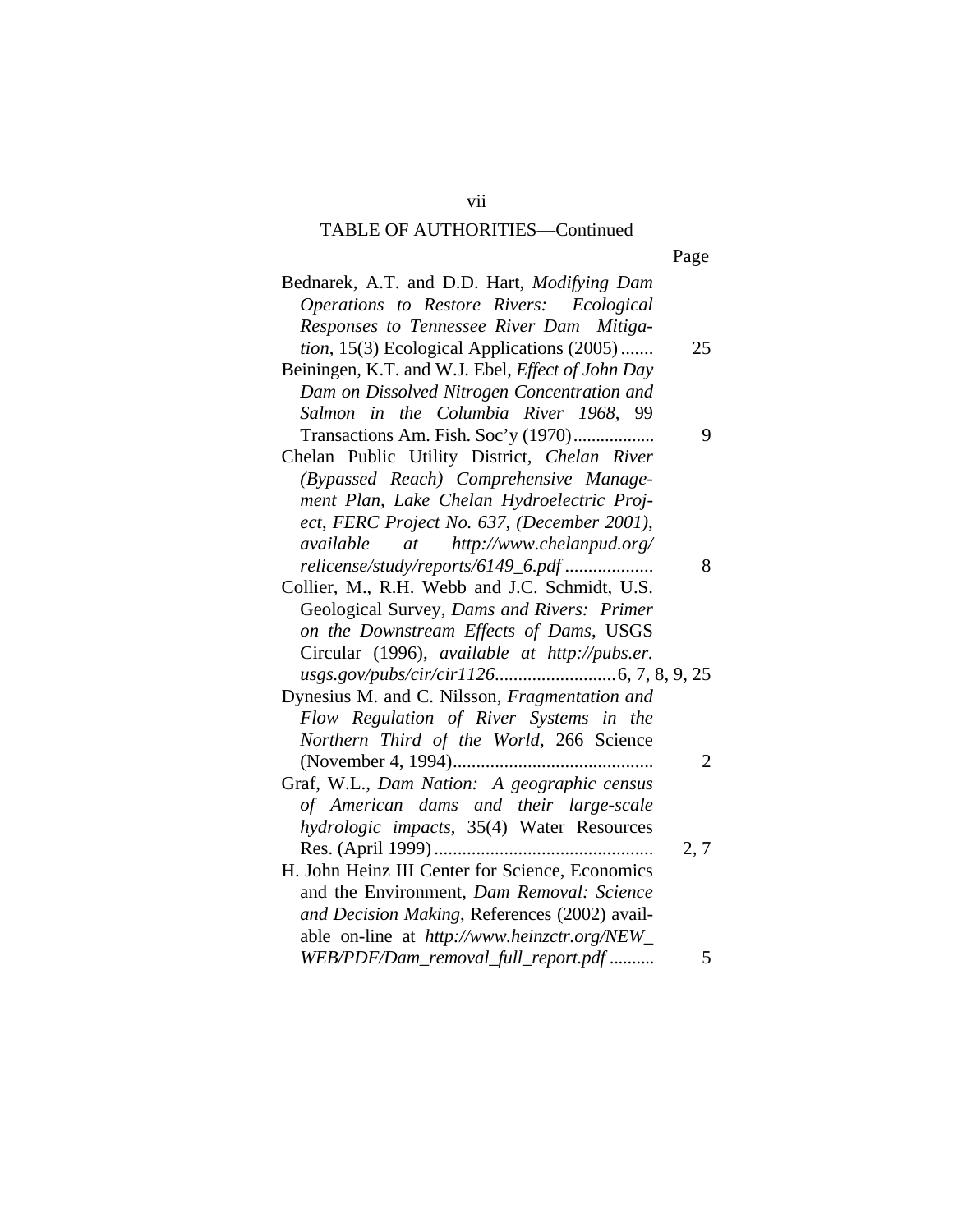|--|

| Bednarek, A.T. and D.D. Hart, Modifying Dam<br>Operations to Restore Rivers: Ecological |      |
|-----------------------------------------------------------------------------------------|------|
| Responses to Tennessee River Dam Mitiga-<br>tion, 15(3) Ecological Applications (2005)  | 25   |
| Beiningen, K.T. and W.J. Ebel, Effect of John Day                                       |      |
| Dam on Dissolved Nitrogen Concentration and                                             |      |
| Salmon in the Columbia River 1968, 99                                                   |      |
| Transactions Am. Fish. Soc'y (1970)                                                     | 9    |
| Chelan Public Utility District, Chelan River                                            |      |
| (Bypassed Reach) Comprehensive Manage-                                                  |      |
| ment Plan, Lake Chelan Hydroelectric Proj-                                              |      |
| ect, FERC Project No. 637, (December 2001),                                             |      |
| http://www.chelanpud.org/<br>available<br>at                                            |      |
| relicense/study/reports/6149_6.pdf                                                      | 8    |
| Collier, M., R.H. Webb and J.C. Schmidt, U.S.                                           |      |
| Geological Survey, Dams and Rivers: Primer                                              |      |
| on the Downstream Effects of Dams, USGS                                                 |      |
| Circular (1996), available at http://pubs.er.                                           |      |
|                                                                                         |      |
| Dynesius M. and C. Nilsson, Fragmentation and                                           |      |
| Flow Regulation of River Systems in the                                                 |      |
| Northern Third of the World, 266 Science                                                |      |
| (November 4, 1994)                                                                      | 2    |
|                                                                                         |      |
| Graf, W.L., Dam Nation: A geographic census<br>of American dams and their large-scale   |      |
|                                                                                         |      |
| hydrologic impacts, 35(4) Water Resources                                               |      |
| H. John Heinz III Center for Science, Economics                                         | 2, 7 |
|                                                                                         |      |
| and the Environment, Dam Removal: Science                                               |      |
| and Decision Making, References (2002) avail-                                           |      |
| able on-line at http://www.heinzctr.org/NEW_                                            |      |
| WEB/PDF/Dam_removal_full_report.pdf                                                     | 5    |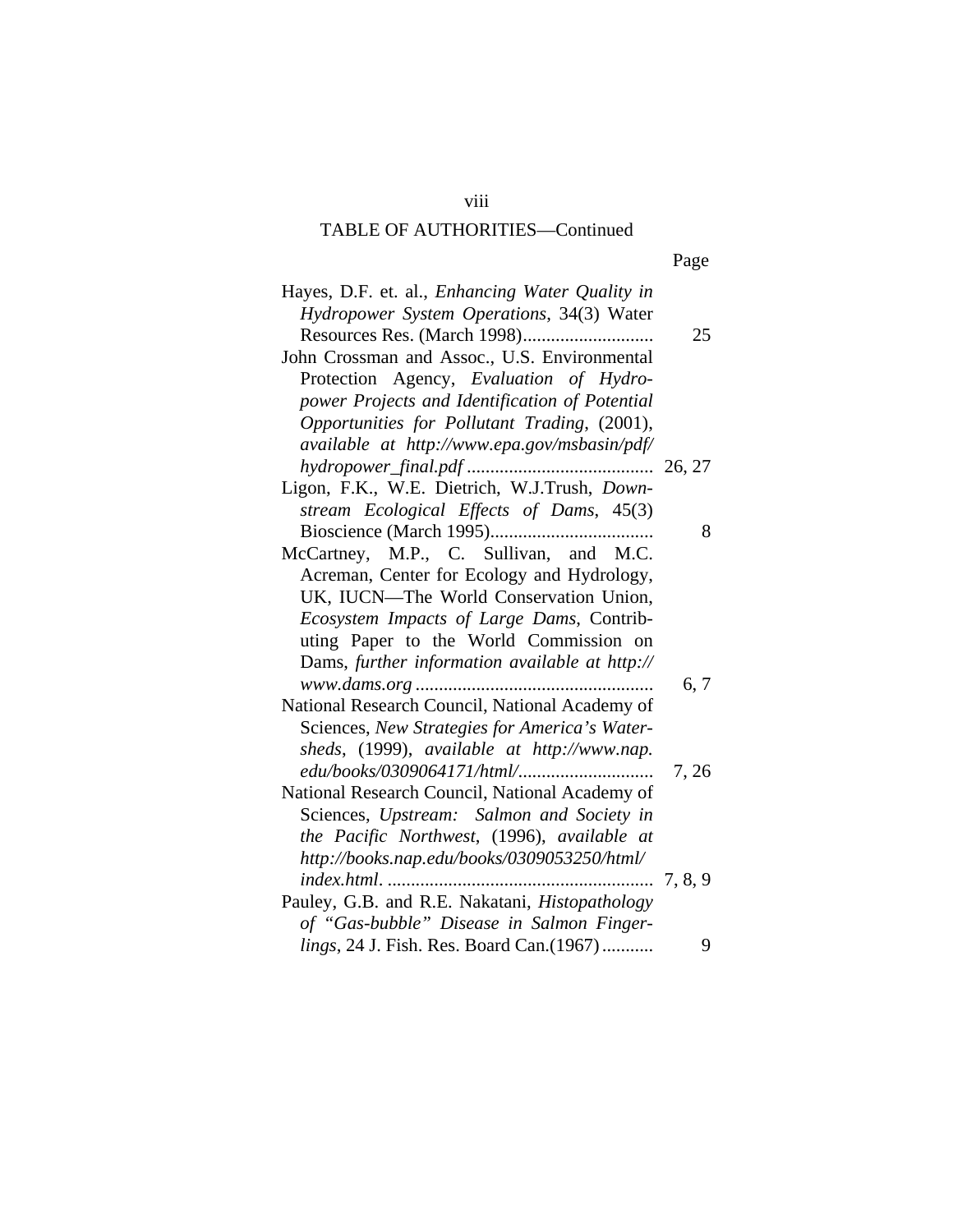Page

| Hayes, D.F. et. al., Enhancing Water Quality in |                 |
|-------------------------------------------------|-----------------|
| Hydropower System Operations, 34(3) Water       |                 |
|                                                 | 25              |
| John Crossman and Assoc., U.S. Environmental    |                 |
| Protection Agency, Evaluation of Hydro-         |                 |
| power Projects and Identification of Potential  |                 |
| Opportunities for Pollutant Trading, (2001),    |                 |
| available at http://www.epa.gov/msbasin/pdf/    |                 |
|                                                 |                 |
| Ligon, F.K., W.E. Dietrich, W.J.Trush, Down-    |                 |
| stream Ecological Effects of Dams, 45(3)        |                 |
|                                                 | 8               |
| McCartney, M.P., C. Sullivan, and M.C.          |                 |
| Acreman, Center for Ecology and Hydrology,      |                 |
| UK, IUCN-The World Conservation Union,          |                 |
| Ecosystem Impacts of Large Dams, Contrib-       |                 |
| uting Paper to the World Commission on          |                 |
| Dams, further information available at http://  |                 |
| www.dams.org                                    | 6, 7            |
| National Research Council, National Academy of  |                 |
| Sciences, New Strategies for America's Water-   |                 |
| sheds, (1999), available at http://www.nap.     |                 |
|                                                 | 7,26            |
| National Research Council, National Academy of  |                 |
| Sciences, Upstream: Salmon and Society in       |                 |
| the Pacific Northwest, (1996), available at     |                 |
| http://books.nap.edu/books/0309053250/html/     |                 |
| index.html.                                     | $\dots 7, 8, 9$ |
| Pauley, G.B. and R.E. Nakatani, Histopathology  |                 |
| of "Gas-bubble" Disease in Salmon Finger-       |                 |
| lings, 24 J. Fish. Res. Board Can.(1967)        | 9               |

viii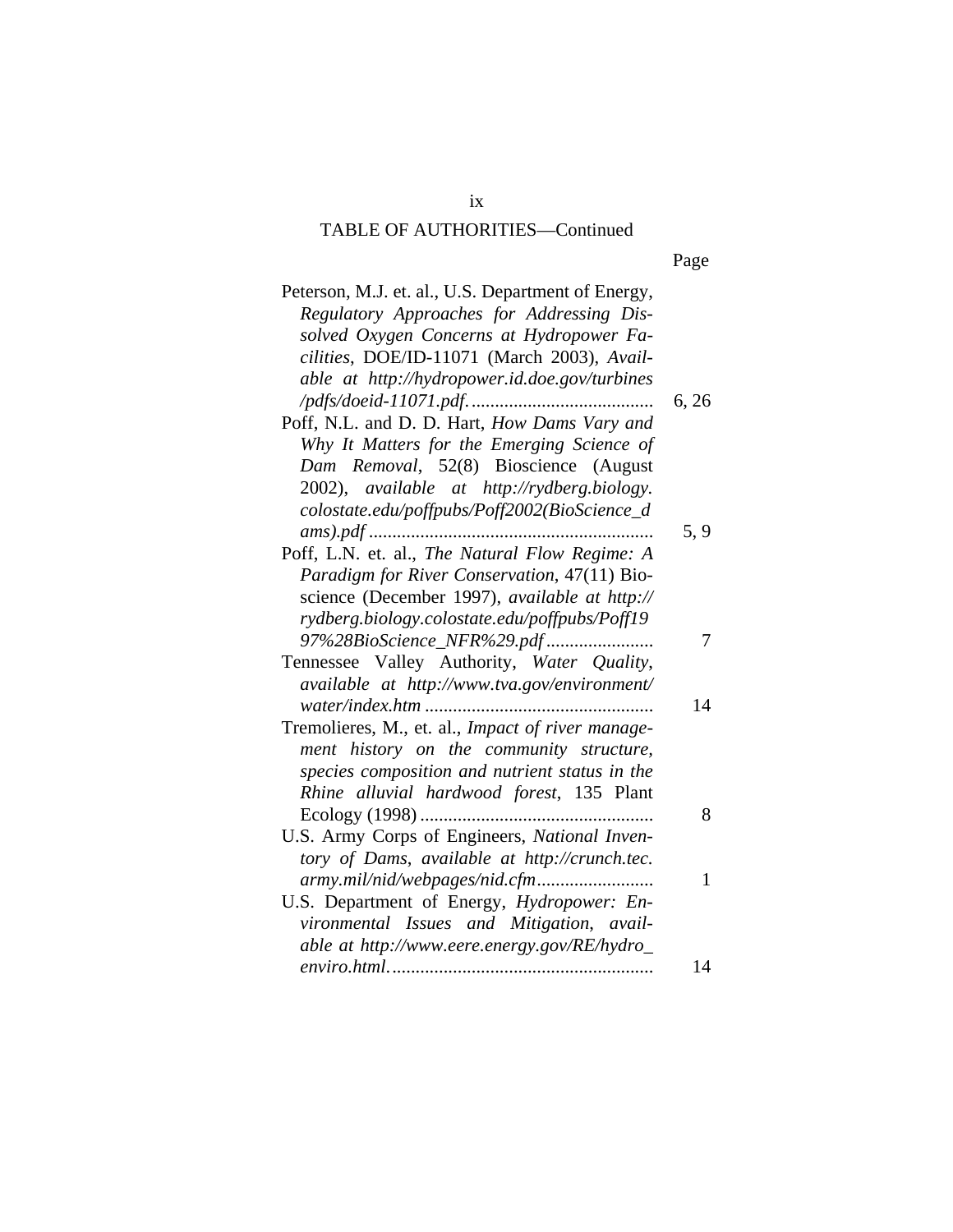| Peterson, M.J. et. al., U.S. Department of Energy, |       |
|----------------------------------------------------|-------|
| Regulatory Approaches for Addressing Dis-          |       |
| solved Oxygen Concerns at Hydropower Fa-           |       |
| cilities, DOE/ID-11071 (March 2003), Avail-        |       |
| able at http://hydropower.id.doe.gov/turbines      |       |
|                                                    | 6, 26 |
| Poff, N.L. and D. D. Hart, How Dams Vary and       |       |
| Why It Matters for the Emerging Science of         |       |
| Dam Removal, 52(8) Bioscience (August              |       |
| 2002), available at http://rydberg.biology.        |       |
| colostate.edu/poffpubs/Poff2002(BioScience_d       |       |
|                                                    | 5, 9  |
| Poff, L.N. et. al., The Natural Flow Regime: A     |       |
| Paradigm for River Conservation, 47(11) Bio-       |       |
| science (December 1997), available at http://      |       |
| rydberg.biology.colostate.edu/poffpubs/Poff19      |       |
| 97%28BioScience_NFR%29.pdf                         | 7     |
| Tennessee Valley Authority, Water Quality,         |       |
| available at http://www.tva.gov/environment/       |       |
|                                                    | 14    |
| Tremolieres, M., et. al., Impact of river manage-  |       |
| ment history on the community structure,           |       |
| species composition and nutrient status in the     |       |
| Rhine alluvial hardwood forest, 135 Plant          |       |
|                                                    | 8     |
| U.S. Army Corps of Engineers, National Inven-      |       |
| tory of Dams, available at http://crunch.tec.      |       |
|                                                    | 1     |
| U.S. Department of Energy, Hydropower: En-         |       |
| vironmental Issues and Mitigation, avail-          |       |
| able at http://www.eere.energy.gov/RE/hydro_       |       |
|                                                    | 14    |
|                                                    |       |

ix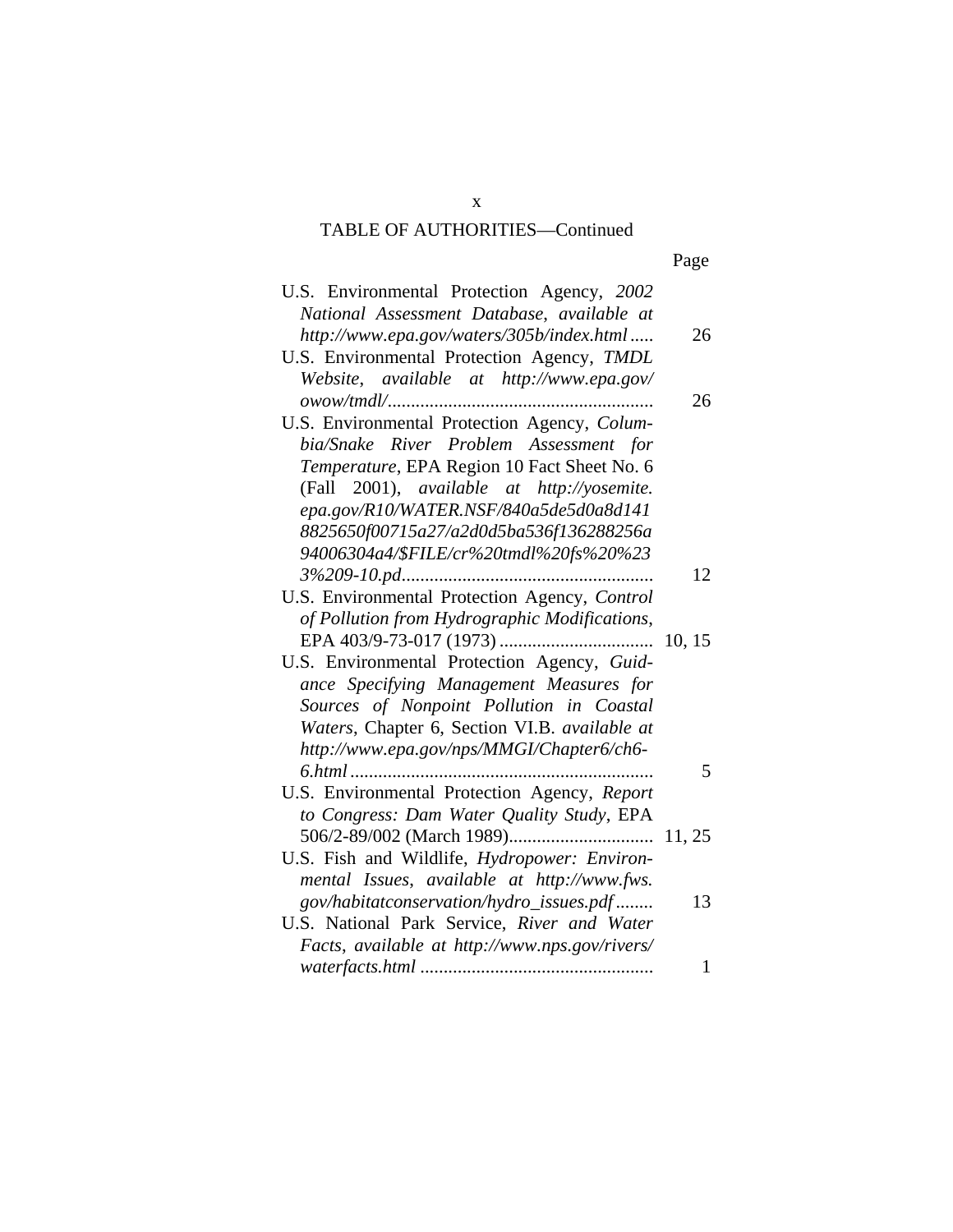| U.S. Environmental Protection Agency, 2002<br>National Assessment Database, available at |              |
|------------------------------------------------------------------------------------------|--------------|
|                                                                                          |              |
| http://www.epa.gov/waters/305b/index.html                                                | 26           |
| U.S. Environmental Protection Agency, TMDL                                               |              |
| Website, available at http://www.epa.gov/                                                |              |
|                                                                                          | 26           |
| U.S. Environmental Protection Agency, Colum-                                             |              |
| bia/Snake River Problem Assessment for                                                   |              |
| Temperature, EPA Region 10 Fact Sheet No. 6                                              |              |
| (Fall 2001), available at http://yosemite.                                               |              |
| epa.gov/R10/WATER.NSF/840a5de5d0a8d141                                                   |              |
| 8825650f00715a27/a2d0d5ba536f136288256a                                                  |              |
| 94006304a4/\$FILE/cr%20tmdl%20fs%20%23                                                   |              |
|                                                                                          | 12           |
| U.S. Environmental Protection Agency, Control                                            |              |
|                                                                                          |              |
| of Pollution from Hydrographic Modifications,                                            |              |
|                                                                                          | 10, 15       |
| U.S. Environmental Protection Agency, Guid-                                              |              |
| ance Specifying Management Measures for                                                  |              |
| Sources of Nonpoint Pollution in Coastal                                                 |              |
| Waters, Chapter 6, Section VI.B. available at                                            |              |
| http://www.epa.gov/nps/MMGI/Chapter6/ch6-                                                |              |
| 6.html                                                                                   | 5            |
| U.S. Environmental Protection Agency, Report                                             |              |
| to Congress: Dam Water Quality Study, EPA                                                |              |
|                                                                                          |              |
| U.S. Fish and Wildlife, Hydropower: Environ-                                             |              |
| mental Issues, available at http://www.fws.                                              |              |
| gov/habitatconservation/hydro_issues.pdf                                                 | 13           |
|                                                                                          |              |
| U.S. National Park Service, River and Water                                              |              |
| Facts, available at http://www.nps.gov/rivers/                                           |              |
|                                                                                          | $\mathbf{1}$ |

x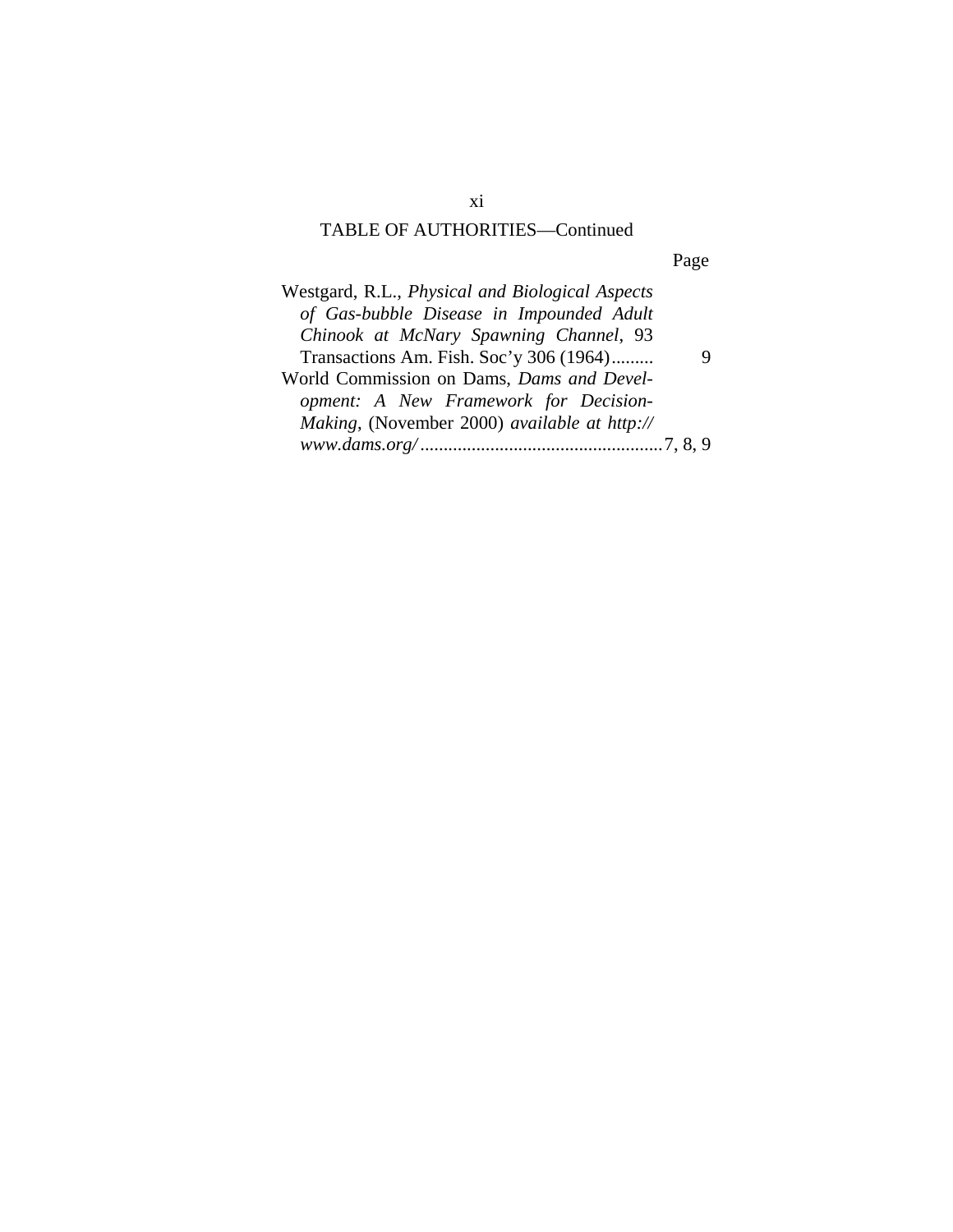Page

| Westgard, R.L., Physical and Biological Aspects |  |
|-------------------------------------------------|--|
| of Gas-bubble Disease in Impounded Adult        |  |
| Chinook at McNary Spawning Channel, 93          |  |
| Transactions Am. Fish. Soc'y 306 (1964)         |  |
| World Commission on Dams, Dams and Devel-       |  |
| opment: A New Framework for Decision-           |  |
| Making, (November 2000) available at http://    |  |
|                                                 |  |

xi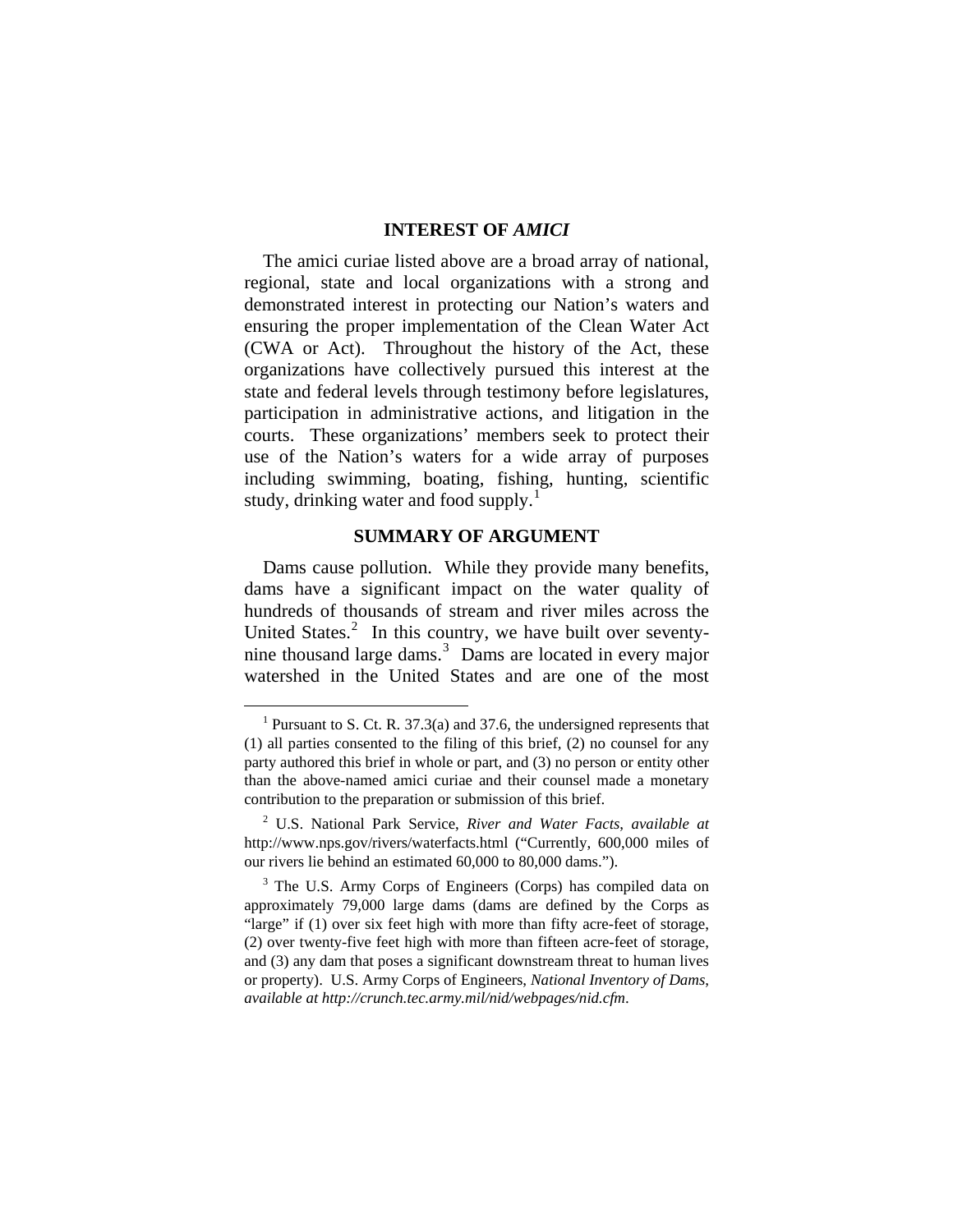#### **INTEREST OF** *AMICI*

The amici curiae listed above are a broad array of national, regional, state and local organizations with a strong and demonstrated interest in protecting our Nation's waters and ensuring the proper implementation of the Clean Water Act (CWA or Act). Throughout the history of the Act, these organizations have collectively pursued this interest at the state and federal levels through testimony before legislatures, participation in administrative actions, and litigation in the courts. These organizations' members seek to protect their use of the Nation's waters for a wide array of purposes including swimming, boating, fishing, hunting, scientific study, drinking water and food supply.<sup>[1](#page-13-0)</sup>

#### **SUMMARY OF ARGUMENT**

Dams cause pollution. While they provide many benefits, dams have a significant impact on the water quality of hundreds of thousands of stream and river miles across the United States. $2$  In this country, we have built over seventy-nine thousand large dams.<sup>[3](#page-13-2)</sup> Dams are located in every major watershed in the United States and are one of the most

<span id="page-13-0"></span><sup>&</sup>lt;sup>1</sup> Pursuant to S. Ct. R. 37.3(a) and 37.6, the undersigned represents that (1) all parties consented to the filing of this brief, (2) no counsel for any party authored this brief in whole or part, and (3) no person or entity other than the above-named amici curiae and their counsel made a monetary contribution to the preparation or submission of this brief.

<span id="page-13-1"></span><sup>2</sup> U.S. National Park Service, *River and Water Facts*, *available at* http://www.nps.gov/rivers/waterfacts.html ("Currently, 600,000 miles of our rivers lie behind an estimated 60,000 to 80,000 dams.").

<span id="page-13-2"></span><sup>&</sup>lt;sup>3</sup> The U.S. Army Corps of Engineers (Corps) has compiled data on approximately 79,000 large dams (dams are defined by the Corps as "large" if (1) over six feet high with more than fifty acre-feet of storage, (2) over twenty-five feet high with more than fifteen acre-feet of storage, and (3) any dam that poses a significant downstream threat to human lives or property). U.S. Army Corps of Engineers, *National Inventory of Dams*, *available at <http://crunch.tec.army.mil/nid/webpages/nid.cfm>*.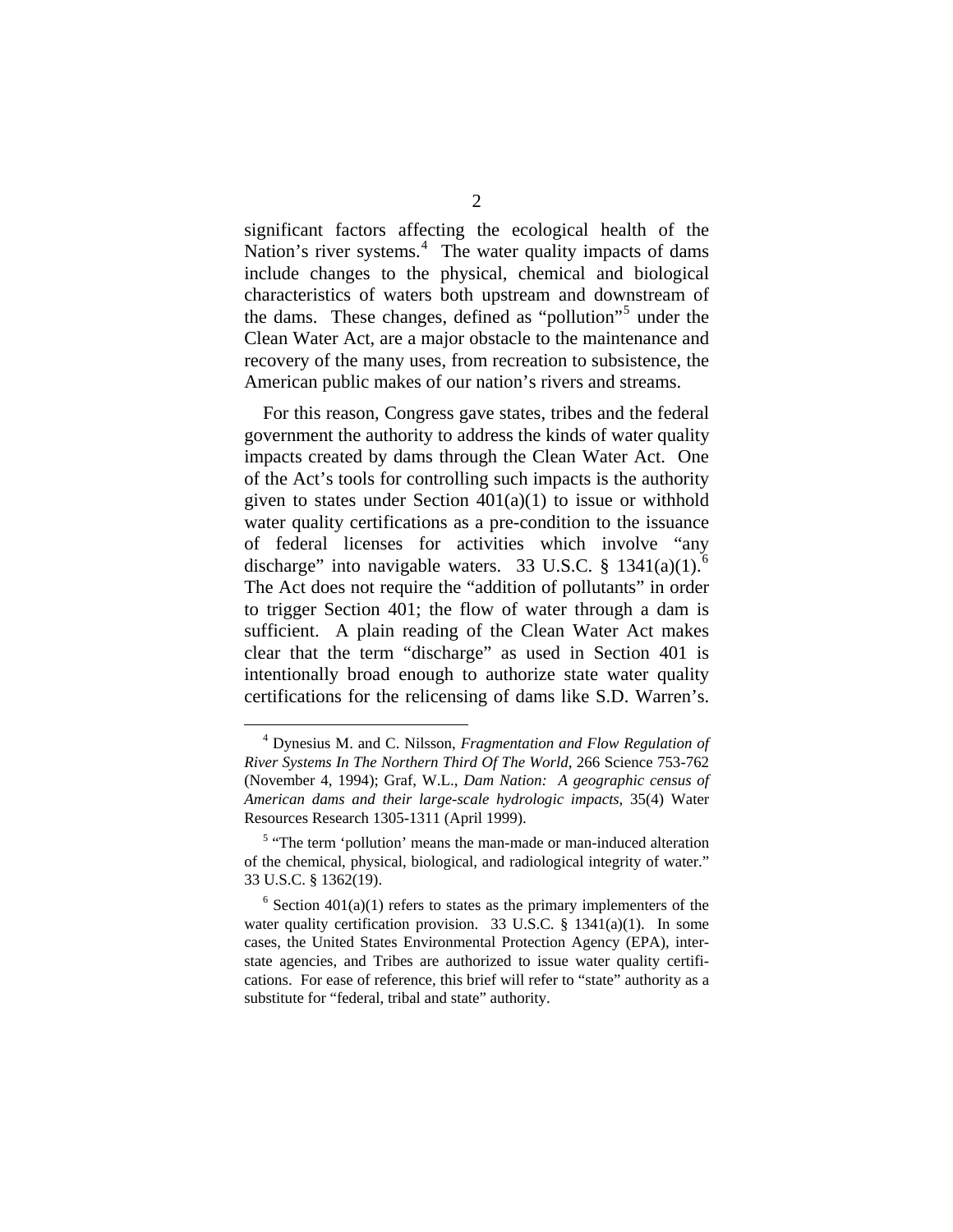significant factors affecting the ecological health of the Nation's river systems.<sup>[4](#page-14-0)</sup> The water quality impacts of dams include changes to the physical, chemical and biological characteristics of waters both upstream and downstream of the dams. These changes, defined as "pollution"<sup>[5](#page-14-1)</sup> under the Clean Water Act, are a major obstacle to the maintenance and recovery of the many uses, from recreation to subsistence, the American public makes of our nation's rivers and streams.

For this reason, Congress gave states, tribes and the federal government the authority to address the kinds of water quality impacts created by dams through the Clean Water Act. One of the Act's tools for controlling such impacts is the authority given to states under Section  $401(a)(1)$  to issue or withhold water quality certifications as a pre-condition to the issuance of federal licenses for activities which involve "any discharge" into navigable waters. 33 U.S.C. § 1341(a)(1).<sup>[6](#page-14-2)</sup> The Act does not require the "addition of pollutants" in order to trigger Section 401; the flow of water through a dam is sufficient. A plain reading of the Clean Water Act makes clear that the term "discharge" as used in Section 401 is intentionally broad enough to authorize state water quality certifications for the relicensing of dams like S.D. Warren's.

<span id="page-14-0"></span> <sup>4</sup> Dynesius M. and C. Nilsson, *Fragmentation and Flow Regulation of River Systems In The Northern Third Of The World*, 266 Science 753-762 (November 4, 1994); Graf, W.L., *Dam Nation: A geographic census of American dams and their large-scale hydrologic impacts*, 35(4) Water Resources Research 1305-1311 (April 1999).

<span id="page-14-1"></span> $<sup>5</sup>$  "The term 'pollution' means the man-made or man-induced alteration</sup> of the chemical, physical, biological, and radiological integrity of water." 33 U.S.C. § 1362(19).

<span id="page-14-2"></span> $6$  Section 401(a)(1) refers to states as the primary implementers of the water quality certification provision. 33 U.S.C. § 1341(a)(1). In some cases, the United States Environmental Protection Agency (EPA), interstate agencies, and Tribes are authorized to issue water quality certifications. For ease of reference, this brief will refer to "state" authority as a substitute for "federal, tribal and state" authority.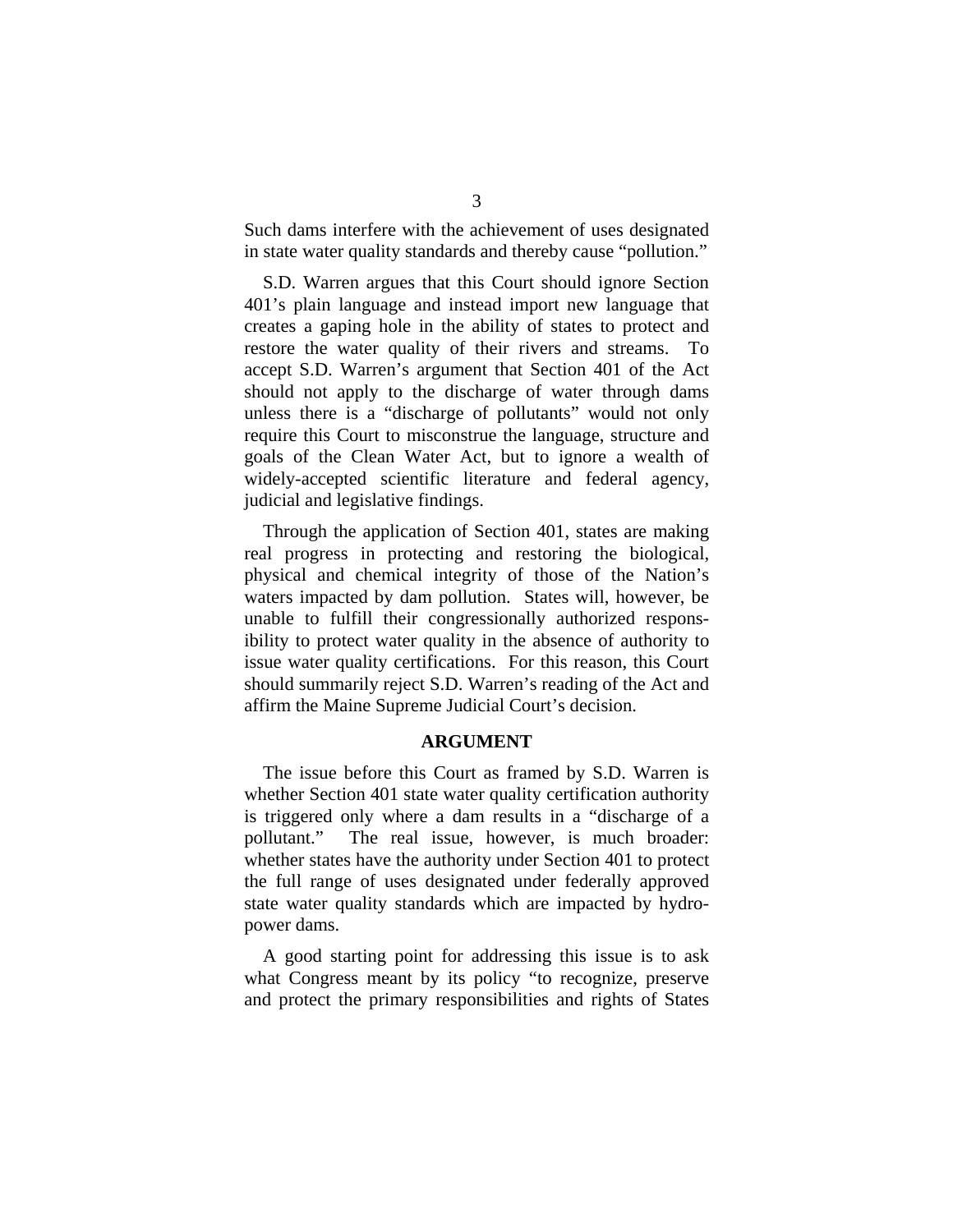Such dams interfere with the achievement of uses designated in state water quality standards and thereby cause "pollution."

S.D. Warren argues that this Court should ignore Section 401's plain language and instead import new language that creates a gaping hole in the ability of states to protect and restore the water quality of their rivers and streams. To accept S.D. Warren's argument that Section 401 of the Act should not apply to the discharge of water through dams unless there is a "discharge of pollutants" would not only require this Court to misconstrue the language, structure and goals of the Clean Water Act, but to ignore a wealth of widely-accepted scientific literature and federal agency, judicial and legislative findings.

Through the application of Section 401, states are making real progress in protecting and restoring the biological, physical and chemical integrity of those of the Nation's waters impacted by dam pollution. States will, however, be unable to fulfill their congressionally authorized responsibility to protect water quality in the absence of authority to issue water quality certifications. For this reason, this Court should summarily reject S.D. Warren's reading of the Act and affirm the Maine Supreme Judicial Court's decision.

#### **ARGUMENT**

The issue before this Court as framed by S.D. Warren is whether Section 401 state water quality certification authority is triggered only where a dam results in a "discharge of a pollutant." The real issue, however, is much broader: whether states have the authority under Section 401 to protect the full range of uses designated under federally approved state water quality standards which are impacted by hydropower dams.

A good starting point for addressing this issue is to ask what Congress meant by its policy "to recognize, preserve and protect the primary responsibilities and rights of States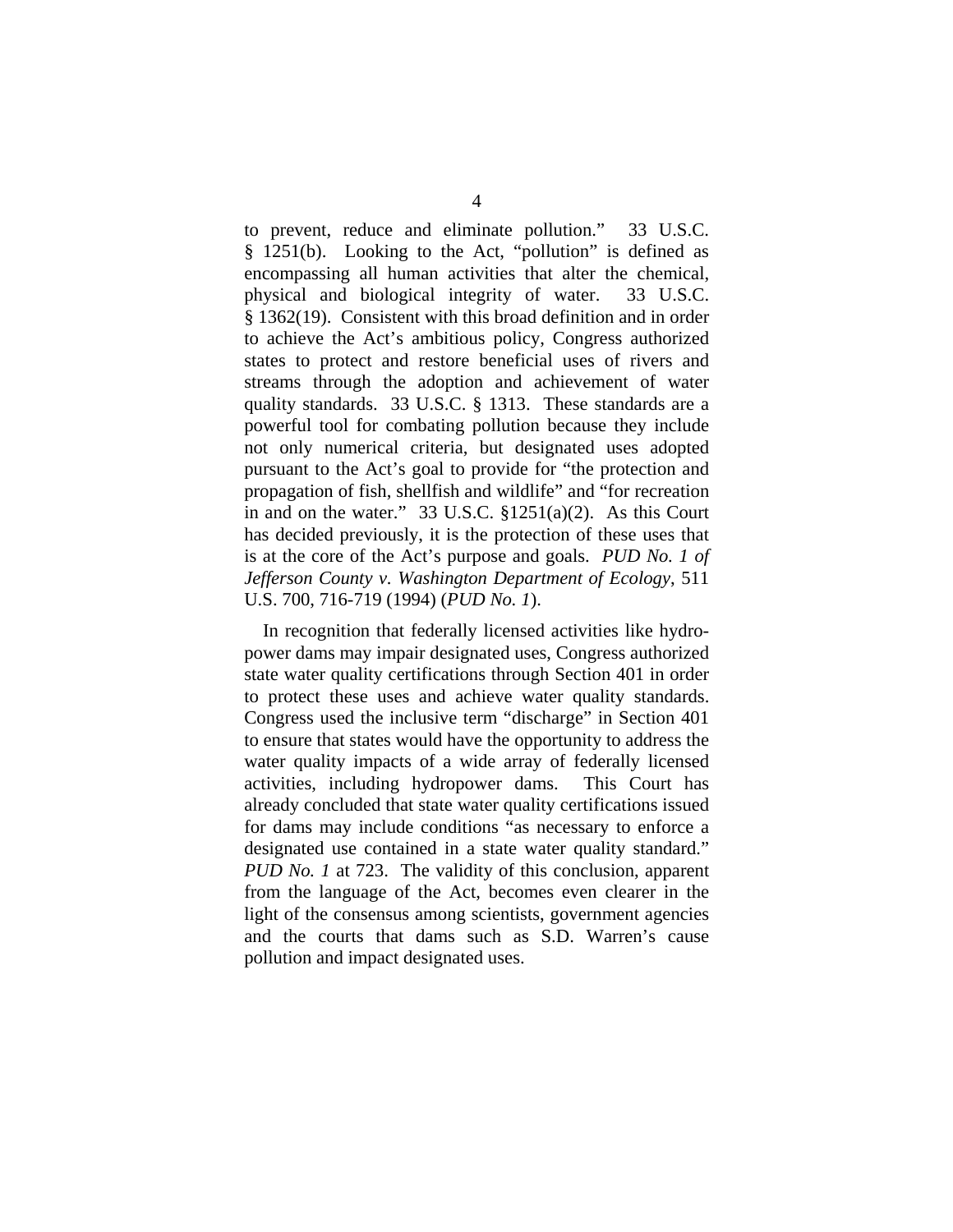to prevent, reduce and eliminate pollution." 33 U.S.C. § 1251(b). Looking to the Act, "pollution" is defined as encompassing all human activities that alter the chemical, physical and biological integrity of water. 33 U.S.C. § 1362(19). Consistent with this broad definition and in order to achieve the Act's ambitious policy, Congress authorized states to protect and restore beneficial uses of rivers and streams through the adoption and achievement of water quality standards. 33 U.S.C. § 1313. These standards are a powerful tool for combating pollution because they include not only numerical criteria, but designated uses adopted pursuant to the Act's goal to provide for "the protection and propagation of fish, shellfish and wildlife" and "for recreation in and on the water." 33 U.S.C. §1251(a)(2). As this Court has decided previously, it is the protection of these uses that is at the core of the Act's purpose and goals. *PUD No. 1 of Jefferson County v. Washington Department of Ecology*, 511 U.S. 700, 716-719 (1994) (*PUD No. 1*).

In recognition that federally licensed activities like hydropower dams may impair designated uses, Congress authorized state water quality certifications through Section 401 in order to protect these uses and achieve water quality standards. Congress used the inclusive term "discharge" in Section 401 to ensure that states would have the opportunity to address the water quality impacts of a wide array of federally licensed activities, including hydropower dams. This Court has already concluded that state water quality certifications issued for dams may include conditions "as necessary to enforce a designated use contained in a state water quality standard." *PUD No. 1* at 723. The validity of this conclusion, apparent from the language of the Act, becomes even clearer in the light of the consensus among scientists, government agencies and the courts that dams such as S.D. Warren's cause pollution and impact designated uses.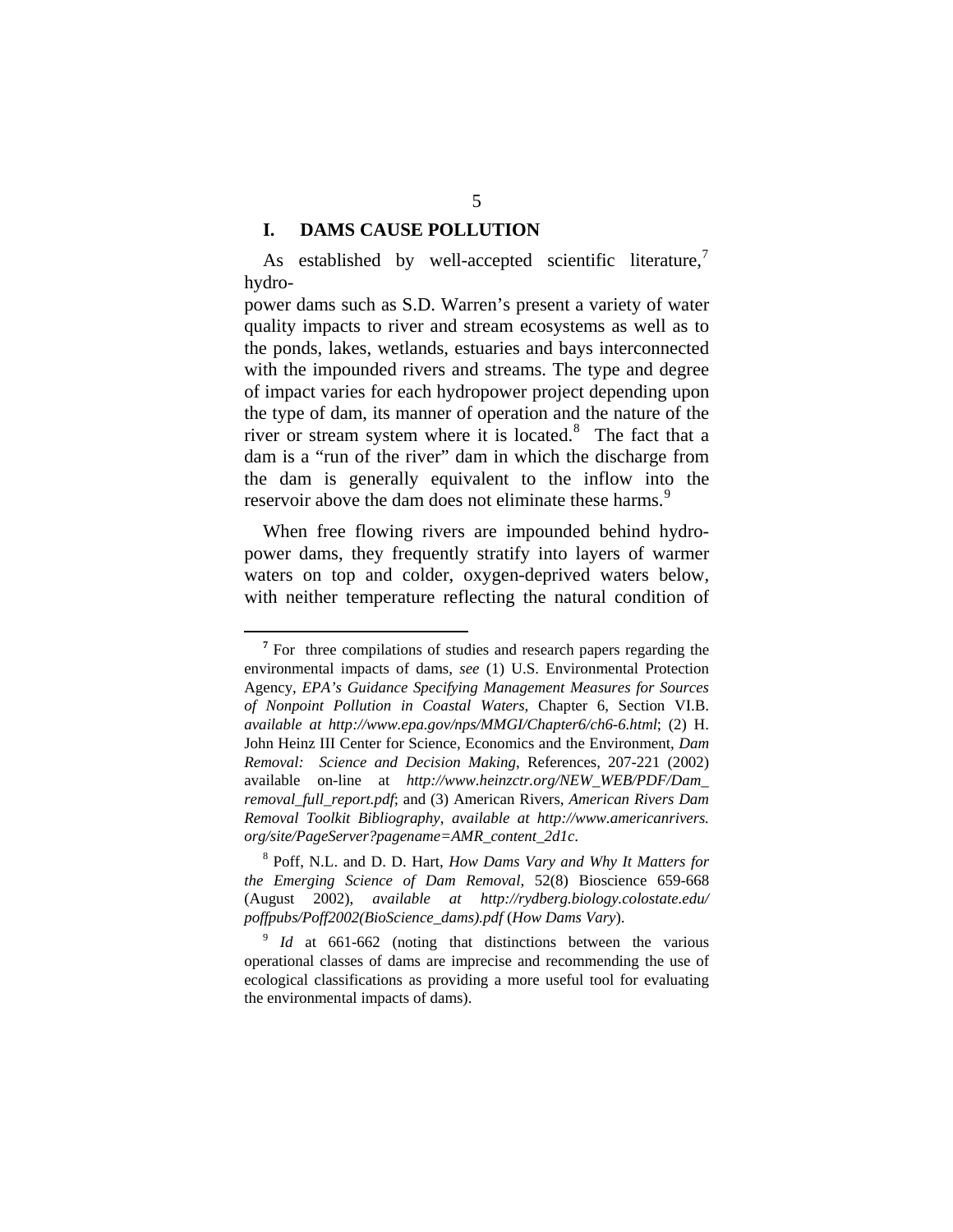#### **I. DAMS CAUSE POLLUTION**

1

As established by well-accepted scientific literature,<sup>[7](#page-17-0)</sup> hydro-

power dams such as S.D. Warren's present a variety of water quality impacts to river and stream ecosystems as well as to the ponds, lakes, wetlands, estuaries and bays interconnected with the impounded rivers and streams. The type and degree of impact varies for each hydropower project depending upon the type of dam, its manner of operation and the nature of the river or stream system where it is located. $8$  The fact that a dam is a "run of the river" dam in which the discharge from the dam is generally equivalent to the inflow into the reservoir above the dam does not eliminate these harms.<sup>[9](#page-17-2)</sup>

When free flowing rivers are impounded behind hydropower dams, they frequently stratify into layers of warmer waters on top and colder, oxygen-deprived waters below, with neither temperature reflecting the natural condition of

<span id="page-17-0"></span><sup>&</sup>lt;sup>7</sup> For three compilations of studies and research papers regarding the environmental impacts of dams, *see* (1) U.S. Environmental Protection Agency, *EPA's Guidance Specifying Management Measures for Sources of Nonpoint Pollution in Coastal Waters*, Chapter 6, Section VI.B. *available at <http://www.epa.gov/nps/MMGI/Chapter6/ch6-6.html>*; (2) H. John Heinz III Center for Science, Economics and the Environment, *Dam Removal: Science and Decision Making*, References, 207-221 (2002) available on-line at *[http://www.heinzctr.org/NEW\\_WEB/PDF/Dam\\_](http://www.heinzctr.org/NEW_WEB/PDF/Dam_%0Bremoval_full_report.pdf)  [removal\\_full\\_report.pdf](http://www.heinzctr.org/NEW_WEB/PDF/Dam_%0Bremoval_full_report.pdf)*; and (3) American Rivers, *American Rivers Dam Removal Toolkit Bibliography*, *available at http://www.americanrivers. org/site/PageServer?pagename=AMR\_content\_2d1c*.

<span id="page-17-1"></span><sup>8</sup> Poff, N.L. and D. D. Hart, *How Dams Vary and Why It Matters for the Emerging Science of Dam Removal*, 52(8) Bioscience 659-668 (August 2002), *available at [http://rydberg.biology.colostate.edu/](http://rydberg.biology.colostate.edu/%0Bpoffpubs/Poff2002(BioScience_dams).pdf)  [poffpubs/Poff2002\(BioScience\\_dams\).pdf](http://rydberg.biology.colostate.edu/%0Bpoffpubs/Poff2002(BioScience_dams).pdf)* (*How Dams Vary*).

<span id="page-17-2"></span><sup>&</sup>lt;sup>9</sup> *Id* at 661-662 (noting that distinctions between the various operational classes of dams are imprecise and recommending the use of ecological classifications as providing a more useful tool for evaluating the environmental impacts of dams).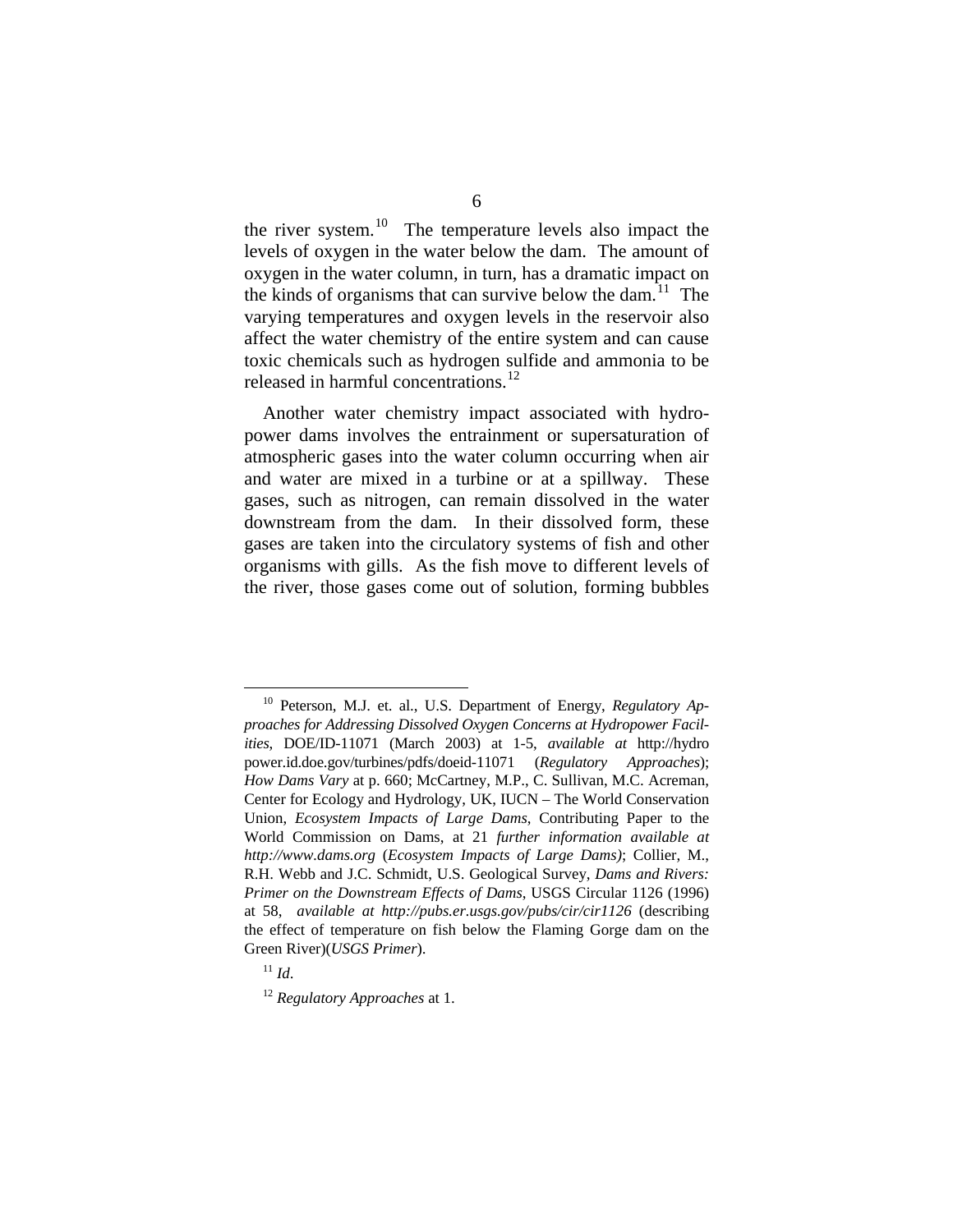the river system.<sup>[10](#page-18-0)</sup> The temperature levels also impact the levels of oxygen in the water below the dam. The amount of oxygen in the water column, in turn, has a dramatic impact on the kinds of organisms that can survive below the dam.<sup>11</sup> The varying temperatures and oxygen levels in the reservoir also affect the water chemistry of the entire system and can cause toxic chemicals such as hydrogen sulfide and ammonia to be released in harmful concentrations.<sup>[12](#page-18-2)</sup>

Another water chemistry impact associated with hydropower dams involves the entrainment or supersaturation of atmospheric gases into the water column occurring when air and water are mixed in a turbine or at a spillway. These gases, such as nitrogen, can remain dissolved in the water downstream from the dam. In their dissolved form, these gases are taken into the circulatory systems of fish and other organisms with gills. As the fish move to different levels of the river, those gases come out of solution, forming bubbles

<span id="page-18-0"></span> <sup>10</sup> Peterson, M.J. et. al., U.S. Department of Energy, *Regulatory Approaches for Addressing Dissolved Oxygen Concerns at Hydropower Facilities*, DOE/ID-11071 (March 2003) at 1-5, *available at* http://hydro power.id.doe.gov/turbines/pdfs/doeid-11071 (*Regulatory Approaches*); *How Dams Vary* at p. 660; McCartney, M.P., C. Sullivan, M.C. Acreman, Center for Ecology and Hydrology, UK, IUCN – The World Conservation Union, *Ecosystem Impacts of Large Dams*, Contributing Paper to the World Commission on Dams, at 21 *further information available at [http://www.dams.org](http://www.dams.org/)* (*Ecosystem Impacts of Large Dams)*; Collier, M., R.H. Webb and J.C. Schmidt, U.S. Geological Survey, *Dams and Rivers: Primer on the Downstream Effects of Dams*, USGS Circular 1126 (1996) at 58, *available at <http://pubs.er.usgs.gov/pubs/cir/cir1126>* (describing the effect of temperature on fish below the Flaming Gorge dam on the Green River)(*USGS Primer*).

<span id="page-18-1"></span><sup>11</sup> *Id*.

<span id="page-18-2"></span><sup>12</sup> *Regulatory Approaches* at 1.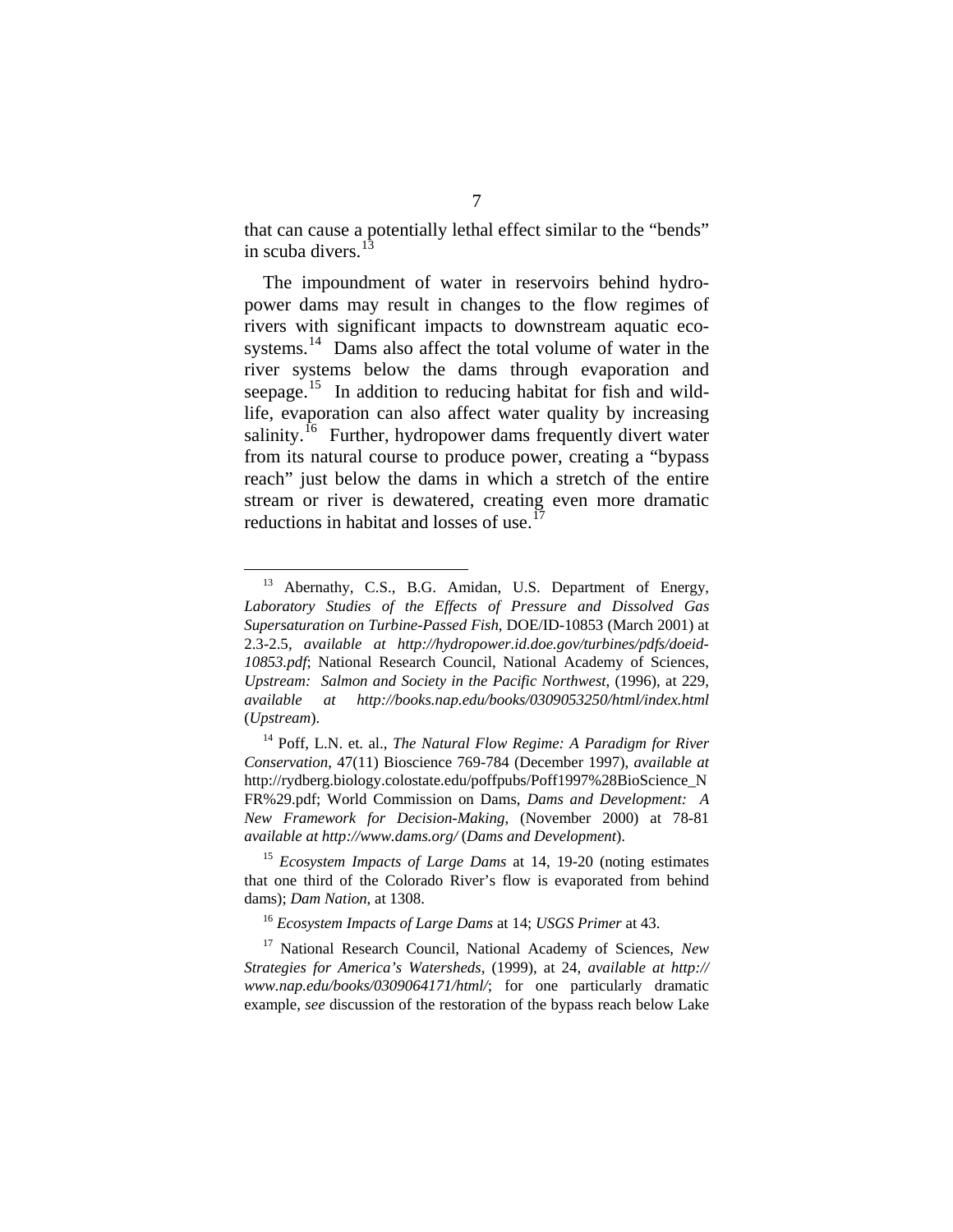that can cause a potentially lethal effect similar to the "bends" in scuba divers. $<sup>1</sup>$ </sup>

The impoundment of water in reservoirs behind hydropower dams may result in changes to the flow regimes of rivers with significant impacts to downstream aquatic eco-systems.<sup>[14](#page-19-1)</sup> Dams also affect the total volume of water in the river systems below the dams through evaporation and seepage.<sup>[15](#page-19-2)</sup> In addition to reducing habitat for fish and wildlife, evaporation can also affect water quality by increasing salinity.<sup>[16](#page-19-3)</sup> Further, hydropower dams frequently divert water from its natural course to produce power, creating a "bypass reach" just below the dams in which a stretch of the entire stream or river is dewatered, creating even more dramatic reductions in habitat and losses of use.<sup>1</sup>

<span id="page-19-0"></span><sup>&</sup>lt;sup>13</sup> Abernathy, C.S., B.G. Amidan, U.S. Department of Energy, *Laboratory Studies of the Effects of Pressure and Dissolved Gas Supersaturation on Turbine-Passed Fish*, DOE/ID-10853 (March 2001) at 2.3-2.5, *available at [http://hydropower.id.doe.gov/turbines/pdfs/doeid-](http://hydropower.id.doe.gov/turbines/pdfs/doeid-10853.pdf)[10853.pdf](http://hydropower.id.doe.gov/turbines/pdfs/doeid-10853.pdf)*; National Research Council, National Academy of Sciences, *Upstream: Salmon and Society in the Pacific Northwest*, (1996), at 229, *available at <http://books.nap.edu/books/0309053250/html/index.html>* (*Upstream*).

<span id="page-19-1"></span><sup>&</sup>lt;sup>14</sup> Poff, L.N. et. al., *The Natural Flow Regime: A Paradigm for River Conservation*, 47(11) Bioscience 769-784 (December 1997), *available at* http://rydberg.biology.colostate.edu/poffpubs/Poff1997%28BioScience\_N FR%29.pdf; World Commission on Dams, *Dams and Development: A New Framework for Decision-Making*, (November 2000) at 78-81 *available at <http://www.dams.org/>* (*Dams and Development*).

<span id="page-19-2"></span><sup>15</sup> *Ecosystem Impacts of Large Dams* at 14, 19-20 (noting estimates that one third of the Colorado River's flow is evaporated from behind dams); *Dam Nation*, at 1308.

<sup>16</sup> *Ecosystem Impacts of Large Dams* at 14; *USGS Primer* at 43.

<span id="page-19-4"></span><span id="page-19-3"></span><sup>17</sup> National Research Council, National Academy of Sciences, *New Strategies for America's Watersheds*, (1999), at 24, *available at http:// www.nap.edu/books/0309064171/html/*; for one particularly dramatic example, *see* discussion of the restoration of the bypass reach below Lake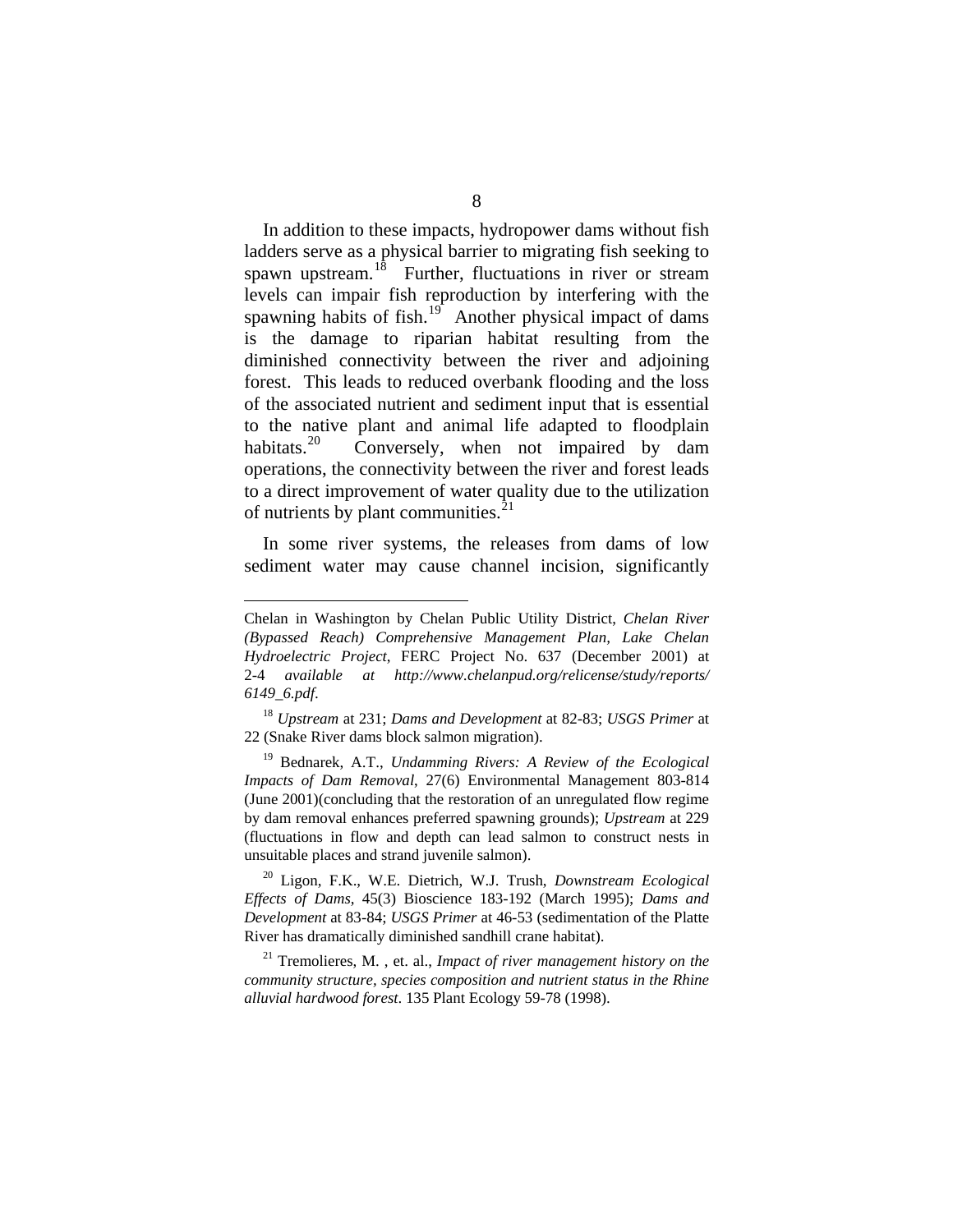In addition to these impacts, hydropower dams without fish ladders serve as a physical barrier to migrating fish seeking to spawn upstream.<sup>[18](#page-20-0)</sup> Further, fluctuations in river or stream levels can impair fish reproduction by interfering with the spawning habits of fish. $19$  Another physical impact of dams is the damage to riparian habitat resulting from the diminished connectivity between the river and adjoining forest. This leads to reduced overbank flooding and the loss of the associated nutrient and sediment input that is essential to the native plant and animal life adapted to floodplain habitats.<sup>[20](#page-20-2)</sup> Conversely, when not impaired by dam operations, the connectivity between the river and forest leads to a direct improvement of water quality due to the utilization of nutrients by plant communities. $^{21}$  $^{21}$  $^{21}$ 

In some river systems, the releases from dams of low sediment water may cause channel incision, significantly

<u>.</u>

Chelan in Washington by Chelan Public Utility District, *Chelan River (Bypassed Reach) Comprehensive Management Plan, Lake Chelan Hydroelectric Project*, FERC Project No. 637 (December 2001) at 2-4 *available at [http://www.chelanpud.org/relicense/study/reports/](http://www.chelanpud.org/relicense/study/reports/%0B6149_6.pdf)  [6149\\_6.pdf](http://www.chelanpud.org/relicense/study/reports/%0B6149_6.pdf)*.

<span id="page-20-0"></span><sup>18</sup> *Upstream* at 231; *Dams and Development* at 82-83; *USGS Primer* at 22 (Snake River dams block salmon migration).

<span id="page-20-1"></span><sup>19</sup> Bednarek, A.T., *Undamming Rivers: A Review of the Ecological Impacts of Dam Removal*, 27(6) Environmental Management 803-814 (June 2001)(concluding that the restoration of an unregulated flow regime by dam removal enhances preferred spawning grounds); *Upstream* at 229 (fluctuations in flow and depth can lead salmon to construct nests in unsuitable places and strand juvenile salmon).

<span id="page-20-2"></span><sup>20</sup> Ligon, F.K., W.E. Dietrich, W.J. Trush, *Downstream Ecological Effects of Dams*, 45(3) Bioscience 183-192 (March 1995); *Dams and Development* at 83-84; *USGS Primer* at 46-53 (sedimentation of the Platte River has dramatically diminished sandhill crane habitat).

<span id="page-20-3"></span><sup>21</sup> Tremolieres, M. , et. al., *Impact of river management history on the community structure, species composition and nutrient status in the Rhine alluvial hardwood forest*. 135 Plant Ecology 59-78 (1998).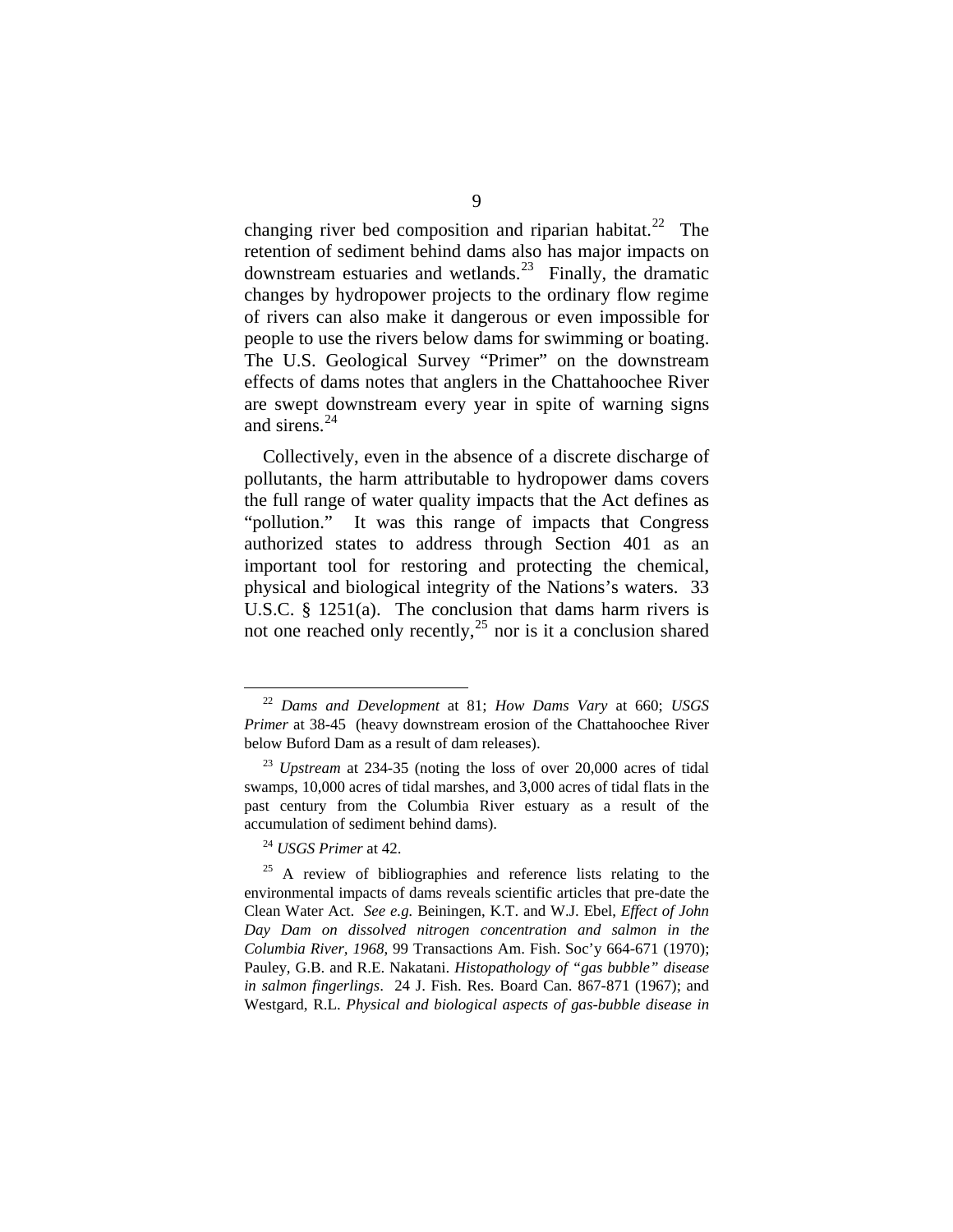changing river bed composition and riparian habitat.<sup>[22](#page-21-0)</sup> The retention of sediment behind dams also has major impacts on downstream estuaries and wetlands.<sup>[23](#page-21-1)</sup> Finally, the dramatic changes by hydropower projects to the ordinary flow regime of rivers can also make it dangerous or even impossible for people to use the rivers below dams for swimming or boating. The U.S. Geological Survey "Primer" on the downstream effects of dams notes that anglers in the Chattahoochee River are swept downstream every year in spite of warning signs and sirens.<sup>[24](#page-21-2)</sup>

Collectively, even in the absence of a discrete discharge of pollutants, the harm attributable to hydropower dams covers the full range of water quality impacts that the Act defines as "pollution." It was this range of impacts that Congress authorized states to address through Section 401 as an important tool for restoring and protecting the chemical, physical and biological integrity of the Nations's waters. 33 U.S.C. § 1251(a). The conclusion that dams harm rivers is not one reached only recently, $^{25}$  $^{25}$  $^{25}$  nor is it a conclusion shared

<span id="page-21-0"></span> <sup>22</sup> *Dams and Development* at 81; *How Dams Vary* at 660; *USGS Primer* at 38-45 (heavy downstream erosion of the Chattahoochee River below Buford Dam as a result of dam releases).

<span id="page-21-1"></span><sup>23</sup> *Upstream* at 234-35 (noting the loss of over 20,000 acres of tidal swamps, 10,000 acres of tidal marshes, and 3,000 acres of tidal flats in the past century from the Columbia River estuary as a result of the accumulation of sediment behind dams).

<sup>24</sup> *USGS Primer* at 42.

<span id="page-21-3"></span><span id="page-21-2"></span> $25$  A review of bibliographies and reference lists relating to the environmental impacts of dams reveals scientific articles that pre-date the Clean Water Act. *See e.g.* Beiningen, K.T. and W.J. Ebel, *Effect of John Day Dam on dissolved nitrogen concentration and salmon in the Columbia River, 1968*, 99 Transactions Am. Fish. Soc'y 664-671 (1970); Pauley, G.B. and R.E. Nakatani. *Histopathology of "gas bubble" disease in salmon fingerlings*. 24 J. Fish. Res. Board Can. 867-871 (1967); and Westgard, R.L. *Physical and biological aspects of gas-bubble disease in*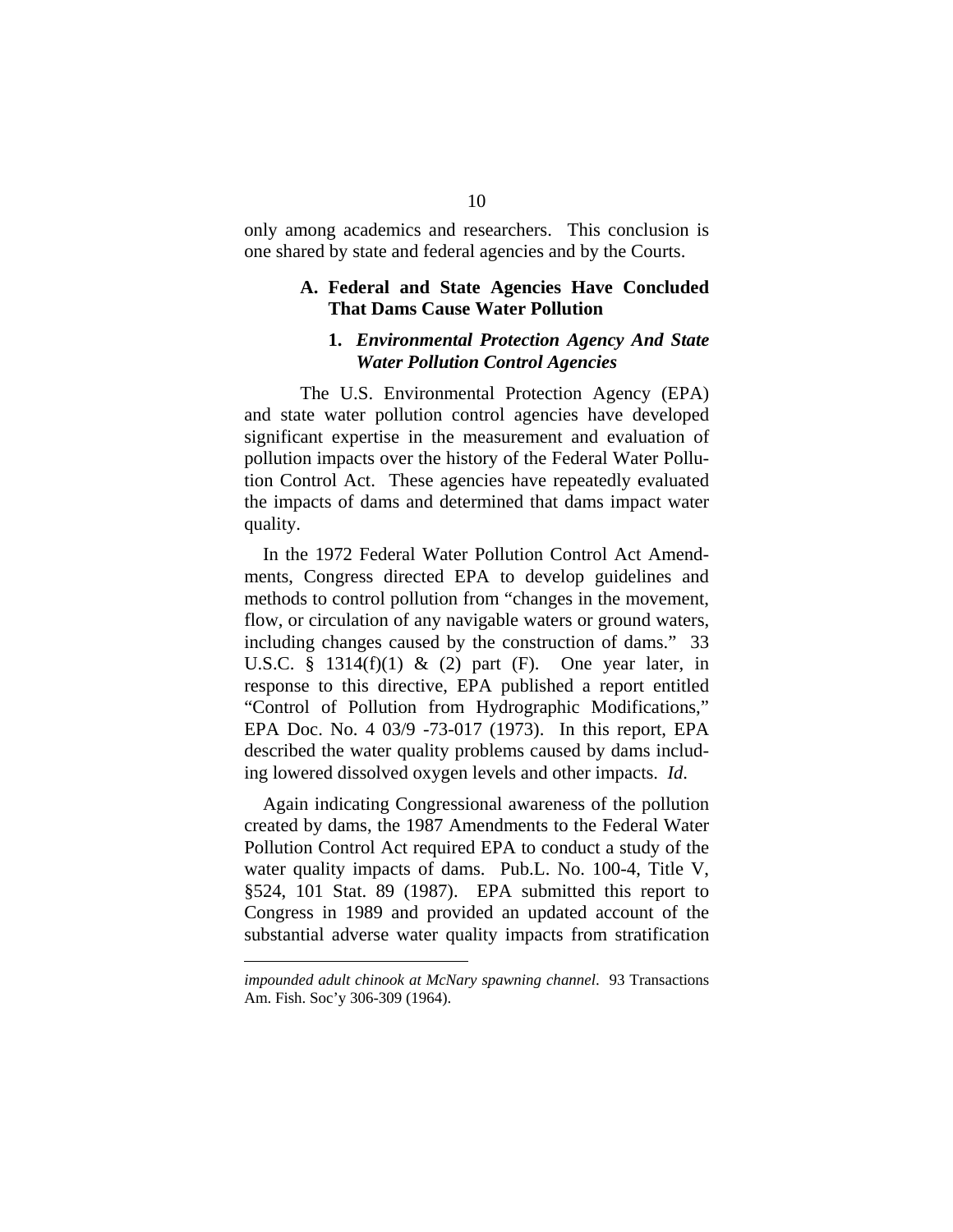only among academics and researchers. This conclusion is one shared by state and federal agencies and by the Courts.

#### **A. Federal and State Agencies Have Concluded That Dams Cause Water Pollution**

#### **1.** *Environmental Protection Agency And State Water Pollution Control Agencies*

 The U.S. Environmental Protection Agency (EPA) and state water pollution control agencies have developed significant expertise in the measurement and evaluation of pollution impacts over the history of the Federal Water Pollution Control Act. These agencies have repeatedly evaluated the impacts of dams and determined that dams impact water quality.

In the 1972 Federal Water Pollution Control Act Amendments, Congress directed EPA to develop guidelines and methods to control pollution from "changes in the movement, flow, or circulation of any navigable waters or ground waters, including changes caused by the construction of dams." 33 U.S.C. § 1314 $(f)(1)$  &  $(2)$  part  $(F)$ . One year later, in response to this directive, EPA published a report entitled "Control of Pollution from Hydrographic Modifications," EPA Doc. No. 4 03/9 -73-017 (1973). In this report, EPA described the water quality problems caused by dams including lowered dissolved oxygen levels and other impacts. *Id*.

Again indicating Congressional awareness of the pollution created by dams, the 1987 Amendments to the Federal Water Pollution Control Act required EPA to conduct a study of the water quality impacts of dams. Pub.L. No. 100-4, Title V, §524, 101 Stat. 89 (1987). EPA submitted this report to Congress in 1989 and provided an updated account of the substantial adverse water quality impacts from stratification

1

*impounded adult chinook at McNary spawning channel*. 93 Transactions Am. Fish. Soc'y 306-309 (1964).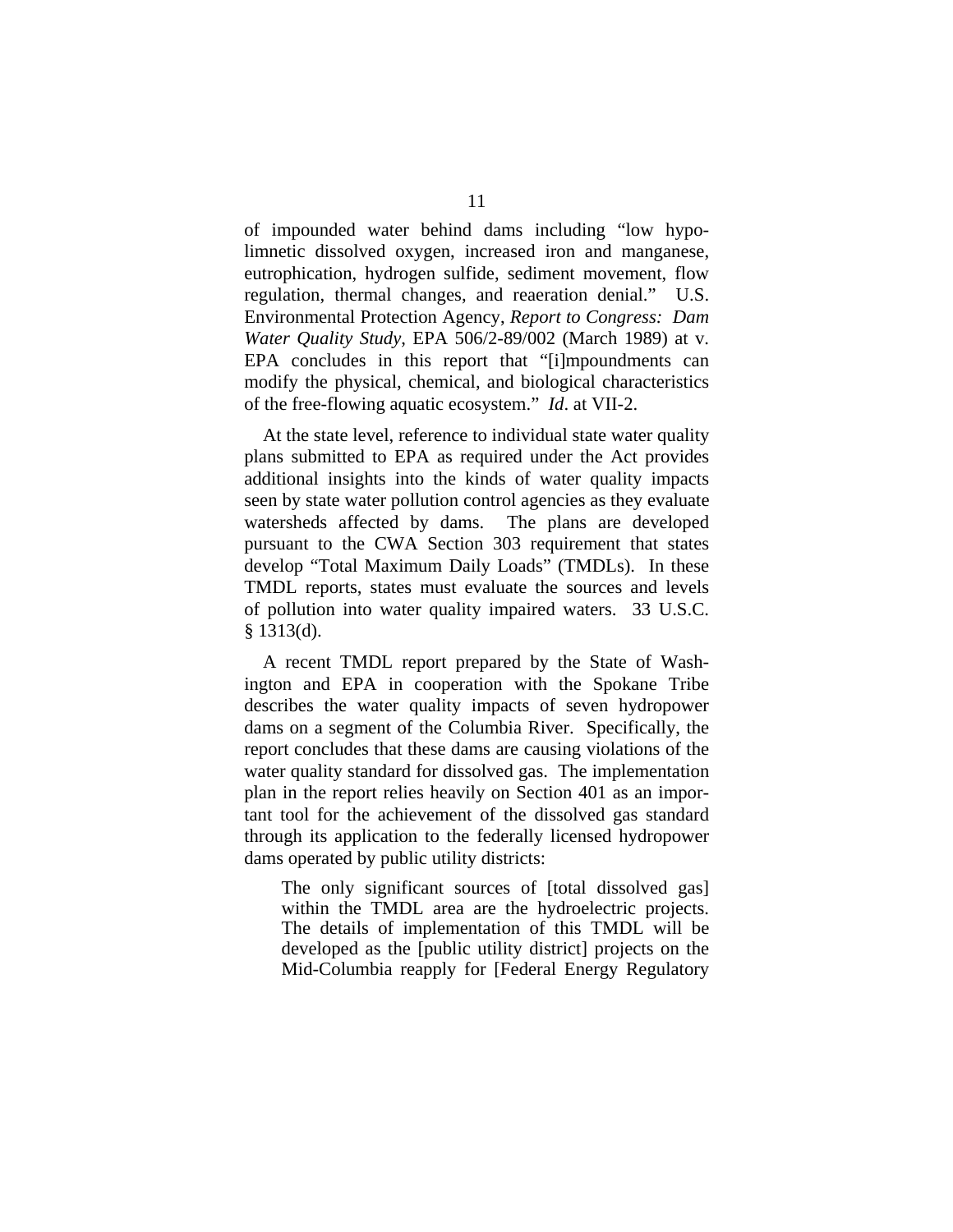of impounded water behind dams including "low hypolimnetic dissolved oxygen, increased iron and manganese, eutrophication, hydrogen sulfide, sediment movement, flow regulation, thermal changes, and reaeration denial." U.S. Environmental Protection Agency, *Report to Congress: Dam Water Quality Study*, EPA 506/2-89/002 (March 1989) at v. EPA concludes in this report that "[i]mpoundments can modify the physical, chemical, and biological characteristics of the free-flowing aquatic ecosystem." *Id*. at VII-2.

At the state level, reference to individual state water quality plans submitted to EPA as required under the Act provides additional insights into the kinds of water quality impacts seen by state water pollution control agencies as they evaluate watersheds affected by dams. The plans are developed pursuant to the CWA Section 303 requirement that states develop "Total Maximum Daily Loads" (TMDLs). In these TMDL reports, states must evaluate the sources and levels of pollution into water quality impaired waters. 33 U.S.C. § 1313(d).

A recent TMDL report prepared by the State of Washington and EPA in cooperation with the Spokane Tribe describes the water quality impacts of seven hydropower dams on a segment of the Columbia River. Specifically, the report concludes that these dams are causing violations of the water quality standard for dissolved gas. The implementation plan in the report relies heavily on Section 401 as an important tool for the achievement of the dissolved gas standard through its application to the federally licensed hydropower dams operated by public utility districts:

The only significant sources of [total dissolved gas] within the TMDL area are the hydroelectric projects. The details of implementation of this TMDL will be developed as the [public utility district] projects on the Mid-Columbia reapply for [Federal Energy Regulatory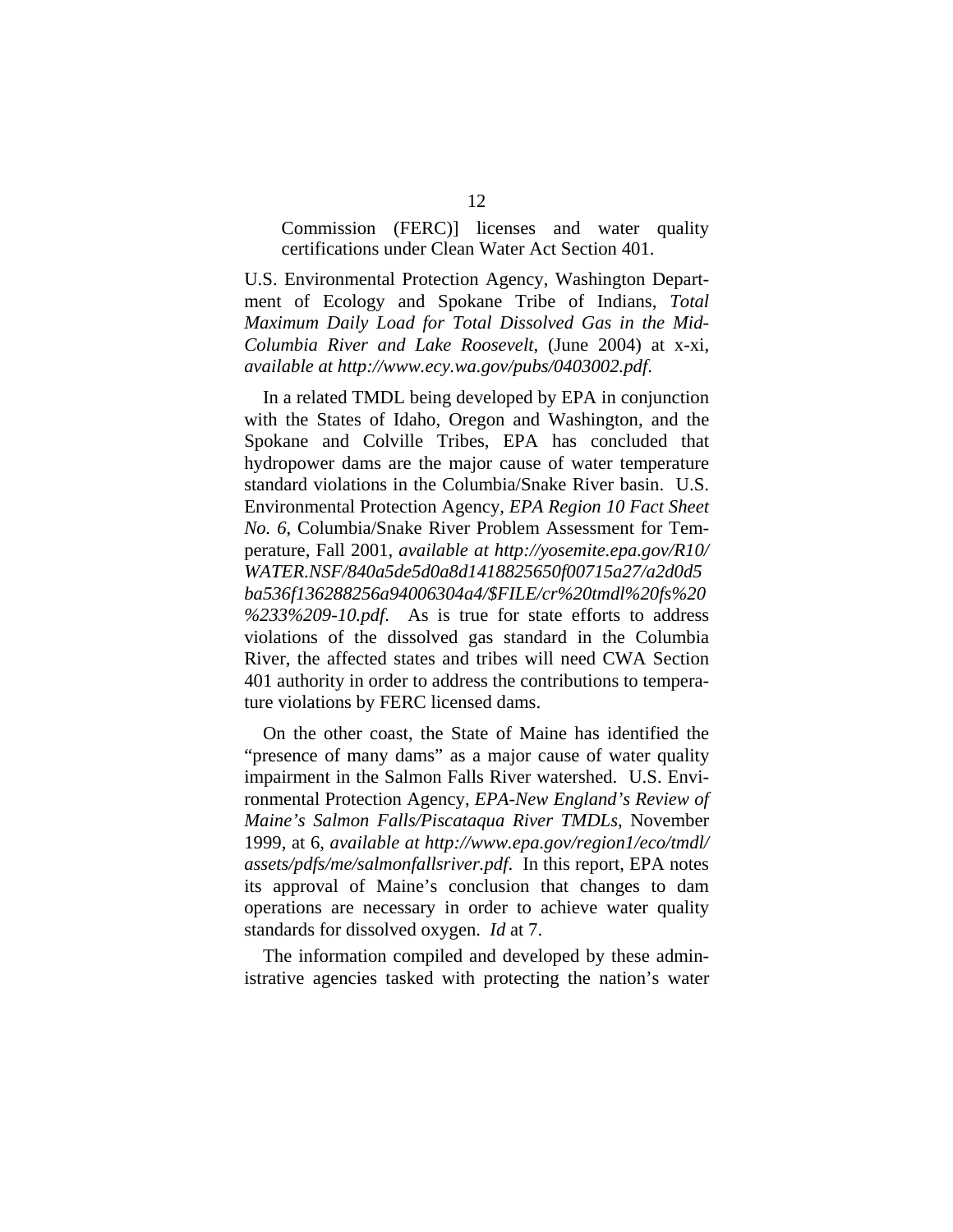Commission (FERC)] licenses and water quality certifications under Clean Water Act Section 401.

U.S. Environmental Protection Agency, Washington Department of Ecology and Spokane Tribe of Indians, *Total Maximum Daily Load for Total Dissolved Gas in the Mid-Columbia River and Lake Roosevelt*, (June 2004) at x-xi, *available at <http://www.ecy.wa.gov/pubs/0403002.pdf>*.

In a related TMDL being developed by EPA in conjunction with the States of Idaho, Oregon and Washington, and the Spokane and Colville Tribes, EPA has concluded that hydropower dams are the major cause of water temperature standard violations in the Columbia/Snake River basin. U.S. Environmental Protection Agency, *EPA Region 10 Fact Sheet No. 6*, Columbia/Snake River Problem Assessment for Temperature, Fall 2001, *available at [http://yosemite.epa.gov/R10/](http://yosemite.epa.gov/%0BR10/WATER.NSF/840a5de5d0a8d1418825650f00715a27/a2d0d5ba536f136288256a94006304a4/$FILE/cr%20tmdl%20fs%20%233%209-10.pdf)  [WATER.NSF/840a5de5d0a8d1418825650f00715a27/a2d0d5](http://yosemite.epa.gov/%0BR10/WATER.NSF/840a5de5d0a8d1418825650f00715a27/a2d0d5ba536f136288256a94006304a4/$FILE/cr%20tmdl%20fs%20%233%209-10.pdf) [ba536f136288256a94006304a4/\\$FILE/cr%20tmdl%20fs%20](http://yosemite.epa.gov/%0BR10/WATER.NSF/840a5de5d0a8d1418825650f00715a27/a2d0d5ba536f136288256a94006304a4/$FILE/cr%20tmdl%20fs%20%233%209-10.pdf) [%233%209-10.pdf](http://yosemite.epa.gov/%0BR10/WATER.NSF/840a5de5d0a8d1418825650f00715a27/a2d0d5ba536f136288256a94006304a4/$FILE/cr%20tmdl%20fs%20%233%209-10.pdf)*. As is true for state efforts to address violations of the dissolved gas standard in the Columbia River, the affected states and tribes will need CWA Section 401 authority in order to address the contributions to temperature violations by FERC licensed dams.

On the other coast, the State of Maine has identified the "presence of many dams" as a major cause of water quality impairment in the Salmon Falls River watershed. U.S. Environmental Protection Agency, *EPA-New England's Review of Maine's Salmon Falls/Piscataqua River TMDLs*, November 1999, at 6, *available at [http://www.epa.gov/region1/eco/tmdl/](http://www.epa.gov/region1/eco/tmdl/%20assets/pdfs/me/salmonfallsriver.pdf)  [assets/pdfs/me/salmonfallsriver.pdf](http://www.epa.gov/region1/eco/tmdl/%20assets/pdfs/me/salmonfallsriver.pdf)*.In this report, EPA notes its approval of Maine's conclusion that changes to dam operations are necessary in order to achieve water quality standards for dissolved oxygen. *Id* at 7.

The information compiled and developed by these administrative agencies tasked with protecting the nation's water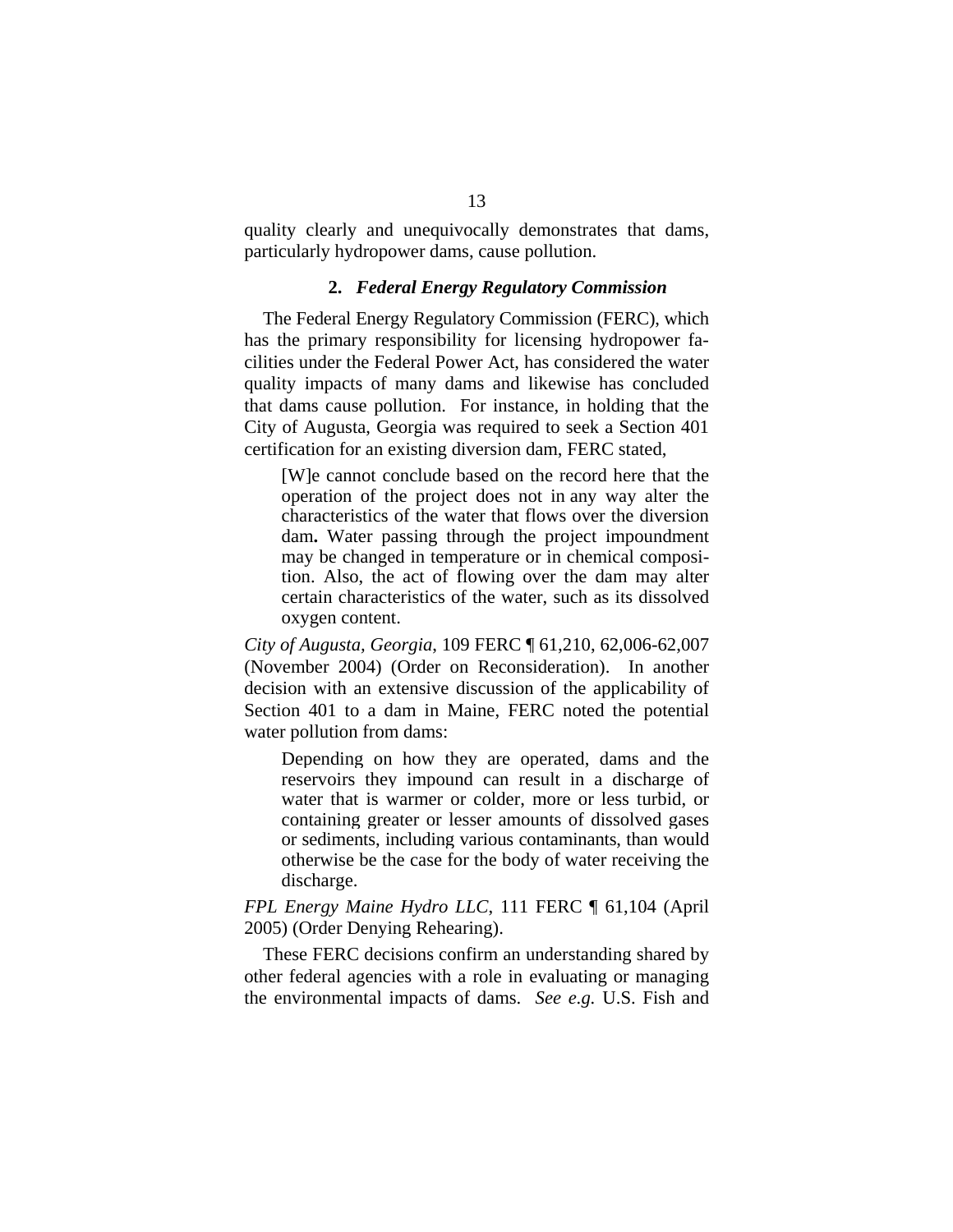quality clearly and unequivocally demonstrates that dams, particularly hydropower dams, cause pollution.

#### **2.** *Federal Energy Regulatory Commission*

The Federal Energy Regulatory Commission (FERC), which has the primary responsibility for licensing hydropower facilities under the Federal Power Act, has considered the water quality impacts of many dams and likewise has concluded that dams cause pollution. For instance, in holding that the City of Augusta, Georgia was required to seek a Section 401 certification for an existing diversion dam, FERC stated,

[W]e cannot conclude based on the record here that the operation of the project does not in any way alter the characteristics of the water that flows over the diversion dam**.** Water passing through the project impoundment may be changed in temperature or in chemical composition. Also, the act of flowing over the dam may alter certain characteristics of the water, such as its dissolved oxygen content.

*City of Augusta, Georgia*, 109 FERC ¶ 61,210, 62,006-62,007 (November 2004) (Order on Reconsideration). In another decision with an extensive discussion of the applicability of Section 401 to a dam in Maine, FERC noted the potential water pollution from dams:

Depending on how they are operated, dams and the reservoirs they impound can result in a discharge of water that is warmer or colder, more or less turbid, or containing greater or lesser amounts of dissolved gases or sediments, including various contaminants, than would otherwise be the case for the body of water receiving the discharge.

*FPL Energy Maine Hydro LLC*, 111 FERC ¶ 61,104 (April 2005) (Order Denying Rehearing).

These FERC decisions confirm an understanding shared by other federal agencies with a role in evaluating or managing the environmental impacts of dams. *See e.g.* U.S. Fish and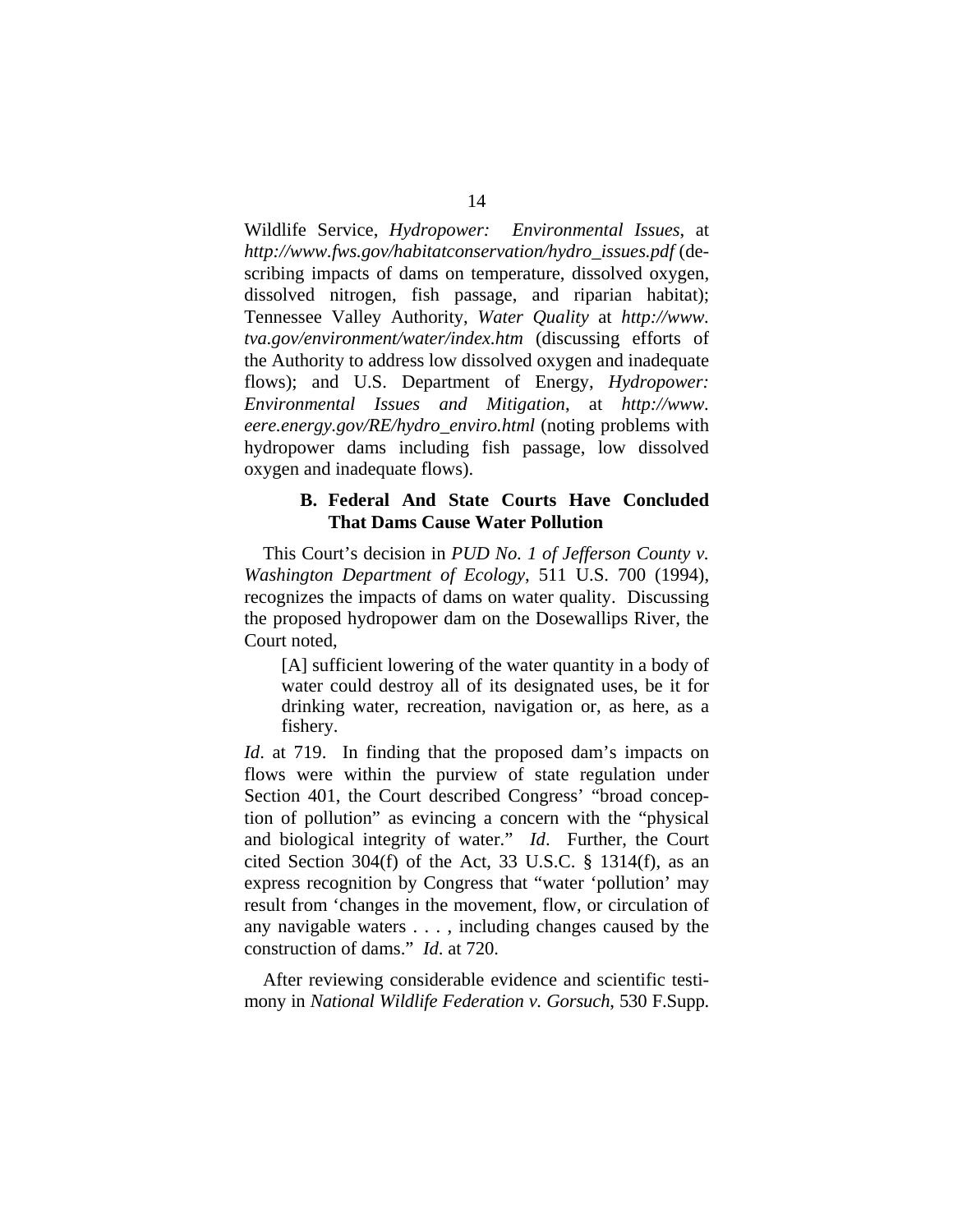Wildlife Service, *Hydropower: Environmental Issues*, at *[http://www.fws.gov/habitatconservation/hydro\\_issues.pdf](http://www.fws.gov/habitatconservation/hydro_issues.pdf)* (describing impacts of dams on temperature, dissolved oxygen, dissolved nitrogen, fish passage, and riparian habitat); Tennessee Valley Authority, *Water Quality* at *http://www. tva.gov/environment/water/index.htm* (discussing efforts of the Authority to address low dissolved oxygen and inadequate flows); and U.S. Department of Energy, *Hydropower*: *Environmental Issues and Mitigation*, at *http://www. eere.energy.gov/RE/hydro\_enviro.html* (noting problems with hydropower dams including fish passage, low dissolved oxygen and inadequate flows).

### **B. Federal And State Courts Have Concluded That Dams Cause Water Pollution**

This Court's decision in *PUD No. 1 of Jefferson County v. Washington Department of Ecology*, 511 U.S. 700 (1994), recognizes the impacts of dams on water quality. Discussing the proposed hydropower dam on the Dosewallips River, the Court noted,

[A] sufficient lowering of the water quantity in a body of water could destroy all of its designated uses, be it for drinking water, recreation, navigation or, as here, as a fishery.

*Id.* at 719. In finding that the proposed dam's impacts on flows were within the purview of state regulation under Section 401, the Court described Congress' "broad conception of pollution" as evincing a concern with the "physical and biological integrity of water." *Id*. Further, the Court cited Section 304(f) of the Act, 33 U.S.C. § 1314(f), as an express recognition by Congress that "water 'pollution' may result from 'changes in the movement, flow, or circulation of any navigable waters . . . , including changes caused by the construction of dams." *Id*. at 720.

After reviewing considerable evidence and scientific testimony in *National Wildlife Federation v. Gorsuch*, 530 F.Supp.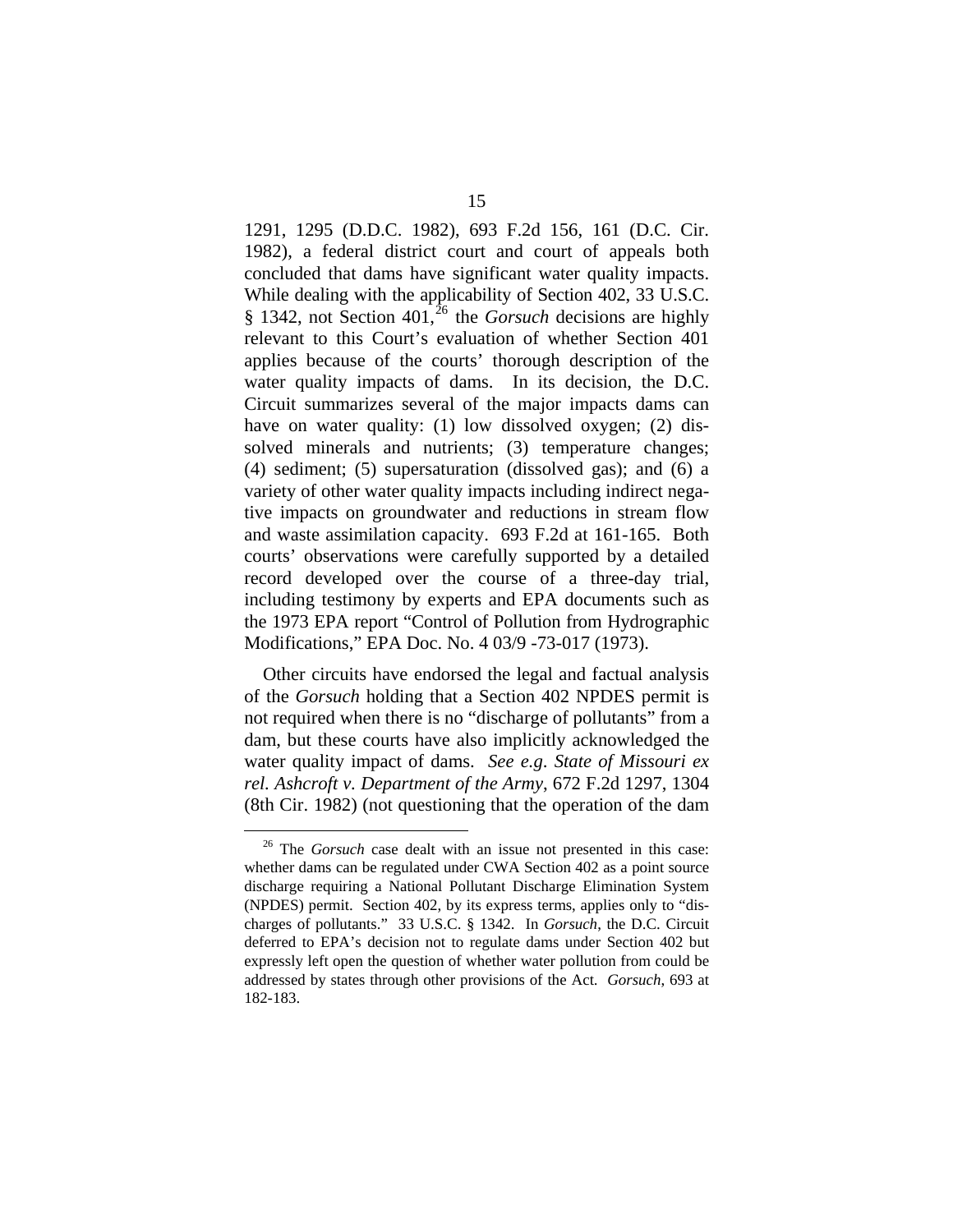1291, 1295 (D.D.C. 1982), 693 F.2d 156, 161 (D.C. Cir. 1982), a federal district court and court of appeals both concluded that dams have significant water quality impacts. While dealing with the applicability of Section 402, 33 U.S.C. § 1342, not Section 401,<sup>[26](#page-27-0)</sup> the *Gorsuch* decisions are highly relevant to this Court's evaluation of whether Section 401 applies because of the courts' thorough description of the water quality impacts of dams. In its decision, the D.C. Circuit summarizes several of the major impacts dams can have on water quality: (1) low dissolved oxygen; (2) dissolved minerals and nutrients; (3) temperature changes; (4) sediment; (5) supersaturation (dissolved gas); and (6) a variety of other water quality impacts including indirect negative impacts on groundwater and reductions in stream flow and waste assimilation capacity. 693 F.2d at 161-165. Both courts' observations were carefully supported by a detailed record developed over the course of a three-day trial, including testimony by experts and EPA documents such as the 1973 EPA report "Control of Pollution from Hydrographic Modifications," EPA Doc. No. 4 03/9 -73-017 (1973).

Other circuits have endorsed the legal and factual analysis of the *Gorsuch* holding that a Section 402 NPDES permit is not required when there is no "discharge of pollutants" from a dam, but these courts have also implicitly acknowledged the water quality impact of dams. *See e.g*. *State of Missouri ex rel. Ashcroft v. Department of the Army*, 672 F.2d 1297, 1304 (8th Cir. 1982) (not questioning that the operation of the dam

<span id="page-27-0"></span> <sup>26</sup> The *Gorsuch* case dealt with an issue not presented in this case: whether dams can be regulated under CWA Section 402 as a point source discharge requiring a National Pollutant Discharge Elimination System (NPDES) permit. Section 402, by its express terms, applies only to "discharges of pollutants." 33 U.S.C. § 1342. In *Gorsuch*, the D.C. Circuit deferred to EPA's decision not to regulate dams under Section 402 but expressly left open the question of whether water pollution from could be addressed by states through other provisions of the Act. *Gorsuch*, 693 at 182-183.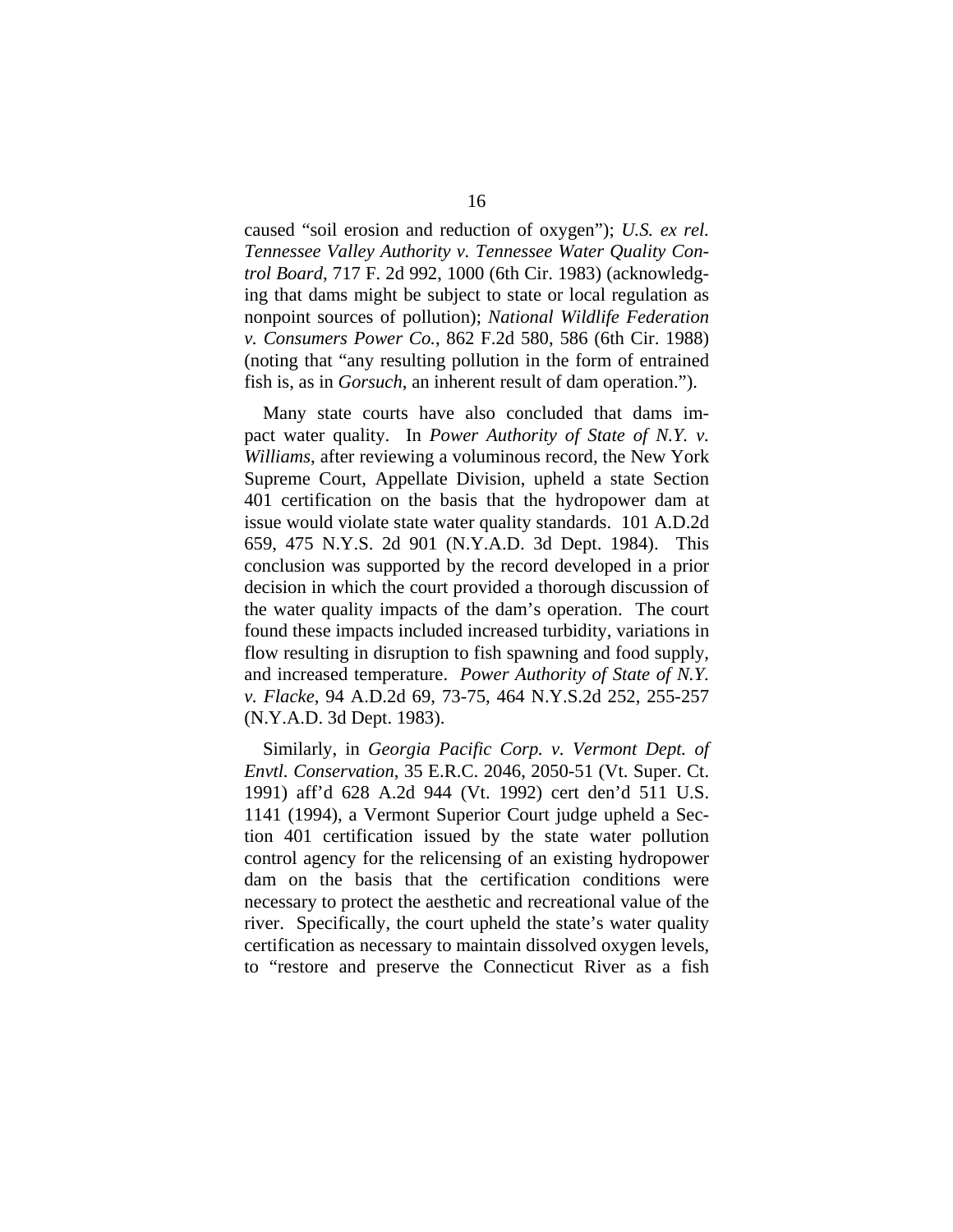caused "soil erosion and reduction of oxygen"); *U.S. ex rel. Tennessee Valley Authority v. Tennessee Water Quality Control Board*, 717 F. 2d 992, 1000 (6th Cir. 1983) (acknowledging that dams might be subject to state or local regulation as nonpoint sources of pollution); *National Wildlife Federation v. Consumers Power Co.*, 862 F.2d 580, 586 (6th Cir. 1988) (noting that "any resulting pollution in the form of entrained fish is, as in *Gorsuch*, an inherent result of dam operation.").

Many state courts have also concluded that dams impact water quality. In *Power Authority of State of N.Y. v. Williams*, after reviewing a voluminous record, the New York Supreme Court, Appellate Division, upheld a state Section 401 certification on the basis that the hydropower dam at issue would violate state water quality standards. 101 A.D.2d 659, 475 N.Y.S. 2d 901 (N.Y.A.D. 3d Dept. 1984). This conclusion was supported by the record developed in a prior decision in which the court provided a thorough discussion of the water quality impacts of the dam's operation. The court found these impacts included increased turbidity, variations in flow resulting in disruption to fish spawning and food supply, and increased temperature. *Power Authority of State of N.Y. v. Flacke*, 94 A.D.2d 69, 73-75, 464 N.Y.S.2d 252, 255-257 (N.Y.A.D. 3d Dept. 1983).

Similarly, in *Georgia Pacific Corp. v. Vermont Dept. of Envtl. Conservation*, 35 E.R.C. 2046, 2050-51 (Vt. Super. Ct. 1991) aff'd 628 A.2d 944 (Vt. 1992) cert den'd 511 U.S. 1141 (1994), a Vermont Superior Court judge upheld a Section 401 certification issued by the state water pollution control agency for the relicensing of an existing hydropower dam on the basis that the certification conditions were necessary to protect the aesthetic and recreational value of the river. Specifically, the court upheld the state's water quality certification as necessary to maintain dissolved oxygen levels, to "restore and preserve the Connecticut River as a fish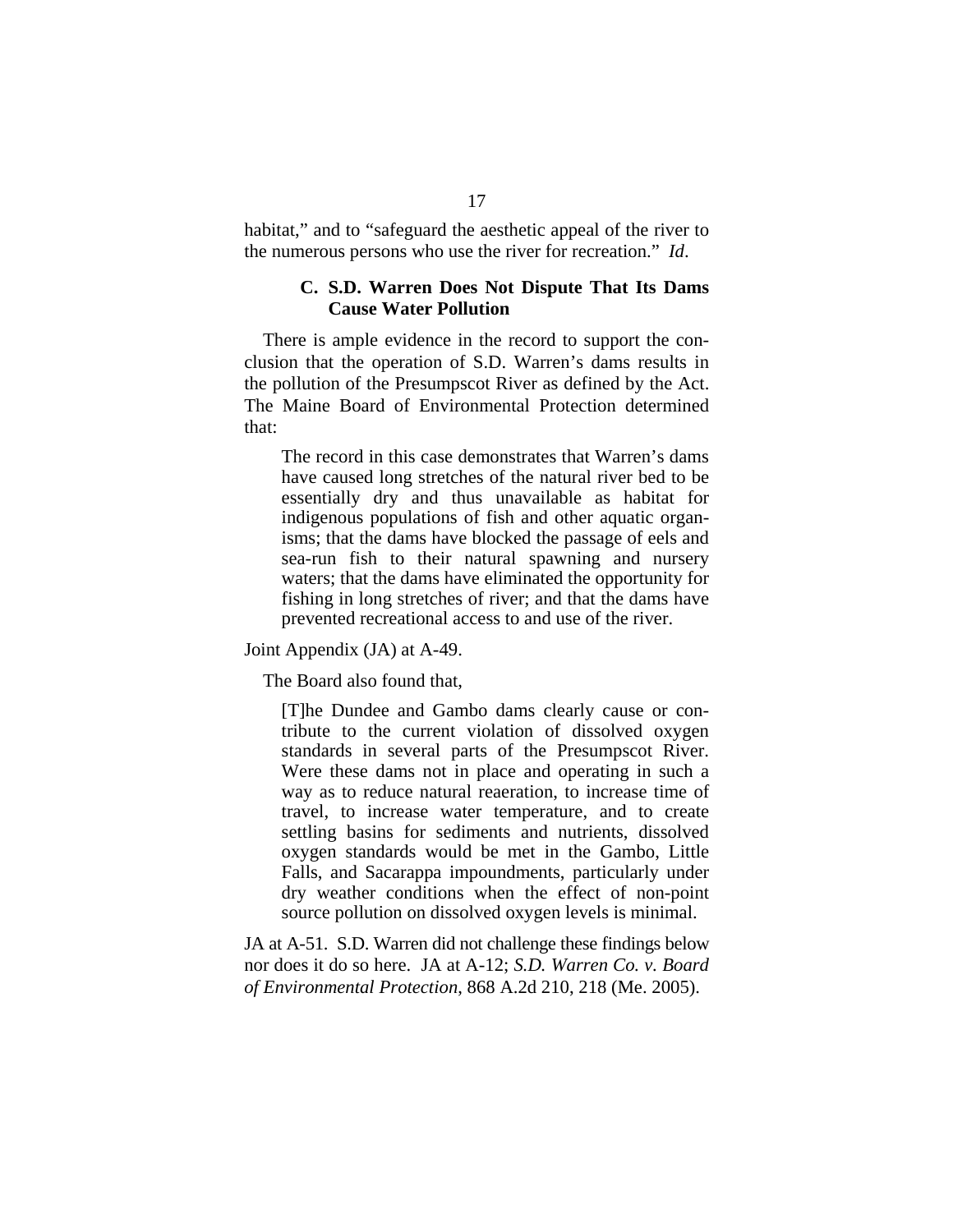habitat," and to "safeguard the aesthetic appeal of the river to the numerous persons who use the river for recreation." *Id*.

#### **C. S.D. Warren Does Not Dispute That Its Dams Cause Water Pollution**

There is ample evidence in the record to support the conclusion that the operation of S.D. Warren's dams results in the pollution of the Presumpscot River as defined by the Act. The Maine Board of Environmental Protection determined that:

The record in this case demonstrates that Warren's dams have caused long stretches of the natural river bed to be essentially dry and thus unavailable as habitat for indigenous populations of fish and other aquatic organisms; that the dams have blocked the passage of eels and sea-run fish to their natural spawning and nursery waters; that the dams have eliminated the opportunity for fishing in long stretches of river; and that the dams have prevented recreational access to and use of the river.

Joint Appendix (JA) at A-49.

The Board also found that,

[T]he Dundee and Gambo dams clearly cause or contribute to the current violation of dissolved oxygen standards in several parts of the Presumpscot River. Were these dams not in place and operating in such a way as to reduce natural reaeration, to increase time of travel, to increase water temperature, and to create settling basins for sediments and nutrients, dissolved oxygen standards would be met in the Gambo, Little Falls, and Sacarappa impoundments, particularly under dry weather conditions when the effect of non-point source pollution on dissolved oxygen levels is minimal.

JA at A-51. S.D. Warren did not challenge these findings below nor does it do so here. JA at A-12; *S.D. Warren Co. v. Board of Environmental Protection*, 868 A.2d 210, 218 (Me. 2005).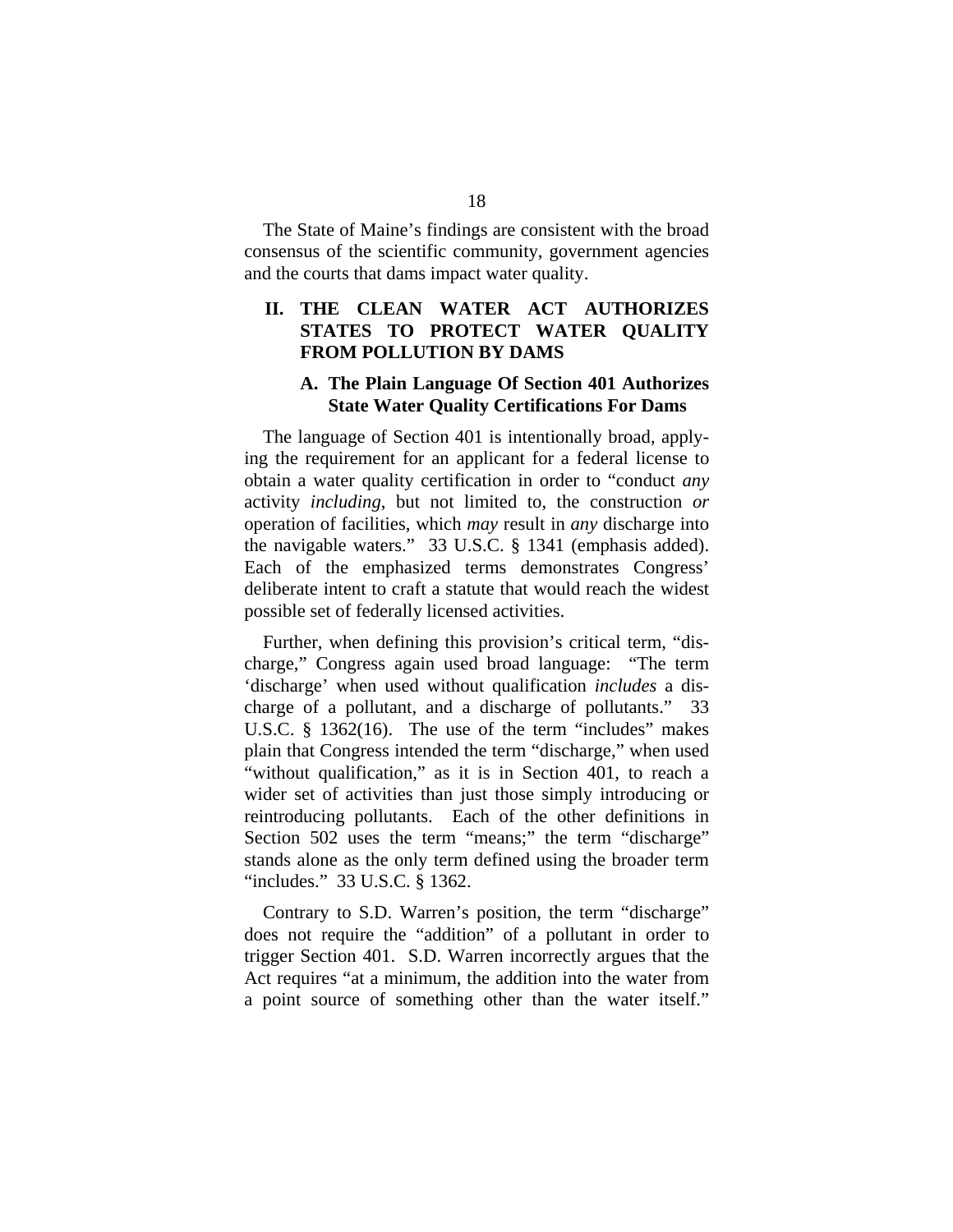The State of Maine's findings are consistent with the broad consensus of the scientific community, government agencies and the courts that dams impact water quality.

### **II. THE CLEAN WATER ACT AUTHORIZES STATES TO PROTECT WATER QUALITY FROM POLLUTION BY DAMS**

### **A. The Plain Language Of Section 401 Authorizes State Water Quality Certifications For Dams**

The language of Section 401 is intentionally broad, applying the requirement for an applicant for a federal license to obtain a water quality certification in order to "conduct *any* activity *including*, but not limited to, the construction *or* operation of facilities, which *may* result in *any* discharge into the navigable waters." 33 U.S.C. § 1341 (emphasis added). Each of the emphasized terms demonstrates Congress' deliberate intent to craft a statute that would reach the widest possible set of federally licensed activities.

Further, when defining this provision's critical term, "discharge," Congress again used broad language: "The term 'discharge' when used without qualification *includes* a discharge of a pollutant, and a discharge of pollutants." 33 U.S.C. § 1362(16). The use of the term "includes" makes plain that Congress intended the term "discharge," when used "without qualification," as it is in Section 401, to reach a wider set of activities than just those simply introducing or reintroducing pollutants. Each of the other definitions in Section 502 uses the term "means;" the term "discharge" stands alone as the only term defined using the broader term "includes." 33 U.S.C. § 1362.

Contrary to S.D. Warren's position, the term "discharge" does not require the "addition" of a pollutant in order to trigger Section 401. S.D. Warren incorrectly argues that the Act requires "at a minimum, the addition into the water from a point source of something other than the water itself."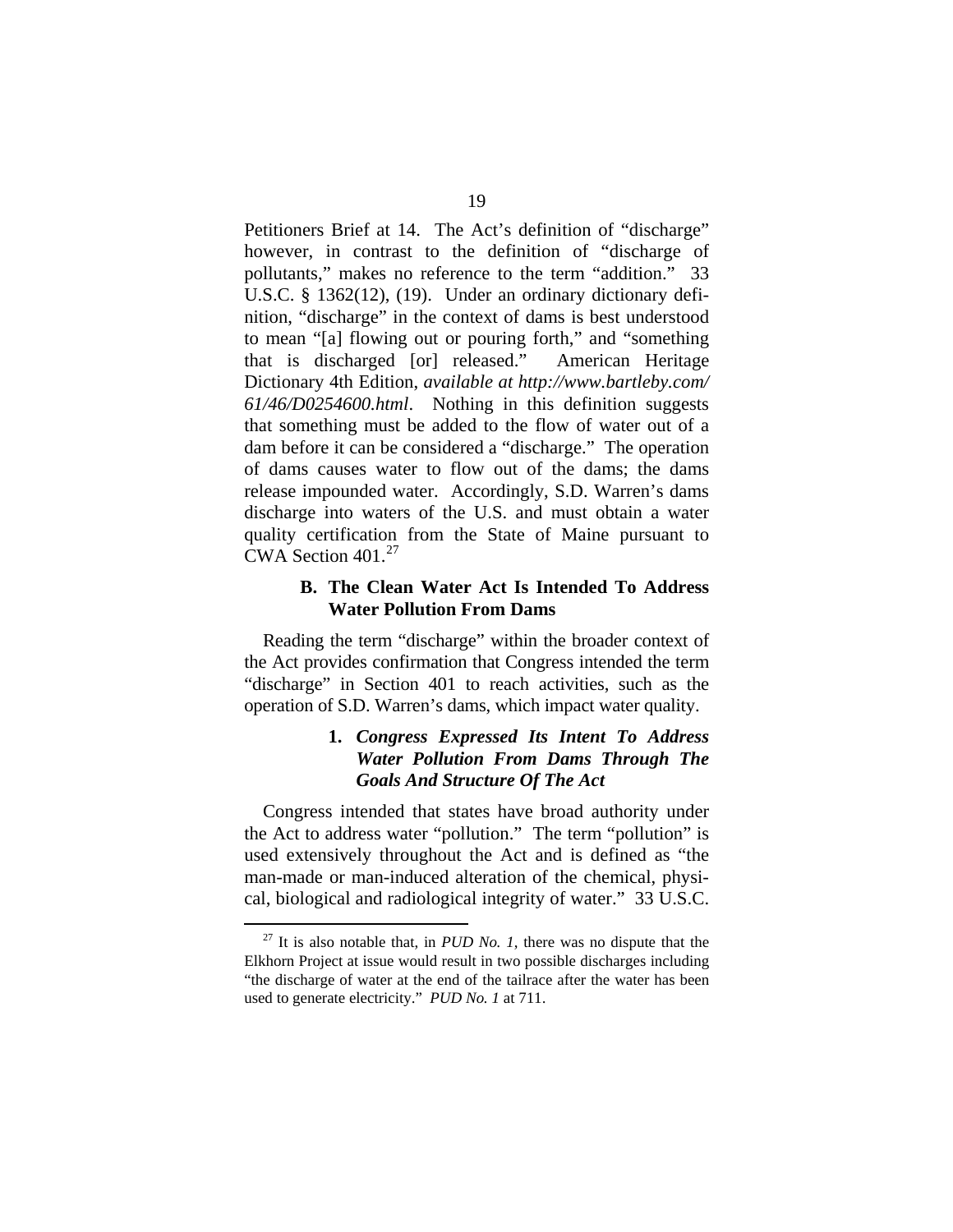Petitioners Brief at 14. The Act's definition of "discharge" however, in contrast to the definition of "discharge of pollutants," makes no reference to the term "addition." 33 U.S.C. § 1362(12), (19). Under an ordinary dictionary definition, "discharge" in the context of dams is best understood to mean "[a] flowing out or pouring forth," and "something that is discharged [or] released." American Heritage Dictionary 4th Edition, *available at [http://www.bartleby.com/](http://www.bartleby.com/%0B61/46/D0254600.html)  [61/46/D0254600.html](http://www.bartleby.com/%0B61/46/D0254600.html)*. Nothing in this definition suggests that something must be added to the flow of water out of a dam before it can be considered a "discharge." The operation of dams causes water to flow out of the dams; the dams release impounded water. Accordingly, S.D. Warren's dams discharge into waters of the U.S. and must obtain a water quality certification from the State of Maine pursuant to CWA Section  $401.<sup>27</sup>$  $401.<sup>27</sup>$  $401.<sup>27</sup>$ 

### **B. The Clean Water Act Is Intended To Address Water Pollution From Dams**

Reading the term "discharge" within the broader context of the Act provides confirmation that Congress intended the term "discharge" in Section 401 to reach activities, such as the operation of S.D. Warren's dams, which impact water quality.

### **1.** *Congress Expressed Its Intent To Address Water Pollution From Dams Through The Goals And Structure Of The Act*

Congress intended that states have broad authority under the Act to address water "pollution." The term "pollution" is used extensively throughout the Act and is defined as "the man-made or man-induced alteration of the chemical, physical, biological and radiological integrity of water." 33 U.S.C.

<span id="page-31-0"></span> $27$  It is also notable that, in *PUD No. 1*, there was no dispute that the Elkhorn Project at issue would result in two possible discharges including "the discharge of water at the end of the tailrace after the water has been used to generate electricity." *PUD No. 1* at 711.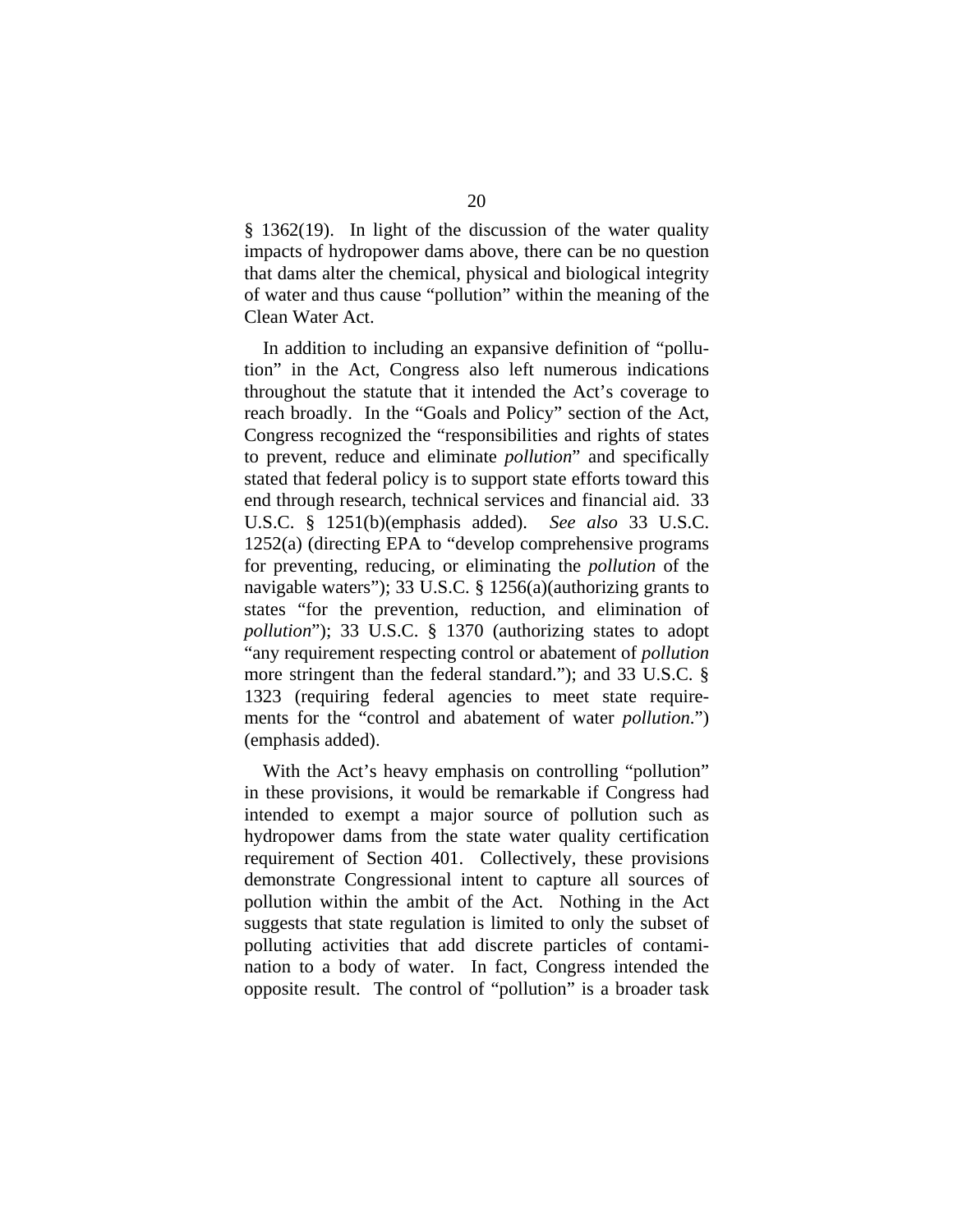§ 1362(19). In light of the discussion of the water quality impacts of hydropower dams above, there can be no question that dams alter the chemical, physical and biological integrity of water and thus cause "pollution" within the meaning of the Clean Water Act.

In addition to including an expansive definition of "pollution" in the Act, Congress also left numerous indications throughout the statute that it intended the Act's coverage to reach broadly. In the "Goals and Policy" section of the Act, Congress recognized the "responsibilities and rights of states to prevent, reduce and eliminate *pollution*" and specifically stated that federal policy is to support state efforts toward this end through research, technical services and financial aid. 33 U.S.C. § 1251(b)(emphasis added). *See also* 33 U.S.C. 1252(a) (directing EPA to "develop comprehensive programs for preventing, reducing, or eliminating the *pollution* of the navigable waters"); 33 U.S.C. § 1256(a)(authorizing grants to states "for the prevention, reduction, and elimination of *pollution*"); 33 U.S.C. § 1370 (authorizing states to adopt "any requirement respecting control or abatement of *pollution* more stringent than the federal standard."); and 33 U.S.C. § 1323 (requiring federal agencies to meet state requirements for the "control and abatement of water *pollution*.") (emphasis added).

With the Act's heavy emphasis on controlling "pollution" in these provisions, it would be remarkable if Congress had intended to exempt a major source of pollution such as hydropower dams from the state water quality certification requirement of Section 401. Collectively, these provisions demonstrate Congressional intent to capture all sources of pollution within the ambit of the Act. Nothing in the Act suggests that state regulation is limited to only the subset of polluting activities that add discrete particles of contamination to a body of water. In fact, Congress intended the opposite result. The control of "pollution" is a broader task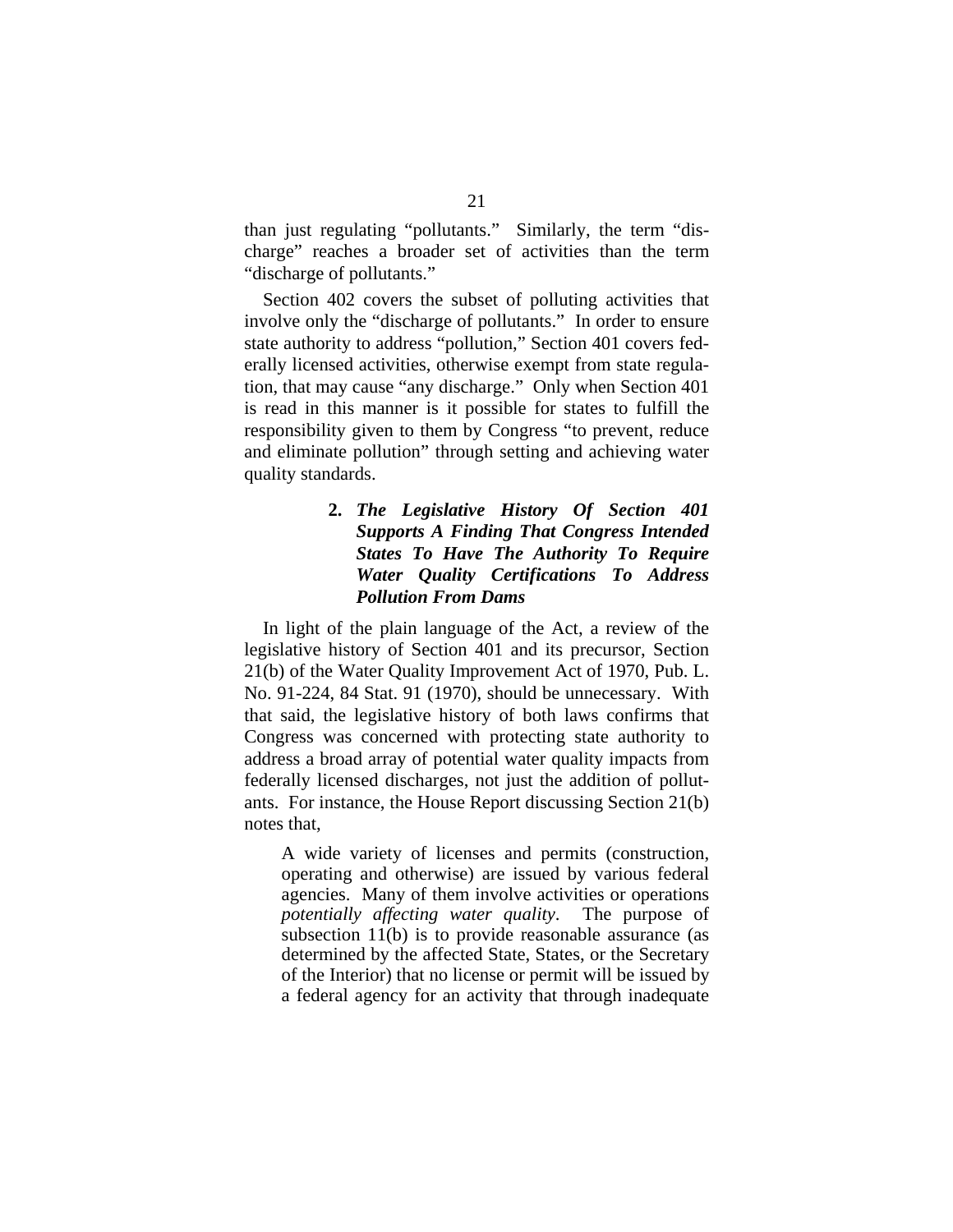than just regulating "pollutants." Similarly, the term "discharge" reaches a broader set of activities than the term "discharge of pollutants."

Section 402 covers the subset of polluting activities that involve only the "discharge of pollutants." In order to ensure state authority to address "pollution," Section 401 covers federally licensed activities, otherwise exempt from state regulation, that may cause "any discharge." Only when Section 401 is read in this manner is it possible for states to fulfill the responsibility given to them by Congress "to prevent, reduce and eliminate pollution" through setting and achieving water quality standards.

### **2.** *The Legislative History Of Section 401 Supports A Finding That Congress Intended States To Have The Authority To Require Water Quality Certifications To Address Pollution From Dams*

In light of the plain language of the Act, a review of the legislative history of Section 401 and its precursor, Section 21(b) of the Water Quality Improvement Act of 1970, Pub. L. No. 91-224, 84 Stat. 91 (1970), should be unnecessary. With that said, the legislative history of both laws confirms that Congress was concerned with protecting state authority to address a broad array of potential water quality impacts from federally licensed discharges, not just the addition of pollutants. For instance, the House Report discussing Section 21(b) notes that,

A wide variety of licenses and permits (construction, operating and otherwise) are issued by various federal agencies. Many of them involve activities or operations *potentially affecting water quality*. The purpose of subsection 11(b) is to provide reasonable assurance (as determined by the affected State, States, or the Secretary of the Interior) that no license or permit will be issued by a federal agency for an activity that through inadequate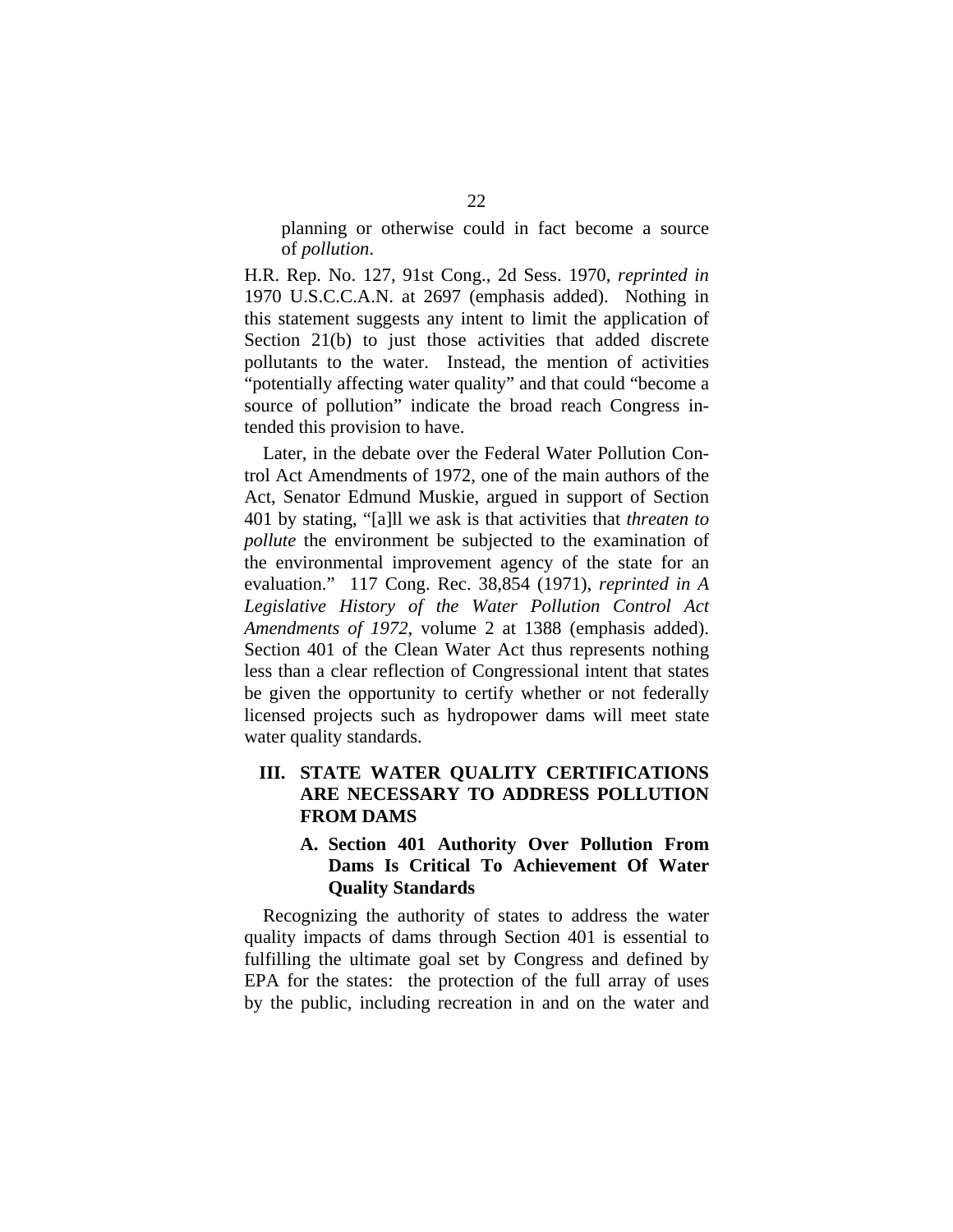planning or otherwise could in fact become a source of *pollution*.

H.R. Rep. No. 127, 91st Cong., 2d Sess. 1970, *reprinted in* 1970 U.S.C.C.A.N. at 2697 (emphasis added). Nothing in this statement suggests any intent to limit the application of Section 21(b) to just those activities that added discrete pollutants to the water. Instead, the mention of activities "potentially affecting water quality" and that could "become a source of pollution" indicate the broad reach Congress intended this provision to have.

Later, in the debate over the Federal Water Pollution Control Act Amendments of 1972, one of the main authors of the Act, Senator Edmund Muskie, argued in support of Section 401 by stating, "[a]ll we ask is that activities that *threaten to pollute* the environment be subjected to the examination of the environmental improvement agency of the state for an evaluation." 117 Cong. Rec. 38,854 (1971), *reprinted in A Legislative History of the Water Pollution Control Act Amendments of 1972*, volume 2 at 1388 (emphasis added). Section 401 of the Clean Water Act thus represents nothing less than a clear reflection of Congressional intent that states be given the opportunity to certify whether or not federally licensed projects such as hydropower dams will meet state water quality standards.

### **III. STATE WATER QUALITY CERTIFICATIONS ARE NECESSARY TO ADDRESS POLLUTION FROM DAMS**

### **A. Section 401 Authority Over Pollution From Dams Is Critical To Achievement Of Water Quality Standards**

Recognizing the authority of states to address the water quality impacts of dams through Section 401 is essential to fulfilling the ultimate goal set by Congress and defined by EPA for the states: the protection of the full array of uses by the public, including recreation in and on the water and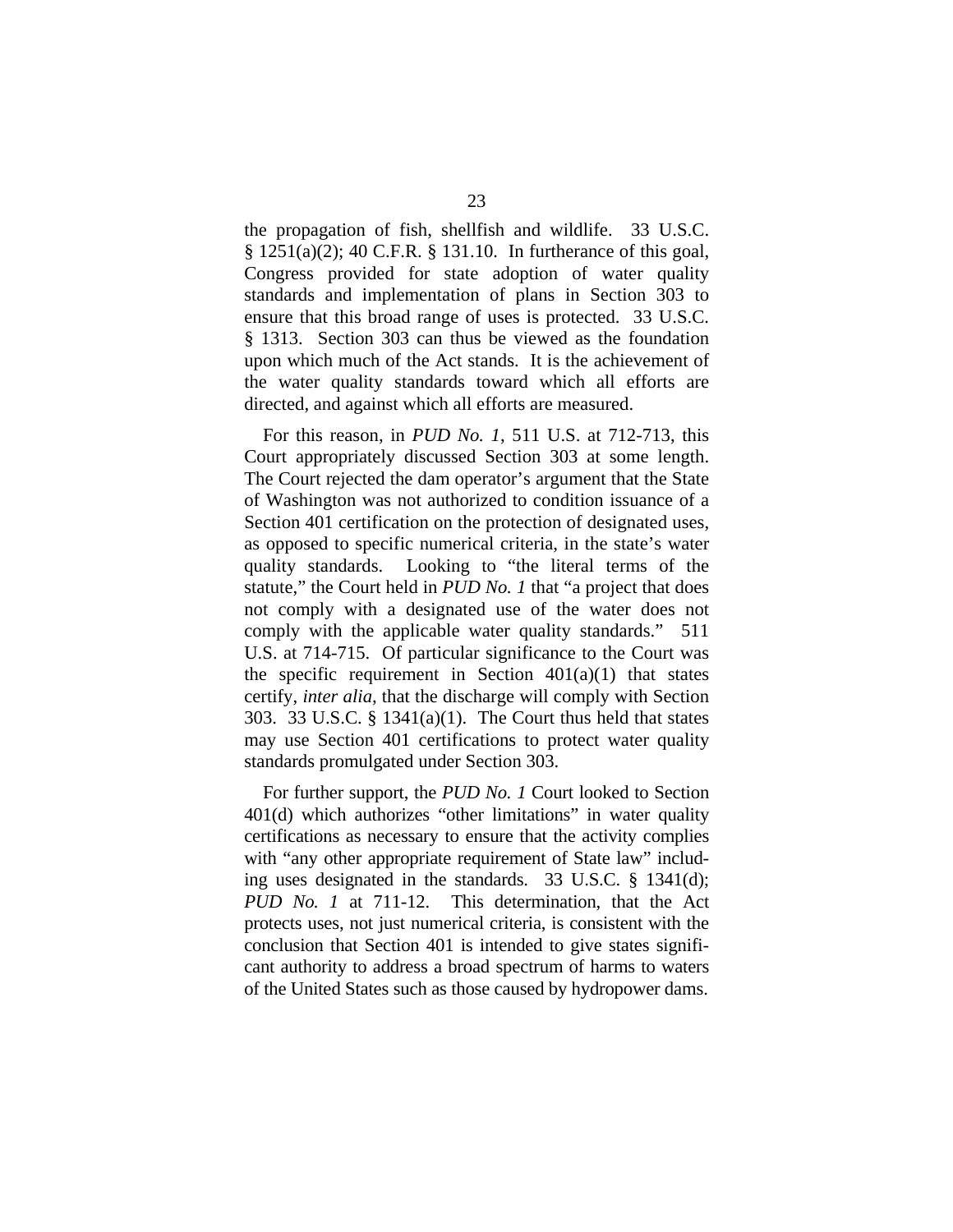the propagation of fish, shellfish and wildlife. 33 U.S.C. § 1251(a)(2); 40 C.F.R. § 131.10. In furtherance of this goal, Congress provided for state adoption of water quality standards and implementation of plans in Section 303 to ensure that this broad range of uses is protected. 33 U.S.C. § 1313. Section 303 can thus be viewed as the foundation upon which much of the Act stands. It is the achievement of the water quality standards toward which all efforts are directed, and against which all efforts are measured.

For this reason, in *PUD No. 1*, 511 U.S. at 712-713, this Court appropriately discussed Section 303 at some length. The Court rejected the dam operator's argument that the State of Washington was not authorized to condition issuance of a Section 401 certification on the protection of designated uses, as opposed to specific numerical criteria, in the state's water quality standards. Looking to "the literal terms of the statute," the Court held in *PUD No. 1* that "a project that does not comply with a designated use of the water does not comply with the applicable water quality standards." 511 U.S. at 714-715. Of particular significance to the Court was the specific requirement in Section  $401(a)(1)$  that states certify, *inter alia*, that the discharge will comply with Section 303. 33 U.S.C. § 1341(a)(1). The Court thus held that states may use Section 401 certifications to protect water quality standards promulgated under Section 303.

For further support, the *PUD No. 1* Court looked to Section 401(d) which authorizes "other limitations" in water quality certifications as necessary to ensure that the activity complies with "any other appropriate requirement of State law" including uses designated in the standards. 33 U.S.C. § 1341(d); *PUD No. 1* at 711-12. This determination, that the Act protects uses, not just numerical criteria, is consistent with the conclusion that Section 401 is intended to give states significant authority to address a broad spectrum of harms to waters of the United States such as those caused by hydropower dams.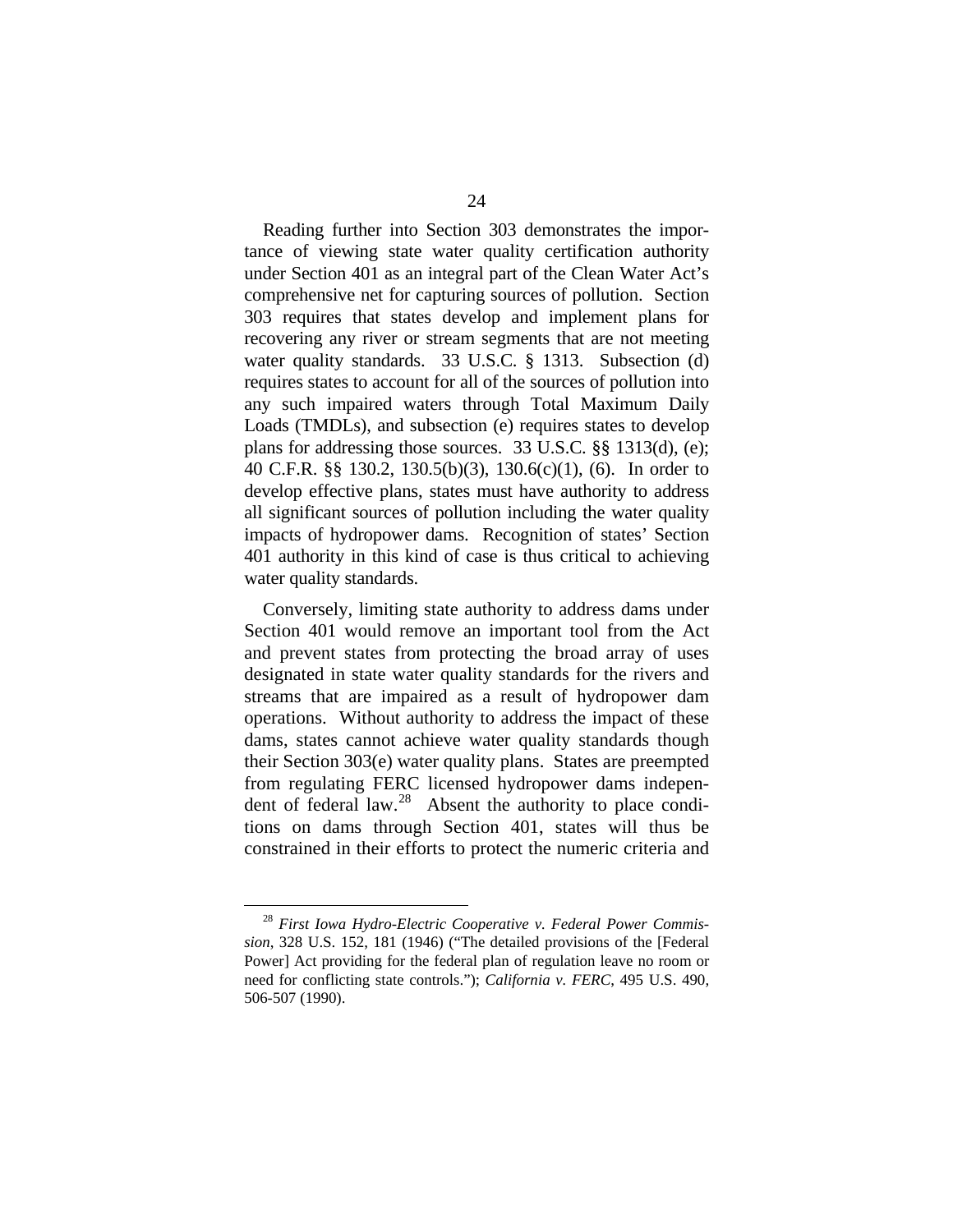Reading further into Section 303 demonstrates the importance of viewing state water quality certification authority under Section 401 as an integral part of the Clean Water Act's comprehensive net for capturing sources of pollution. Section 303 requires that states develop and implement plans for recovering any river or stream segments that are not meeting water quality standards. 33 U.S.C. § 1313. Subsection (d) requires states to account for all of the sources of pollution into any such impaired waters through Total Maximum Daily Loads (TMDLs), and subsection (e) requires states to develop plans for addressing those sources. 33 U.S.C. §§ 1313(d), (e); 40 C.F.R. §§ 130.2, 130.5(b)(3), 130.6(c)(1), (6). In order to develop effective plans, states must have authority to address all significant sources of pollution including the water quality impacts of hydropower dams. Recognition of states' Section 401 authority in this kind of case is thus critical to achieving water quality standards.

Conversely, limiting state authority to address dams under Section 401 would remove an important tool from the Act and prevent states from protecting the broad array of uses designated in state water quality standards for the rivers and streams that are impaired as a result of hydropower dam operations. Without authority to address the impact of these dams, states cannot achieve water quality standards though their Section 303(e) water quality plans. States are preempted from regulating FERC licensed hydropower dams indepen-dent of federal law.<sup>[28](#page-36-0)</sup> Absent the authority to place conditions on dams through Section 401, states will thus be constrained in their efforts to protect the numeric criteria and

<span id="page-36-0"></span> <sup>28</sup> *First Iowa Hydro-Electric Cooperative v. Federal Power Commission*, 328 U.S. 152, 181 (1946) ("The detailed provisions of the [Federal Power] Act providing for the federal plan of regulation leave no room or need for conflicting state controls."); *California v. FERC*, 495 U.S. 490, 506-507 (1990).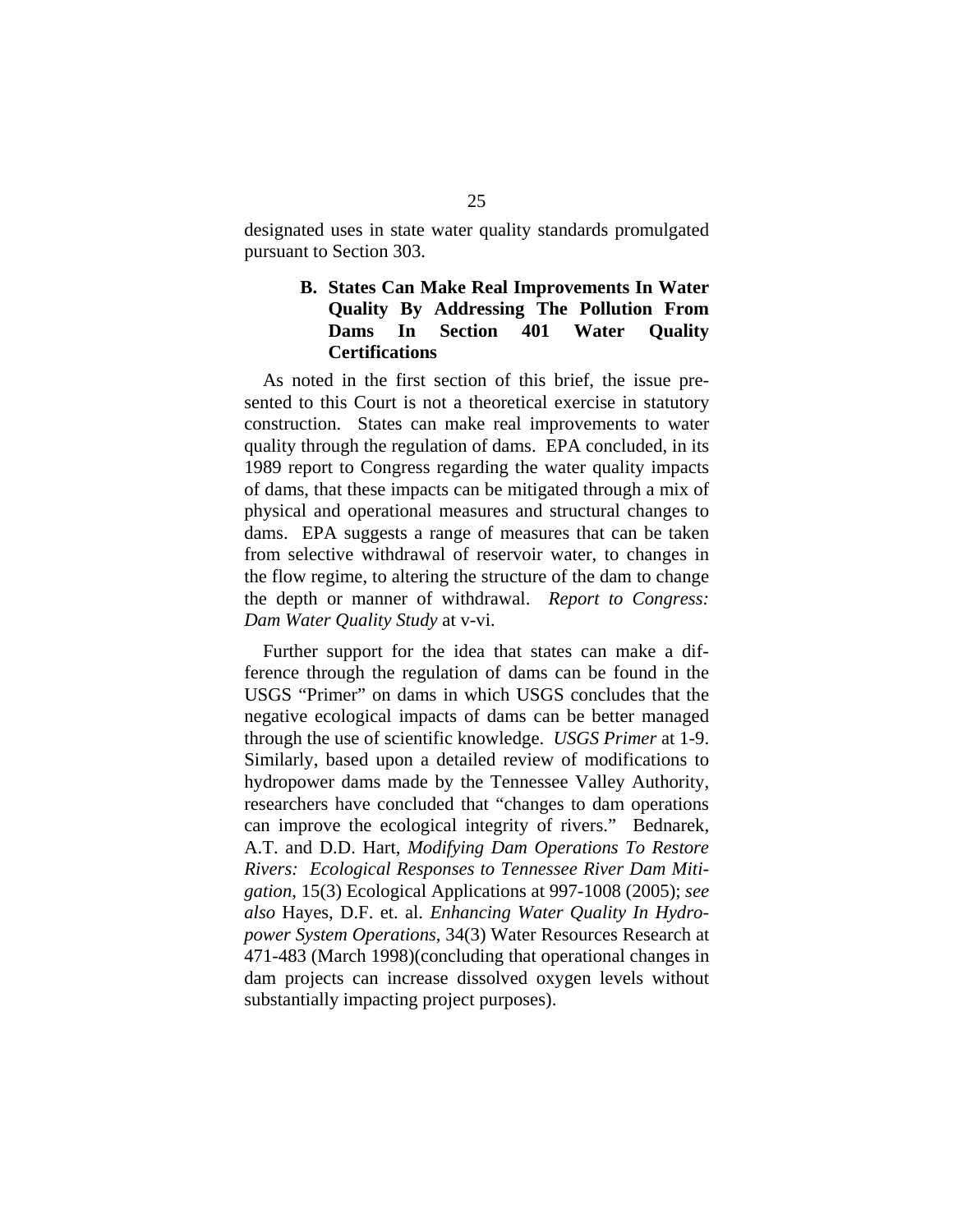designated uses in state water quality standards promulgated pursuant to Section 303.

### **B. States Can Make Real Improvements In Water Quality By Addressing The Pollution From Dams In Section 401 Water Quality Certifications**

As noted in the first section of this brief, the issue presented to this Court is not a theoretical exercise in statutory construction. States can make real improvements to water quality through the regulation of dams. EPA concluded, in its 1989 report to Congress regarding the water quality impacts of dams, that these impacts can be mitigated through a mix of physical and operational measures and structural changes to dams. EPA suggests a range of measures that can be taken from selective withdrawal of reservoir water, to changes in the flow regime, to altering the structure of the dam to change the depth or manner of withdrawal. *Report to Congress: Dam Water Quality Study* at v-vi.

Further support for the idea that states can make a difference through the regulation of dams can be found in the USGS "Primer" on dams in which USGS concludes that the negative ecological impacts of dams can be better managed through the use of scientific knowledge. *USGS Primer* at 1-9. Similarly, based upon a detailed review of modifications to hydropower dams made by the Tennessee Valley Authority, researchers have concluded that "changes to dam operations can improve the ecological integrity of rivers." Bednarek, A.T. and D.D. Hart, *Modifying Dam Operations To Restore Rivers: Ecological Responses to Tennessee River Dam Mitigation*, 15(3) Ecological Applications at 997-1008 (2005); *see also* Hayes, D.F. et. al. *Enhancing Water Quality In Hydropower System Operations*, 34(3) Water Resources Research at 471-483 (March 1998)(concluding that operational changes in dam projects can increase dissolved oxygen levels without substantially impacting project purposes).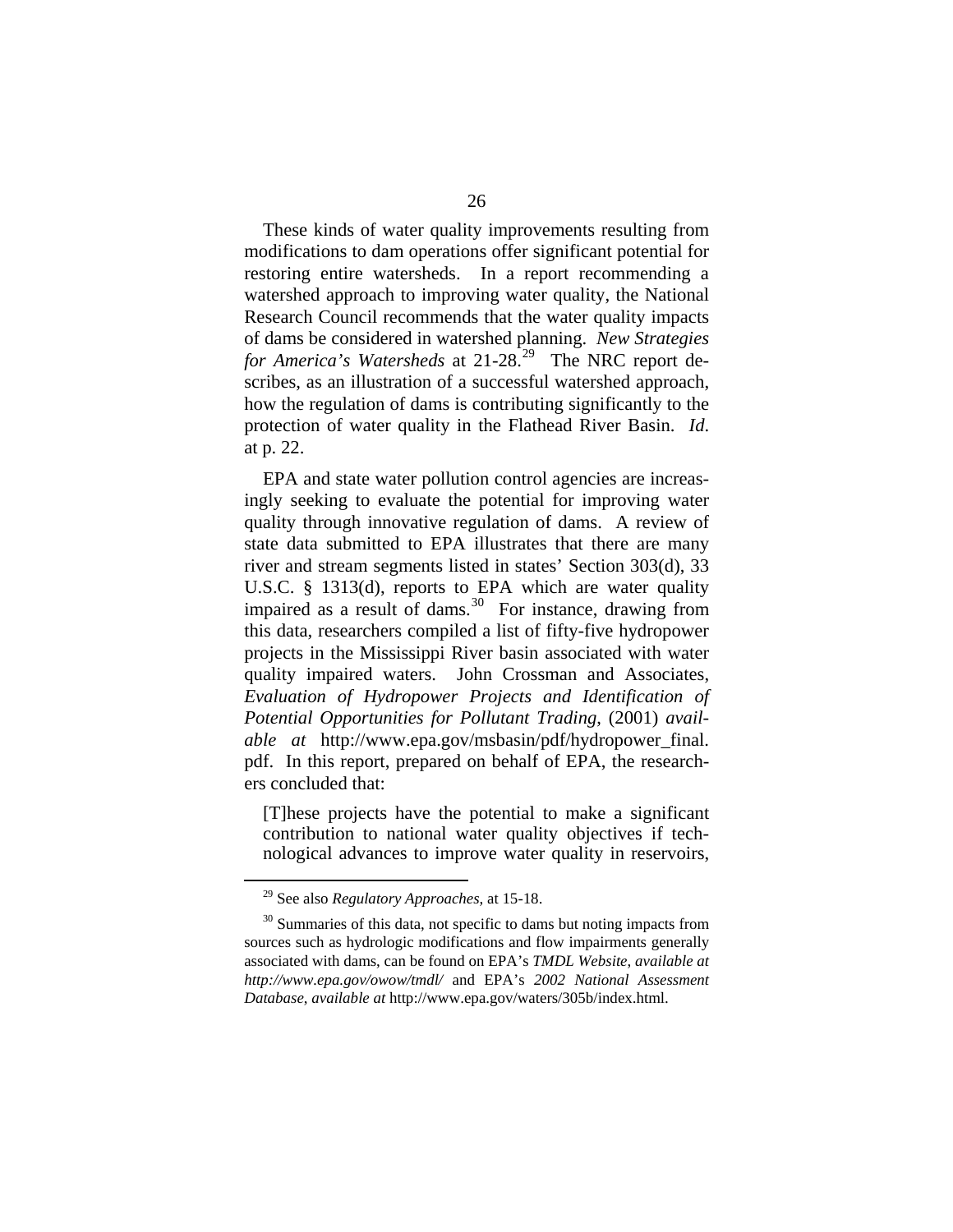These kinds of water quality improvements resulting from modifications to dam operations offer significant potential for restoring entire watersheds. In a report recommending a watershed approach to improving water quality, the National Research Council recommends that the water quality impacts of dams be considered in watershed planning. *New Strategies for America's Watersheds* at 21-28.<sup>[29](#page-38-0)</sup> The NRC report describes, as an illustration of a successful watershed approach, how the regulation of dams is contributing significantly to the protection of water quality in the Flathead River Basin. *Id*. at p. 22.

EPA and state water pollution control agencies are increasingly seeking to evaluate the potential for improving water quality through innovative regulation of dams. A review of state data submitted to EPA illustrates that there are many river and stream segments listed in states' Section 303(d), 33 U.S.C. § 1313(d), reports to EPA which are water quality impaired as a result of dams. $30\degree$  $30\degree$  For instance, drawing from this data, researchers compiled a list of fifty-five hydropower projects in the Mississippi River basin associated with water quality impaired waters. John Crossman and Associates, *Evaluation of Hydropower Projects and Identification of Potential Opportunities for Pollutant Trading*, (2001) *available at* [http://www.epa.gov/msbasin/pdf/hydropower\\_final.](http://www.epa.gov/msbasin/pdf/hydropower_final) pdf. In this report, prepared on behalf of EPA, the researchers concluded that:

[T]hese projects have the potential to make a significant contribution to national water quality objectives if technological advances to improve water quality in reservoirs,

 <sup>29</sup> See also *Regulatory Approaches*, at 15-18.

<span id="page-38-1"></span><span id="page-38-0"></span> $30$  Summaries of this data, not specific to dams but noting impacts from sources such as hydrologic modifications and flow impairments generally associated with dams, can be found on EPA's *TMDL Website*, *available at <http://www.epa.gov/owow/tmdl/>* and EPA's *2002 National Assessment Database*, *available at* http://www.epa.gov/waters/305b/index.html.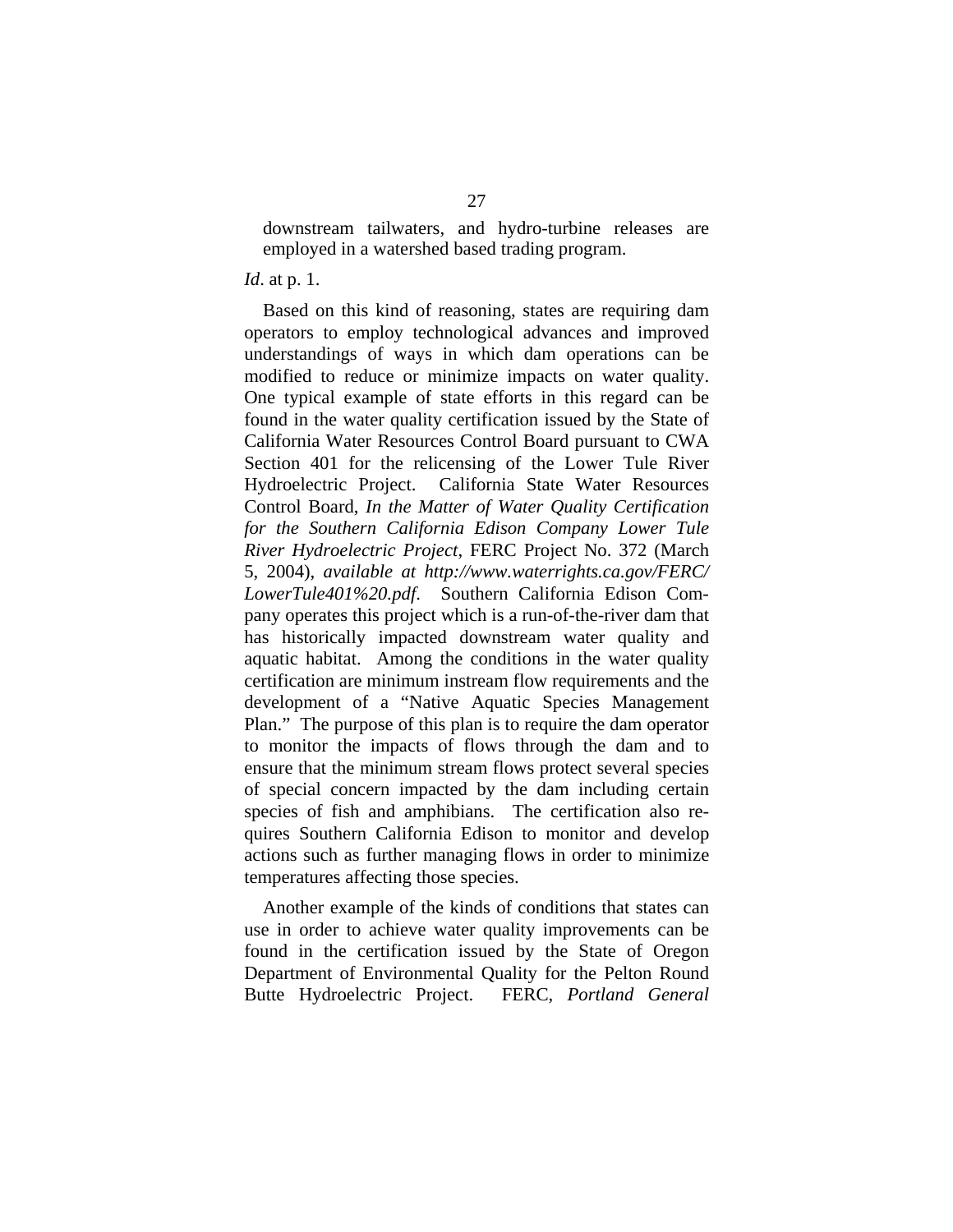downstream tailwaters, and hydro-turbine releases are employed in a watershed based trading program.

#### *Id*. at p. 1.

Based on this kind of reasoning, states are requiring dam operators to employ technological advances and improved understandings of ways in which dam operations can be modified to reduce or minimize impacts on water quality. One typical example of state efforts in this regard can be found in the water quality certification issued by the State of California Water Resources Control Board pursuant to CWA Section 401 for the relicensing of the Lower Tule River Hydroelectric Project. California State Water Resources Control Board, *In the Matter of Water Quality Certification for the Southern California Edison Company Lower Tule River Hydroelectric Project*, FERC Project No. 372 (March 5, 2004), *available at [http://www.waterrights.ca.gov/FERC/](http://www.waterrights.ca.gov/FERC/%0BLowerTule401%20.pdf)  [LowerTule401%20.pdf](http://www.waterrights.ca.gov/FERC/%0BLowerTule401%20.pdf)*. Southern California Edison Company operates this project which is a run-of-the-river dam that has historically impacted downstream water quality and aquatic habitat. Among the conditions in the water quality certification are minimum instream flow requirements and the development of a "Native Aquatic Species Management Plan." The purpose of this plan is to require the dam operator to monitor the impacts of flows through the dam and to ensure that the minimum stream flows protect several species of special concern impacted by the dam including certain species of fish and amphibians. The certification also requires Southern California Edison to monitor and develop actions such as further managing flows in order to minimize temperatures affecting those species.

Another example of the kinds of conditions that states can use in order to achieve water quality improvements can be found in the certification issued by the State of Oregon Department of Environmental Quality for the Pelton Round Butte Hydroelectric Project. FERC, *Portland General*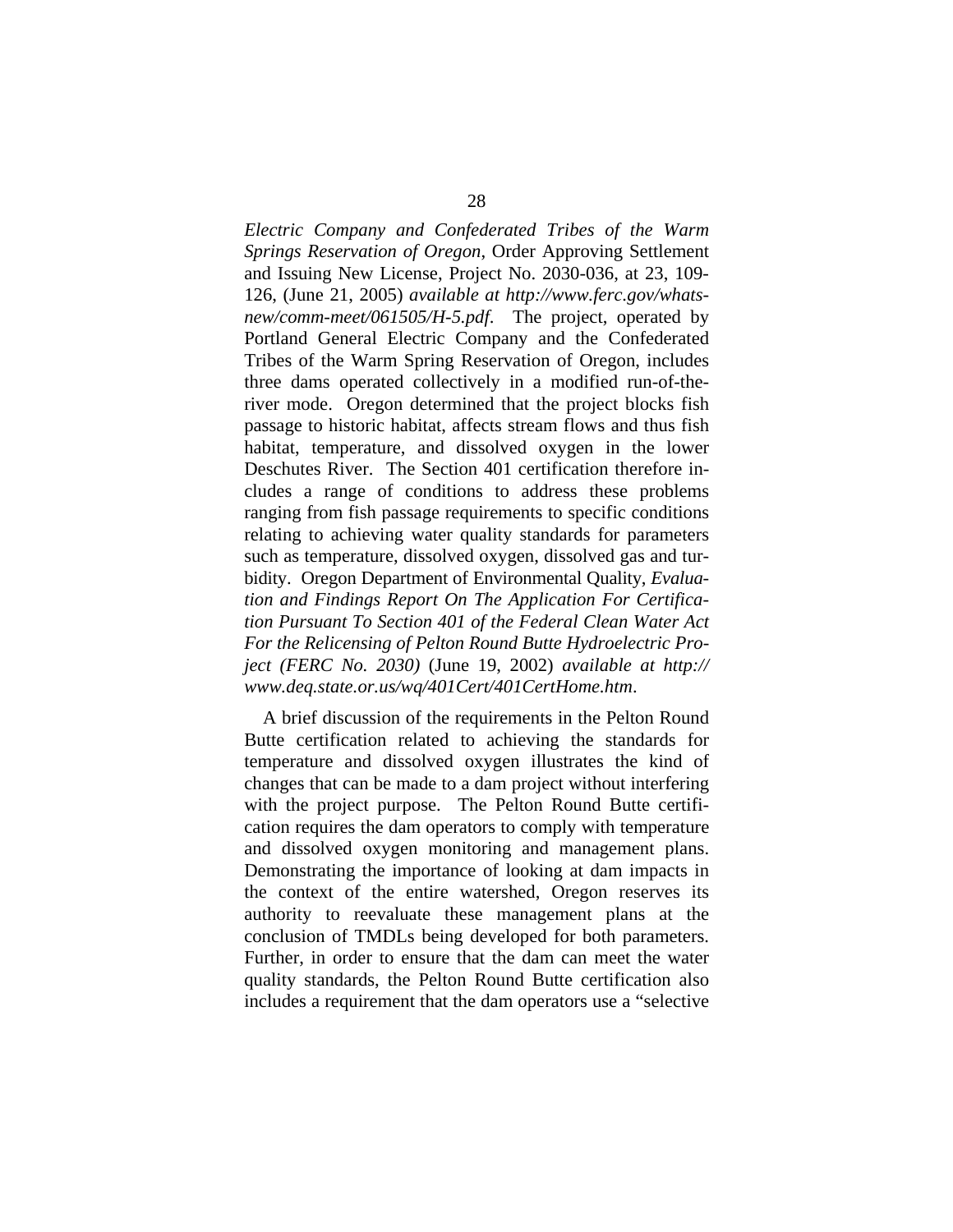*Electric Company and Confederated Tribes of the Warm Springs Reservation of Oregon*, Order Approving Settlement and Issuing New License, Project No. 2030-036, at 23, 109- 126, (June 21, 2005) *available at [http://www.ferc.gov/whats](http://www.ferc.gov/whats-new/comm-meet/061505/H-5.pdf)[new/comm-meet/061505/H-5.pdf](http://www.ferc.gov/whats-new/comm-meet/061505/H-5.pdf)*. The project, operated by Portland General Electric Company and the Confederated Tribes of the Warm Spring Reservation of Oregon, includes three dams operated collectively in a modified run-of-theriver mode. Oregon determined that the project blocks fish passage to historic habitat, affects stream flows and thus fish habitat, temperature, and dissolved oxygen in the lower Deschutes River. The Section 401 certification therefore includes a range of conditions to address these problems ranging from fish passage requirements to specific conditions relating to achieving water quality standards for parameters such as temperature, dissolved oxygen, dissolved gas and turbidity. Oregon Department of Environmental Quality, *Evaluation and Findings Report On The Application For Certification Pursuant To Section 401 of the Federal Clean Water Act For the Relicensing of Pelton Round Butte Hydroelectric Project (FERC No. 2030)* (June 19, 2002) *available at http:// www.deq.state.or.us/wq/401Cert/401CertHome.htm*.

A brief discussion of the requirements in the Pelton Round Butte certification related to achieving the standards for temperature and dissolved oxygen illustrates the kind of changes that can be made to a dam project without interfering with the project purpose. The Pelton Round Butte certification requires the dam operators to comply with temperature and dissolved oxygen monitoring and management plans. Demonstrating the importance of looking at dam impacts in the context of the entire watershed, Oregon reserves its authority to reevaluate these management plans at the conclusion of TMDLs being developed for both parameters. Further, in order to ensure that the dam can meet the water quality standards, the Pelton Round Butte certification also includes a requirement that the dam operators use a "selective